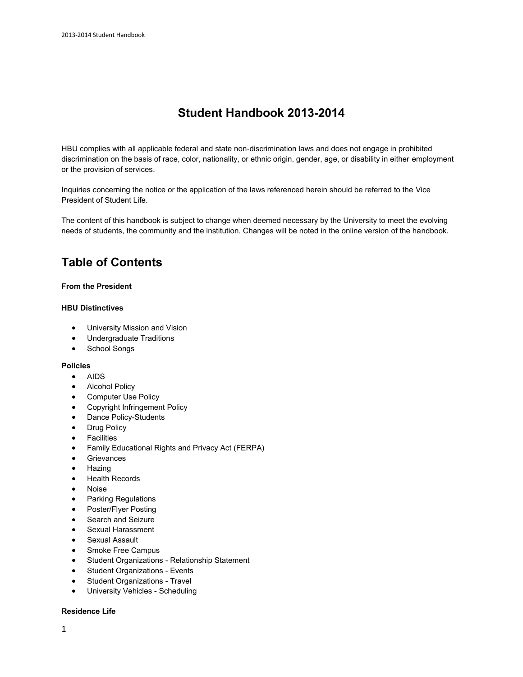# **Student Handbook 2013-2014**

HBU complies with all applicable federal and state non-discrimination laws and does not engage in prohibited discrimination on the basis of race, color, nationality, or ethnic origin, gender, age, or disability in either employment or the provision of services.

Inquiries concerning the notice or the application of the laws referenced herein should be referred to the [Vice](http://www.hbu.edu/Students-Alumni/Student-Information/Student-Life/Student-Life-Directory.aspx)  [President of Student Life.](http://www.hbu.edu/Students-Alumni/Student-Information/Student-Life/Student-Life-Directory.aspx)

The content of this handbook is subject to change when deemed necessary by the University to meet the evolving needs of students, the community and the institution. Changes will be noted in the online version of the handbook.

# **Table of Contents**

### **[From the President](http://staging.hbu.edu/Students-Alumni/Student-Resources/Student-Handbook/From-the-President.aspx)**

#### **[HBU Distinctives](http://staging.hbu.edu/Students-Alumni/Student-Resources/Student-Handbook/HBU-Distinctives.aspx)**

- University Mission and Vision
- Undergraduate Traditions
- School Songs

### **[Policies](http://staging.hbu.edu/Students-Alumni/Student-Resources/Student-Handbook/Policies.aspx)**

- AIDS
- Alcohol Policy
- Computer Use Policy
- Copyright Infringement Policy
- Dance Policy-Students
- Drug Policy
- Facilities
- Family Educational Rights and Privacy Act (FERPA)
- Grievances
- Hazing
- Health Records
- Noise
- Parking Regulations
- Poster/Flyer Posting
- Search and Seizure
- Sexual Harassment
- Sexual Assault
- Smoke Free Campus
- Student Organizations Relationship Statement
- Student Organizations Events
- Student Organizations Travel
- University Vehicles Scheduling

#### **[Residence Life](http://staging.hbu.edu/Students-Alumni/Student-Resources/Student-Handbook/Residence-Life.aspx)**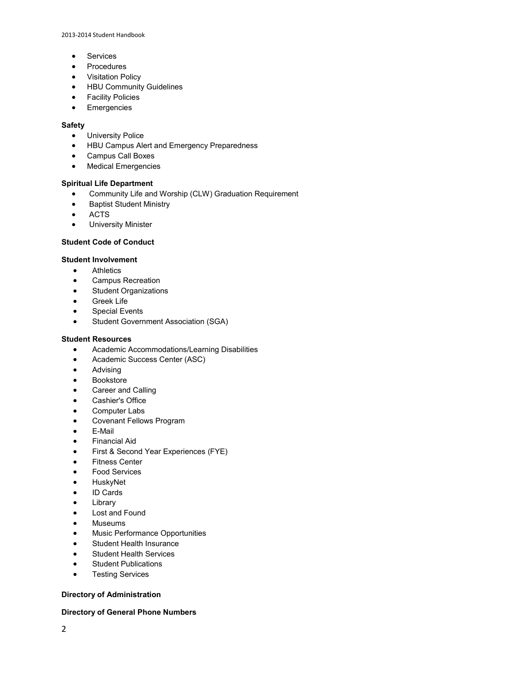2013-2014 Student Handbook

- Services
- Procedures
- Visitation Policy
- HBU Community Guidelines
- **•** Facility Policies
- **•** Emergencies

### **[Safety](http://staging.hbu.edu/Students-Alumni/Student-Resources/Student-Handbook/Safety.aspx)**

- **•** University Police
- HBU Campus Alert and Emergency Preparedness
- Campus Call Boxes
- Medical Emergencies

### **[Spiritual Life Department](http://staging.hbu.edu/Students-Alumni/Student-Resources/Student-Handbook/Spiritual-Life-Department.aspx)**

- Community Life and Worship (CLW) Graduation Requirement
- **•** Baptist Student Ministry
- ACTS
- **•** University Minister

### **[Student Code of Conduct](http://staging.hbu.edu/Students-Alumni/Student-Resources/Student-Handbook/Student-Code-of-Conduct.aspx)**

### **[Student Involvement](http://staging.hbu.edu/Students-Alumni/Student-Resources/Student-Handbook/Student-Involvment.aspx)**

- **•** Athletics
- **•** Campus Recreation
- Student Organizations
- Greek Life
- Special Events
- **•** Student Government Association (SGA)

### **[Student Resources](http://staging.hbu.edu/Students-Alumni/Student-Resources/Student-Handbook/Student-Resources.aspx)**

- Academic Accommodations/Learning Disabilities
- Academic Success Center (ASC)
- **•** Advising
- Bookstore
- Career and Calling
- Cashier's Office
- Computer Labs
- Covenant Fellows Program
- E-Mail
- Financial Aid
- First & Second Year Experiences (FYE)
- Fitness Center
- Food Services
- HuskyNet
- ID Cards
- Library
- Lost and Found
- Museums
- Music Performance Opportunities
- Student Health Insurance
- **•** Student Health Services
- Student Publications
- **•** Testing Services

### **[Directory of Administration](http://staging.hbu.edu/About-HBU/General-Information/University-Leadership/University-Administrative-Team.aspx)**

### **[Directory of General Phone Numbers](http://staging.hbu.edu/About-HBU/Resources/Directory.aspx)**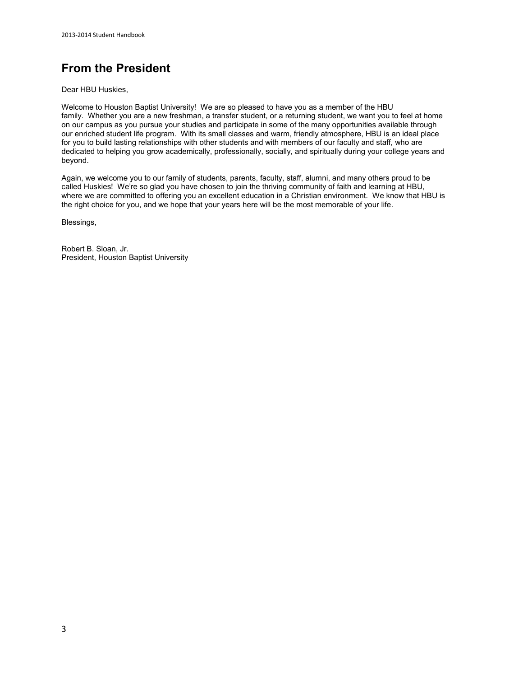# **From the President**

Dear HBU Huskies,

Welcome to Houston Baptist University! We are so pleased to have you as a member of the HBU family. Whether you are a new freshman, a transfer student, or a returning student, we want you to feel at home on our campus as you pursue your studies and participate in some of the many opportunities available through our enriched student life program. With its small classes and warm, friendly atmosphere, HBU is an ideal place for you to build lasting relationships with other students and with members of our faculty and staff, who are dedicated to helping you grow academically, professionally, socially, and spiritually during your college years and beyond.

Again, we welcome you to our family of students, parents, faculty, staff, alumni, and many others proud to be called Huskies! We're so glad you have chosen to join the thriving community of faith and learning at HBU, where we are committed to offering you an excellent education in a Christian environment. We know that HBU is the right choice for you, and we hope that your years here will be the most memorable of your life.

Blessings,

Robert B. Sloan, Jr. President, Houston Baptist University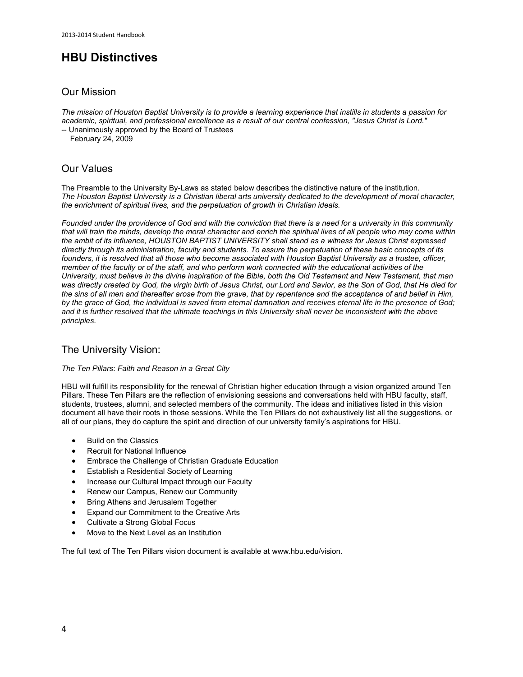# **HBU Distinctives**

### Our Mission

*The mission of Houston Baptist University is to provide a learning experience that instills in students a passion for academic, spiritual, and professional excellence as a result of our central confession, "Jesus Christ is Lord."*

-- Unanimously approved by the Board of Trustees

February 24, 2009

# Our Values

The Preamble to the University By-Laws as stated below describes the distinctive nature of the institution. *The Houston Baptist University is a Christian liberal arts university dedicated to the development of moral character, the enrichment of spiritual lives, and the perpetuation of growth in Christian ideals.*

*Founded under the providence of God and with the conviction that there is a need for a university in this community that will train the minds, develop the moral character and enrich the spiritual lives of all people who may come within the ambit of its influence, HOUSTON BAPTIST UNIVERSITY shall stand as a witness for Jesus Christ expressed directly through its administration, faculty and students. To assure the perpetuation of these basic concepts of its founders, it is resolved that all those who become associated with Houston Baptist University as a trustee, officer, member of the faculty or of the staff, and who perform work connected with the educational activities of the University, must believe in the divine inspiration of the Bible, both the Old Testament and New Testament, that man was directly created by God, the virgin birth of Jesus Christ, our Lord and Savior, as the Son of God, that He died for the sins of all men and thereafter arose from the grave, that by repentance and the acceptance of and belief in Him, by the grace of God, the individual is saved from eternal damnation and receives eternal life in the presence of God; and it is further resolved that the ultimate teachings in this University shall never be inconsistent with the above principles.*

### The University Vision:

### *The Ten Pillars*: *Faith and Reason in a Great City*

HBU will fulfill its responsibility for the renewal of Christian higher education through a vision organized around Ten Pillars. These Ten Pillars are the reflection of envisioning sessions and conversations held with HBU faculty, staff, students, trustees, alumni, and selected members of the community. The ideas and initiatives listed in this vision document all have their roots in those sessions. While the Ten Pillars do not exhaustively list all the suggestions, or all of our plans, they do capture the spirit and direction of our university family's aspirations for HBU.

- Build on the Classics
- Recruit for National Influence
- Embrace the Challenge of Christian Graduate Education
- Establish a Residential Society of Learning
- Increase our Cultural Impact through our Faculty
- Renew our Campus, Renew our Community
- Bring Athens and Jerusalem Together
- Expand our Commitment to the Creative Arts
- Cultivate a Strong Global Focus
- Move to the Next Level as an Institution

The full text of The Ten Pillars vision document is available at [www.hbu.edu/vision](http://www.hbu.edu/vision).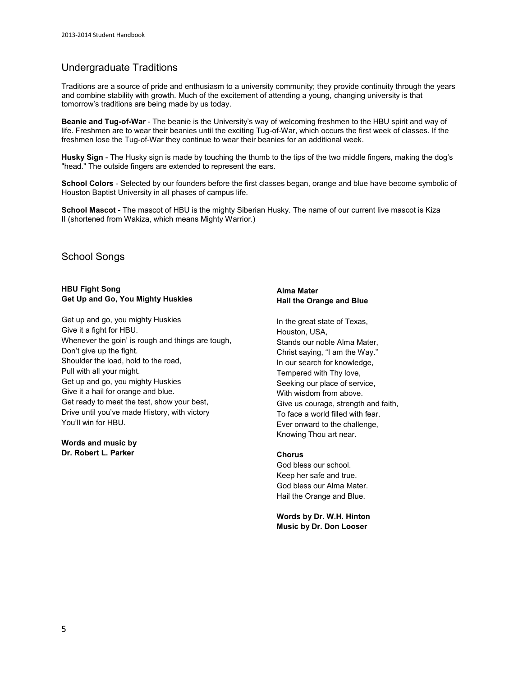# Undergraduate Traditions

Traditions are a source of pride and enthusiasm to a university community; they provide continuity through the years and combine stability with growth. Much of the excitement of attending a young, changing university is that tomorrow's traditions are being made by us today.

**Beanie and Tug-of-War** - The beanie is the University's way of welcoming freshmen to the HBU spirit and way of life. Freshmen are to wear their beanies until the exciting Tug-of-War, which occurs the first week of classes. If the freshmen lose the Tug-of-War they continue to wear their beanies for an additional week.

**Husky Sign** - The Husky sign is made by touching the thumb to the tips of the two middle fingers, making the dog's "head." The outside fingers are extended to represent the ears.

**School Colors** - Selected by our founders before the first classes began, orange and blue have become symbolic of Houston Baptist University in all phases of campus life.

**School Mascot** - The mascot of HBU is the mighty Siberian Husky. The name of our current live mascot is Kiza II (shortened from Wakiza, which means Mighty Warrior.)

### School Songs

### **HBU Fight Song Get Up and Go, You Mighty Huskies**

Get up and go, you mighty Huskies Give it a fight for HBU. Whenever the goin' is rough and things are tough, Don't give up the fight. Shoulder the load, hold to the road, Pull with all your might. Get up and go, you mighty Huskies Give it a hail for orange and blue. Get ready to meet the test, show your best, Drive until you've made History, with victory You'll win for HBU.

**Words and music by Dr. Robert L. Parker** 

### **Alma Mater Hail the Orange and Blue**

In the great state of Texas, Houston, USA, Stands our noble Alma Mater, Christ saying, "I am the Way." In our search for knowledge, Tempered with Thy love, Seeking our place of service, With wisdom from above. Give us courage, strength and faith, To face a world filled with fear. Ever onward to the challenge, Knowing Thou art near.

### **Chorus**

God bless our school. Keep her safe and true. God bless our Alma Mater. Hail the Orange and Blue.

**Words b[y Dr. W.H. Hinton](http://staging.hbu.edu/About-HBU/General-Information/University-Leadership/Presidents-of-HBU/Dr-William-H-Hinton.aspx) Music by Dr. Don Looser**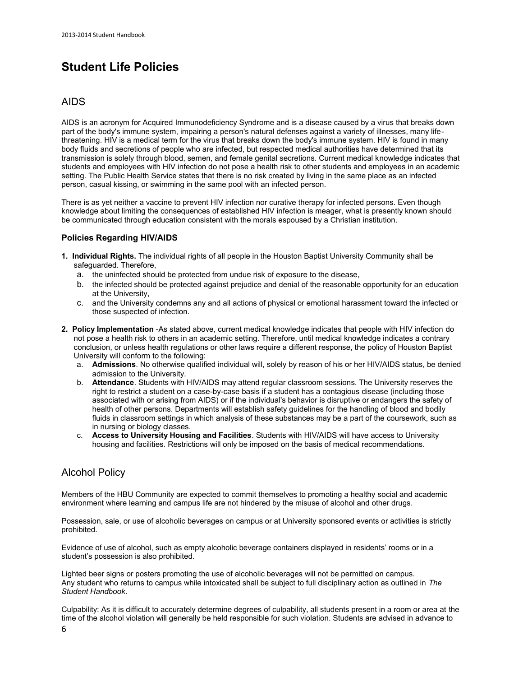# **Student Life Policies**

### AIDS

AIDS is an acronym for Acquired Immunodeficiency Syndrome and is a disease caused by a virus that breaks down part of the body's immune system, impairing a person's natural defenses against a variety of illnesses, many lifethreatening. HIV is a medical term for the virus that breaks down the body's immune system. HIV is found in many body fluids and secretions of people who are infected, but respected medical authorities have determined that its transmission is solely through blood, semen, and female genital secretions. Current medical knowledge indicates that students and employees with HIV infection do not pose a health risk to other students and employees in an academic setting. The Public Health Service states that there is no risk created by living in the same place as an infected person, casual kissing, or swimming in the same pool with an infected person.

There is as yet neither a vaccine to prevent HIV infection nor curative therapy for infected persons. Even though knowledge about limiting the consequences of established HIV infection is meager, what is presently known should be communicated through education consistent with the morals espoused by a Christian institution.

### **Policies Regarding HIV/AIDS**

- **1. Individual Rights.** The individual rights of all people in the Houston Baptist University Community shall be safeguarded. Therefore,
	- a. the uninfected should be protected from undue risk of exposure to the disease,
	- b. the infected should be protected against prejudice and denial of the reasonable opportunity for an education at the University,
	- c. and the University condemns any and all actions of physical or emotional harassment toward the infected or those suspected of infection.
- **2. Policy Implementation** -As stated above, current medical knowledge indicates that people with HIV infection do not pose a health risk to others in an academic setting. Therefore, until medical knowledge indicates a contrary conclusion, or unless health regulations or other laws require a different response, the policy of Houston Baptist University will conform to the following:
	- a. **Admissions**. No otherwise qualified individual will, solely by reason of his or her HIV/AIDS status, be denied admission to the University.
	- b. **Attendance**. Students with HIV/AIDS may attend regular classroom sessions. The University reserves the right to restrict a student on a case-by-case basis if a student has a contagious disease (including those associated with or arising from AIDS) or if the individual's behavior is disruptive or endangers the safety of health of other persons. Departments will establish safety guidelines for the handling of blood and bodily fluids in classroom settings in which analysis of these substances may be a part of the coursework, such as in nursing or biology classes.
	- c. **Access to University Housing and Facilities**. Students with HIV/AIDS will have access to University housing and facilities. Restrictions will only be imposed on the basis of medical recommendations.

# Alcohol Policy

Members of the HBU Community are expected to commit themselves to promoting a healthy social and academic environment where learning and campus life are not hindered by the misuse of alcohol and other drugs.

Possession, sale, or use of alcoholic beverages on campus or at University sponsored events or activities is strictly prohibited.

Evidence of use of alcohol, such as empty alcoholic beverage containers displayed in residents' rooms or in a student's possession is also prohibited.

Lighted beer signs or posters promoting the use of alcoholic beverages will not be permitted on campus. Any student who returns to campus while intoxicated shall be subject to full disciplinary action as outlined in *The Student Handbook*.

Culpability: As it is difficult to accurately determine degrees of culpability, all students present in a room or area at the time of the alcohol violation will generally be held responsible for such violation. Students are advised in advance to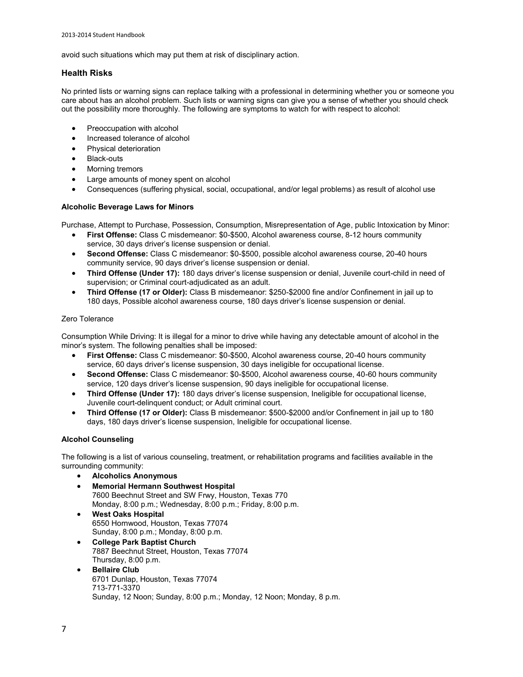avoid such situations which may put them at risk of disciplinary action.

### **Health Risks**

No printed lists or warning signs can replace talking with a professional in determining whether you or someone you care about has an alcohol problem. Such lists or warning signs can give you a sense of whether you should check out the possibility more thoroughly. The following are symptoms to watch for with respect to alcohol:

- Preoccupation with alcohol
- Increased tolerance of alcohol
- Physical deterioration
- Black-outs
- Morning tremors
- Large amounts of money spent on alcohol
- Consequences (suffering physical, social, occupational, and/or legal problems) as result of alcohol use

### **Alcoholic Beverage Laws for Minors**

Purchase, Attempt to Purchase, Possession, Consumption, Misrepresentation of Age, public Intoxication by Minor:

- **First Offense:** Class C misdemeanor: \$0-\$500, Alcohol awareness course, 8-12 hours community service, 30 days driver's license suspension or denial.
- **Second Offense:** Class C misdemeanor: \$0-\$500, possible alcohol awareness course, 20-40 hours community service, 90 days driver's license suspension or denial.
- **Third Offense (Under 17):** 180 days driver's license suspension or denial, Juvenile court-child in need of supervision; or Criminal court-adjudicated as an adult.
- **Third Offense (17 or Older):** Class B misdemeanor: \$250-\$2000 fine and/or Confinement in jail up to 180 days, Possible alcohol awareness course, 180 days driver's license suspension or denial.

### Zero Tolerance

Consumption While Driving: It is illegal for a minor to drive while having any detectable amount of alcohol in the minor's system. The following penalties shall be imposed:

- **First Offense:** Class C misdemeanor: \$0-\$500, Alcohol awareness course, 20-40 hours community service, 60 days driver's license suspension, 30 days ineligible for occupational license.
- **Second Offense:** Class C misdemeanor: \$0-\$500, Alcohol awareness course, 40-60 hours community service, 120 days driver's license suspension, 90 days ineligible for occupational license.
- **Third Offense (Under 17):** 180 days driver's license suspension, Ineligible for occupational license, Juvenile court-delinquent conduct; or Adult criminal court.
- **Third Offense (17 or Older):** Class B misdemeanor: \$500-\$2000 and/or Confinement in jail up to 180 days, 180 days driver's license suspension, Ineligible for occupational license.

### **Alcohol Counseling**

The following is a list of various counseling, treatment, or rehabilitation programs and facilities available in the surrounding community:

- **Alcoholics Anonymous**
- **Memorial Hermann Southwest Hospital** 7600 Beechnut Street and SW Frwy, Houston, Texas 770 Monday, 8:00 p.m.; Wednesday, 8:00 p.m.; Friday, 8:00 p.m.
- **West Oaks Hospital** 6550 Hornwood, Houston, Texas 77074 Sunday, 8:00 p.m.; Monday, 8:00 p.m.
- **College Park Baptist Church** 7887 Beechnut Street, Houston, Texas 77074 Thursday, 8:00 p.m.
- **Bellaire Club** 6701 Dunlap, Houston, Texas 77074 713-771-3370 Sunday, 12 Noon; Sunday, 8:00 p.m.; Monday, 12 Noon; Monday, 8 p.m.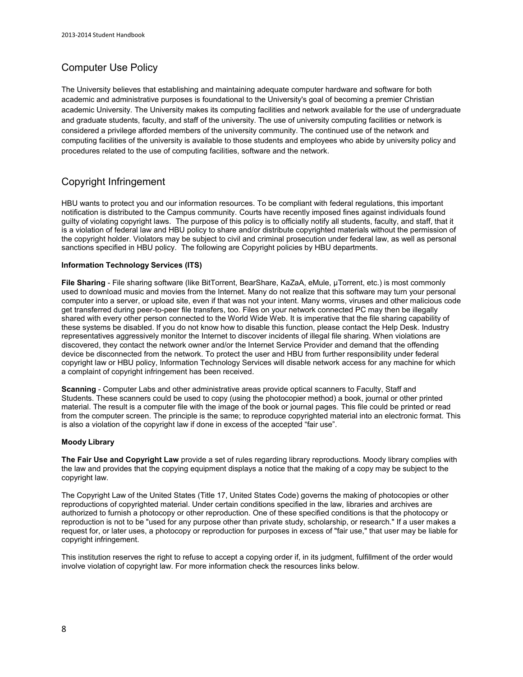# Computer Use Policy

The University believes that establishing and maintaining adequate computer hardware and software for both academic and administrative purposes is foundational to the University's goal of becoming a premier Christian academic University. The University makes its computing facilities and network available for the use of undergraduate and graduate students, faculty, and staff of the university. The use of university computing facilities or network is considered a privilege afforded members of the university community. The continued use of the network and computing facilities of the university is available to those students and employees who abide by university policy and procedures related to the use of computing facilities, software and the network.

# Copyright Infringement

HBU wants to protect you and our information resources. To be compliant with federal regulations, this important notification is distributed to the Campus community. Courts have recently imposed fines against individuals found guilty of violating copyright laws. The purpose of this policy is to officially notify all students, faculty, and staff, that it is a violation of federal law and HBU policy to share and/or distribute copyrighted materials without the permission of the copyright holder. Violators may be subject to civil and criminal prosecution under federal law, as well as personal sanctions specified in HBU policy. The following are Copyright policies by HBU departments.

### **Information Technology Services (ITS)**

**File Sharing** - File sharing software (like BitTorrent, BearShare, KaZaA, eMule, μTorrent, etc.) is most commonly used to download music and movies from the Internet. Many do not realize that this software may turn your personal computer into a server, or upload site, even if that was not your intent. Many worms, viruses and other malicious code get transferred during peer-to-peer file transfers, too. Files on your network connected PC may then be illegally shared with every other person connected to the World Wide Web. It is imperative that the file sharing capability of these systems be disabled. If you do not know how to disable this function, pleas[e contact the Help Desk.](http://www.hbu.edu/Students-Alumni/Student-Resources/Information-Technology-Services-(ITS).aspx) Industry representatives aggressively monitor the Internet to discover incidents of illegal file sharing. When violations are discovered, they contact the network owner and/or the Internet Service Provider and demand that the offending device be disconnected from the network. To protect the user and HBU from further responsibility under federal copyright law or HBU policy, Information Technology Services will disable network access for any machine for which a complaint of copyright infringement has been received.

**Scanning** - Computer Labs and other administrative areas provide optical scanners to Faculty, Staff and Students. These scanners could be used to copy (using the photocopier method) a book, journal or other printed material. The result is a computer file with the image of the book or journal pages. This file could be printed or read from the computer screen. The principle is the same; to reproduce copyrighted material into an electronic format. This is also a violation of the copyright law if done in excess of the accepted "fair use".

### **Moody Library**

**The Fair Use and Copyright Law** provide a set of rules regarding library reproductions. Moody library complies with the law and provides that the copying equipment displays a notice that the making of a copy may be subject to the copyright law.

The Copyright Law of the United States (Title 17, United States Code) governs the making of photocopies or other reproductions of copyrighted material. Under certain conditions specified in the law, libraries and archives are authorized to furnish a photocopy or other reproduction. One of these specified conditions is that the photocopy or reproduction is not to be "used for any purpose other than private study, scholarship, or research." If a user makes a request for, or later uses, a photocopy or reproduction for purposes in excess of "fair use," that user may be liable for copyright infringement.

This institution reserves the right to refuse to accept a copying order if, in its judgment, fulfillment of the order would involve violation of copyright law. For more information check the resources links below.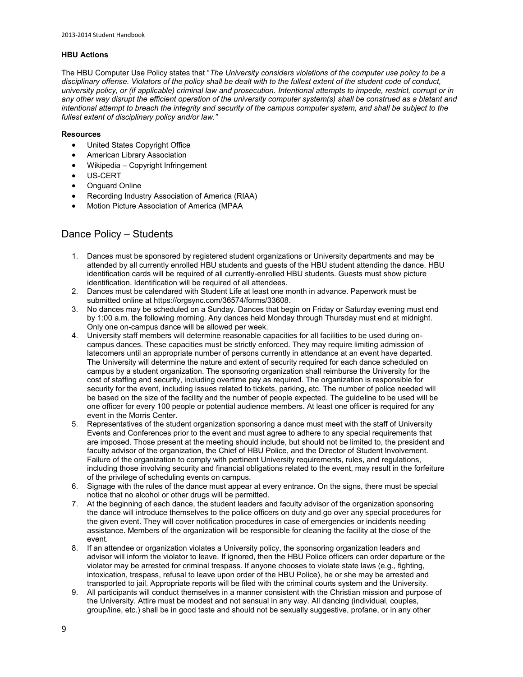### **HBU Actions**

The HBU Computer Use Policy states that "*The University considers violations of the computer use policy to be a disciplinary offense. Violators of the policy shall be dealt with to the fullest extent of the student code of conduct, university policy, or (if applicable) criminal law and prosecution. Intentional attempts to impede, restrict, corrupt or in any other way disrupt the efficient operation of the university computer system(s) shall be construed as a blatant and intentional attempt to breach the integrity and security of the campus computer system, and shall be subject to the fullest extent of disciplinary policy and/or law."*

### **Resources**

- [United States Copyright Office](http://www.copyright.gov/title17/92chap5.html#504)
- [American Library Association](http://www.ala.org/ala/aboutala/offices/wo/woissues/copyrightb/copyright.cfm)
- [Wikipedia Copyright Infringement](http://en.wikipedia.org/wiki/Copyright_infringement)
- [US-CERT](http://www.us-cert.gov/cas/tips/ST05-004.html)
- [Onguard Online](http://www.onguardonline.gov/topics/p2p-security.aspx)
- [Recording Industry Association of America \(RIAA\)](http://www.riaa.com/)
- [Motion Picture Association of America \(MPAA](http://www.mpaa.org/)

## Dance Policy – Students

- 1. Dances must be sponsored by registered student organizations or University departments and may be attended by all currently enrolled HBU students and guests of the HBU student attending the dance. HBU identification cards will be required of all currently-enrolled HBU students. Guests must show picture identification. Identification will be required of all attendees.
- 2. Dances must be calendared with Student Life at least one month in advance. Paperwork must be submitted online at [https://orgsync.com/36574/forms/33608.](https://orgsync.com/36574/forms/33608)
- 3. No dances may be scheduled on a Sunday. Dances that begin on Friday or Saturday evening must end by 1:00 a.m. the following morning. Any dances held Monday through Thursday must end at midnight. Only one on-campus dance will be allowed per week.
- 4. University staff members will determine reasonable capacities for all facilities to be used during oncampus dances. These capacities must be strictly enforced. They may require limiting admission of latecomers until an appropriate number of persons currently in attendance at an event have departed. The University will determine the nature and extent of security required for each dance scheduled on campus by a student organization. The sponsoring organization shall reimburse the University for the cost of staffing and security, including overtime pay as required. The organization is responsible for security for the event, including issues related to tickets, parking, etc. The number of police needed will be based on the size of the facility and the number of people expected. The guideline to be used will be one officer for every 100 people or potential audience members. At least one officer is required for any event in the Morris Center.
- 5. Representatives of the student organization sponsoring a dance must meet with the staff of University Events and Conferences prior to the event and must agree to adhere to any special requirements that are imposed. Those present at the meeting should include, but should not be limited to, the president and faculty advisor of the organization, the Chief of HBU Police, and the Director of Student Involvement. Failure of the organization to comply with pertinent University requirements, rules, and regulations, including those involving security and financial obligations related to the event, may result in the forfeiture of the privilege of scheduling events on campus.
- 6. Signage with the rules of the dance must appear at every entrance. On the signs, there must be special notice that no alcohol or other drugs will be permitted.
- 7. At the beginning of each dance, the student leaders and faculty advisor of the organization sponsoring the dance will introduce themselves to the police officers on duty and go over any special procedures for the given event. They will cover notification procedures in case of emergencies or incidents needing assistance. Members of the organization will be responsible for cleaning the facility at the close of the event.
- 8. If an attendee or organization violates a University policy, the sponsoring organization leaders and advisor will inform the violator to leave. If ignored, then the HBU Police officers can order departure or the violator may be arrested for criminal trespass. If anyone chooses to violate state laws (e.g., fighting, intoxication, trespass, refusal to leave upon order of the HBU Police), he or she may be arrested and transported to jail. Appropriate reports will be filed with the criminal courts system and the University.
- 9. All participants will conduct themselves in a manner consistent with the Christian mission and purpose of the University. Attire must be modest and not sensual in any way. All dancing (individual, couples, group/line, etc.) shall be in good taste and should not be sexually suggestive, profane, or in any other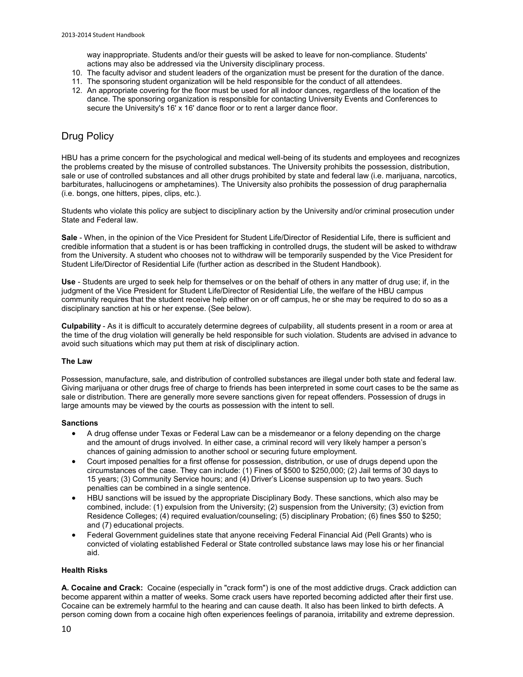way inappropriate. Students and/or their guests will be asked to leave for non-compliance. Students' actions may also be addressed via the University disciplinary process.

- 10. The faculty advisor and student leaders of the organization must be present for the duration of the dance.
- 11. The sponsoring student organization will be held responsible for the conduct of all attendees.
- 12. An appropriate covering for the floor must be used for all indoor dances, regardless of the location of the dance. The sponsoring organization is responsible for contacting University Events and Conferences to secure the University's 16' x 16' dance floor or to rent a larger dance floor.

# Drug Policy

HBU has a prime concern for the psychological and medical well-being of its students and employees and recognizes the problems created by the misuse of controlled substances. The University prohibits the possession, distribution, sale or use of controlled substances and all other drugs prohibited by state and federal law (i.e. marijuana, narcotics, barbiturates, hallucinogens or amphetamines). The University also prohibits the possession of drug paraphernalia (i.e. bongs, one hitters, pipes, clips, etc.).

Students who violate this policy are subject to disciplinary action by the University and/or criminal prosecution under State and Federal law.

**Sale** - When, in the opinion of the Vice President for Student Life/Director of Residential Life, there is sufficient and credible information that a student is or has been trafficking in controlled drugs, the student will be asked to withdraw from the University. A student who chooses not to withdraw will be temporarily suspended by the Vice President for Student Life/Director of Residential Life (further action as described in the Student Handbook).

**Use** - Students are urged to seek help for themselves or on the behalf of others in any matter of drug use; if, in the judgment of the Vice President for Student Life/Director of Residential Life, the welfare of the HBU campus community requires that the student receive help either on or off campus, he or she may be required to do so as a disciplinary sanction at his or her expense. (See below).

**Culpability** - As it is difficult to accurately determine degrees of culpability, all students present in a room or area at the time of the drug violation will generally be held responsible for such violation. Students are advised in advance to avoid such situations which may put them at risk of disciplinary action.

### **The Law**

Possession, manufacture, sale, and distribution of controlled substances are illegal under both state and federal law. Giving marijuana or other drugs free of charge to friends has been interpreted in some court cases to be the same as sale or distribution. There are generally more severe sanctions given for repeat offenders. Possession of drugs in large amounts may be viewed by the courts as possession with the intent to sell.

### **Sanctions**

- A drug offense under Texas or Federal Law can be a misdemeanor or a felony depending on the charge and the amount of drugs involved. In either case, a criminal record will very likely hamper a person's chances of gaining admission to another school or securing future employment.
- Court imposed penalties for a first offense for possession, distribution, or use of drugs depend upon the circumstances of the case. They can include: (1) Fines of \$500 to \$250,000; (2) Jail terms of 30 days to 15 years; (3) Community Service hours; and (4) Driver's License suspension up to two years. Such penalties can be combined in a single sentence.
- HBU sanctions will be issued by the appropriate Disciplinary Body. These sanctions, which also may be combined, include: (1) expulsion from the University; (2) suspension from the University; (3) eviction from Residence Colleges; (4) required evaluation/counseling; (5) disciplinary Probation; (6) fines \$50 to \$250; and (7) educational projects.
- Federal Government guidelines state that anyone receiving Federal Financial Aid (Pell Grants) who is convicted of violating established Federal or State controlled substance laws may lose his or her financial aid.

### **Health Risks**

**A. Cocaine and Crack:** Cocaine (especially in "crack form") is one of the most addictive drugs. Crack addiction can become apparent within a matter of weeks. Some crack users have reported becoming addicted after their first use. Cocaine can be extremely harmful to the hearing and can cause death. It also has been linked to birth defects. A person coming down from a cocaine high often experiences feelings of paranoia, irritability and extreme depression.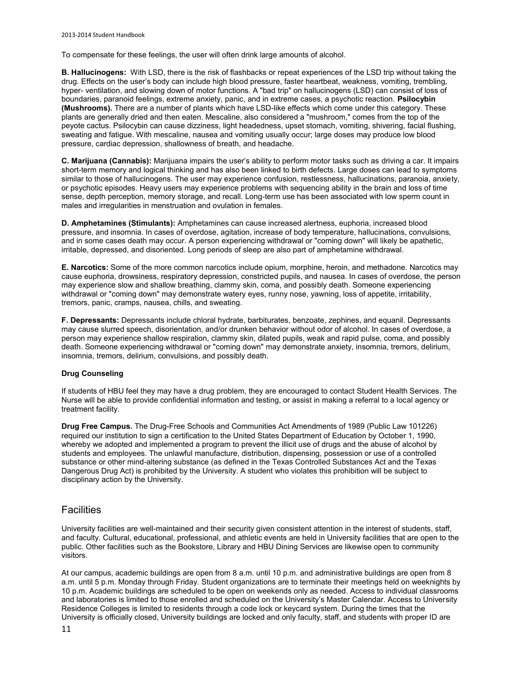To compensate for these feelings, the user will often drink large amounts of alcohol.

**B. Hallucinogens:** With LSD, there is the risk of flashbacks or repeat experiences of the LSD trip without taking the drug. Effects on the user's body can include high blood pressure, faster heartbeat, weakness, vomiting, trembling, hyper- ventilation, and slowing down of motor functions. A "bad trip" on hallucinogens (LSD) can consist of loss of boundaries, paranoid feelings, extreme anxiety, panic, and in extreme cases, a psychotic reaction. **Psilocybin (Mushrooms).** There are a number of plants which have LSD-like effects which come under this category. These plants are generally dried and then eaten. Mescaline, also considered a "mushroom," comes from the top of the peyote cactus. Psilocybin can cause dizziness, light headedness, upset stomach, vomiting, shivering, facial flushing, sweating and fatigue. With mescaline, nausea and vomiting usually occur; large doses may produce low blood pressure, cardiac depression, shallowness of breath, and headache.

**C. Marijuana (Cannabis):** Marijuana impairs the user's ability to perform motor tasks such as driving a car. It impairs short-term memory and logical thinking and has also been linked to birth defects. Large doses can lead to symptoms similar to those of hallucinogens. The user may experience confusion, restlessness, hallucinations, paranoia, anxiety, or psychotic episodes. Heavy users may experience problems with sequencing ability in the brain and loss of time sense, depth perception, memory storage, and recall. Long-term use has been associated with low sperm count in males and irregularities in menstruation and ovulation in females.

**D. Amphetamines (Stimulants):** Amphetamines can cause increased alertness, euphoria, increased blood pressure, and insomnia. In cases of overdose, agitation, increase of body temperature, hallucinations, convulsions, and in some cases death may occur. A person experiencing withdrawal or "coming down" will likely be apathetic, irritable, depressed, and disoriented. Long periods of sleep are also part of amphetamine withdrawal.

**E. Narcotics:** Some of the more common narcotics include opium, morphine, heroin, and methadone. Narcotics may cause euphoria, drowsiness, respiratory depression, constricted pupils, and nausea. In cases of overdose, the person may experience slow and shallow breathing, clammy skin, coma, and possibly death. Someone experiencing withdrawal or "coming down" may demonstrate watery eyes, runny nose, yawning, loss of appetite, irritability, tremors, panic, cramps, nausea, chills, and sweating.

**F. Depressants:** Depressants include chloral hydrate, barbiturates, benzoate, zephines, and equanil. Depressants may cause slurred speech, disorientation, and/or drunken behavior without odor of alcohol. In cases of overdose, a person may experience shallow respiration, clammy skin, dilated pupils, weak and rapid pulse, coma, and possibly death. Someone experiencing withdrawal or "coming down" may demonstrate anxiety, insomnia, tremors, delirium, insomnia, tremors, delirium, convulsions, and possibly death.

### **Drug Counseling**

If students of HBU feel they may have a drug problem, they are encouraged to contac[t Student Health Services.](http://www.hbu.edu/About-HBU/Resources/Health-Services.aspx) The Nurse will be able to provide confidential information and testing, or assist in making a referral to a local agency or treatment facility.

**Drug Free Campus.** The Drug-Free Schools and Communities Act Amendments of 1989 (Public Law 101226) required our institution to sign a certification to the United States Department of Education by October 1, 1990, whereby we adopted and implemented a program to prevent the illicit use of drugs and the abuse of alcohol by students and employees. The unlawful manufacture, distribution, dispensing, possession or use of a controlled substance or other mind-altering substance (as defined in the Texas Controlled Substances Act and the Texas Dangerous Drug Act) is prohibited by the University. A student who violates this prohibition will be subject to disciplinary action by the University.

### **Facilities**

University facilities are well-maintained and their security given consistent attention in the interest of students, staff, and faculty. Cultural, educational, professional, and athletic events are held in University facilities that are open to the public. Other facilities such as th[e Bookstore,](http://www.hbubookstore.com/) [Library](http://www.hbu.edu/About-HBU/The-Campus/Facilities/Moody-Library.aspx) and [HBU Dining Services](http://www.campusdish.com/en-US/CSSW/HoustonBaptist) are likewise open to community visitors.

At our campus, academic buildings are open from 8 a.m. until 10 p.m. and administrative buildings are open from 8 a.m. until 5 p.m. Monday through Friday. Student organizations are to terminate their meetings held on weeknights by 10 p.m. Academic buildings are scheduled to be open on weekends only as needed. Access to individual classrooms and laboratories is limited to those enrolled and scheduled on the University's Master Calendar. Access to University Residence Colleges is limited to residents through a code lock or keycard system. During the times that the University is officially closed, University buildings are locked and only faculty, staff, and students with proper ID are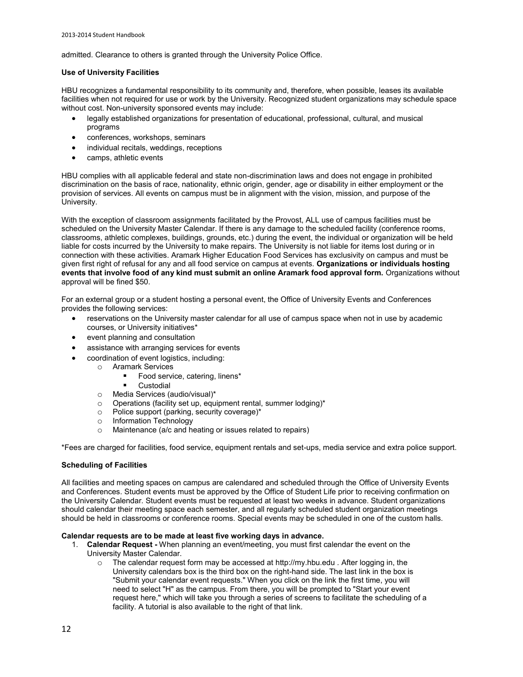admitted. Clearance to others is granted through the University Police Office.

### **Use of University Facilities**

HBU recognizes a fundamental responsibility to its community and, therefore, when possible, leases its available facilities when not required for use or work by the University. Recognized student organizations may schedule space without cost. Non-university sponsored events may include:

- legally established organizations for presentation of educational, professional, cultural, and musical programs
- conferences, workshops, seminars
- individual recitals, weddings, receptions
- camps, athletic events

HBU complies with all applicable federal and state non-discrimination laws and does not engage in prohibited discrimination on the basis of race, nationality, ethnic origin, gender, age or disability in either employment or the provision of services. All events on campus must be in alignment with the vision, mission, and purpose of the University.

With the exception of classroom assignments facilitated by the Provost, ALL use of campus facilities must be scheduled on the University Master Calendar. If there is any damage to the scheduled facility (conference rooms, classrooms, athletic complexes, buildings, grounds, etc.) during the event, the individual or organization will be held liable for costs incurred by the University to make repairs. The University is not liable for items lost during or in connection with these activities. Aramark Higher Education Food Services has exclusivity on campus and must be given first right of refusal for any and all food service on campus at events. **Organizations or individuals hosting events that involve food of any kind must submit an online Aramark food approval form.** Organizations without approval will be fined \$50.

For an external group or a student hosting a personal event, the Office of University Events and Conferences provides the following services:

- reservations on the University master calendar for all use of campus space when not in use by academic courses, or University initiatives\*
- event planning and consultation
- assistance with arranging services for events
- coordination of event logistics, including:
	- o Aramark Services
		- Food service, catering, linens\*
		- **Custodial**
	- o Media Services (audio/visual)\*
	- o Operations (facility set up, equipment rental, summer lodging)\*
	- o Police support (parking, security coverage)\*
	- o Information Technology
	- o Maintenance (a/c and heating or issues related to repairs)

\*Fees are charged for facilities, food service, equipment rentals and set-ups, media service and extra police support.

### **Scheduling of Facilities**

All facilities and meeting spaces on campus are calendared and scheduled through the [Office of University Events](http://staging.hbu.edu/About-HBU/Resources/University-Events-and-Conferences.aspx)  [and Conferences.](http://staging.hbu.edu/About-HBU/Resources/University-Events-and-Conferences.aspx) Student events must be approved by the Office of Student Life prior to receiving confirmation on the University Calendar. Student events must be requested at least two weeks in advance. Student organizations should calendar their meeting space each semester, and all regularly scheduled student organization meetings should be held in classrooms or conference rooms. Special events may be scheduled in one of the custom halls.

### **Calendar requests are to be made at least five working days in advance.**

1. **Calendar Request -** When planning an event/meeting, you must first calendar the event on the University Master Calendar.

o The calendar request form may be accessed a[t http://my.hbu.edu](http://my.hbu.edu/) *.* After logging in, the University calendars box is the third box on the right-hand side. The last link in the box is "Submit your calendar event requests." When you click on the link the first time, you will need to select "H" as the campus. From there, you will be prompted to "Start your event request here," which will take you through a series of screens to facilitate the scheduling of a facility. A tutorial is also available to the right of that link*.*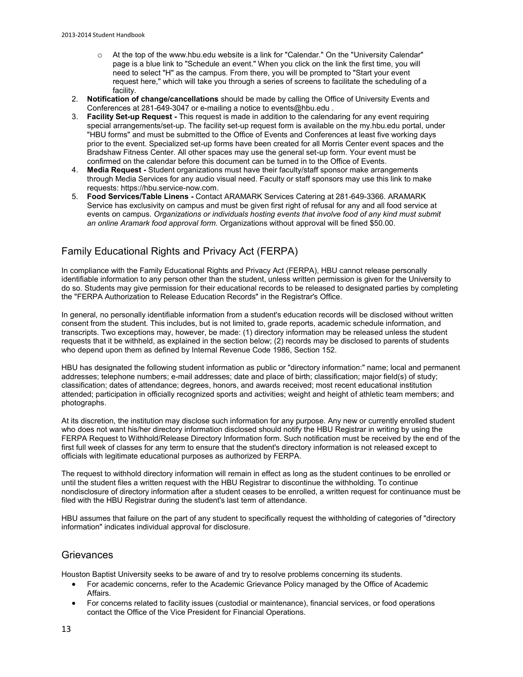- o At the top of the [www.hbu.edu](http://www.hbu.edu/) website is a link for "Calendar." On the "University Calendar" page is a blue link to "Schedule an event." When you click on the link the first time, you will need to select "H" as the campus. From there, you will be prompted to "Start your event request here," which will take you through a series of screens to facilitate the scheduling of a facility.
- 2. **Notification of change/cancellations** should be made by calling the Office of University Events and Conferences at 281-649-3047 or e-mailing a notice t[o events@hbu.edu](mailto:events@hbu.edu) .
- 3. **Facility Set-up Request** This request is made in addition to the calendaring for any event requiring special arrangements/set-up. The facility set-up request form is available on the [my.hbu.edu](http://my.hbu.edu/) portal, under "HBU forms" and must be submitted to the Office of Events and Conferences at least five working days prior to the event. Specialized set-up forms have been created for all Morris Center event spaces and the Bradshaw Fitness Center. All other spaces may use the general set-up form. Your event must be confirmed on the calendar before this document can be turned in to the Office of Events.
- 4. **Media Request** Student organizations must have their faculty/staff sponsor make arrangements through Media Services for any audio visual need. Faculty or staff sponsors may use this link to make requests[: https://hbu.service-now.com.](https://hbu.service-now.com/)
- 5. **Food Services/Table Linens** Contact ARAMARK Services Catering at 281-649-3366. ARAMARK Service has exclusivity on campus and must be given first right of refusal for any and all food service at events on campus. *Organizations or individuals hosting events that involve food of any kind must submit an online Aramark food approval form.* Organizations without approval will be fined \$50.00.

# Family Educational Rights and Privacy Act (FERPA)

In compliance with the Family Educational Rights and Privacy Act (FERPA), HBU cannot release personally identifiable information to any person other than the student, unless written permission is given for the University to do so. Students may give permission for their educational records to be released to designated parties by completing the "FERPA Authorization to Release Education Records" in the Registrar's Office.

In general, no personally identifiable information from a student's education records will be disclosed without written consent from the student. This includes, but is not limited to, grade reports, academic schedule information, and transcripts. Two exceptions may, however, be made: (1) directory information may be released unless the student requests that it be withheld, as explained in the section below; (2) records may be disclosed to parents of students who depend upon them as defined by Internal Revenue Code 1986, Section 152.

HBU has designated the following student information as public or "directory information:" name; local and permanent addresses; telephone numbers; e-mail addresses; date and place of birth; classification; major field(s) of study; classification; dates of attendance; degrees, honors, and awards received; most recent educational institution attended; participation in officially recognized sports and activities; weight and height of athletic team members; and photographs.

At its discretion, the institution may disclose such information for any purpose. Any new or currently enrolled student who does not want his/her directory information disclosed should notify the HBU Registrar in writing by using the FERPA Request to Withhold/Release Directory Information form. Such notification must be received by the end of the first full week of classes for any term to ensure that the student's directory information is not released except to officials with legitimate educational purposes as authorized by FERPA.

The request to withhold directory information will remain in effect as long as the student continues to be enrolled or until the student files a written request with the HBU Registrar to discontinue the withholding. To continue nondisclosure of directory information after a student ceases to be enrolled, a written request for continuance must be filed with the HBU Registrar during the student's last term of attendance.

HBU assumes that failure on the part of any student to specifically request the withholding of categories of "directory information" indicates individual approval for disclosure.

### **Grievances**

Houston Baptist University seeks to be aware of and try to resolve problems concerning its students.

- For academic concerns, refer to the Academic [Grievance Policy](http://staging.hbu.edu/HBU/media/HBU/publications/academics/AcademicGrievanceProcess.pdf) managed by the Office of Academic Affairs.
- For concerns related to facility issues (custodial or maintenance), financial services, or food operations contact the Office of the Vice President for Financial Operations.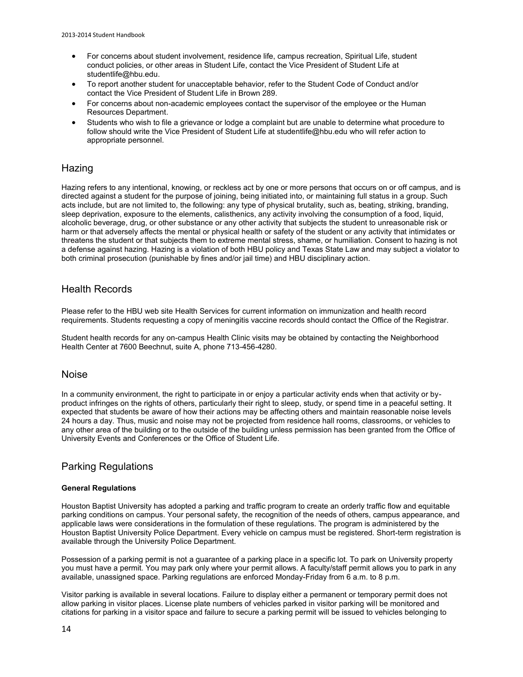- For concerns about student involvement, residence life, campus recreation, Spiritual Life, student conduct policies, or other areas in Student Life, contact the Vice President of Student Life at [studentlife@hbu.edu.](mailto:studentlife@hbu.edu)
- To report another student for unacceptable behavior, refer to the Student Code of Conduct and/or contact th[e Vice President of Student Life](mailto:studentlife@hbu.edu) in Brown 289.
- For concerns about non-academic employees contact the supervisor of the employee or th[e Human](mailto:humanresources@hbu.edu)  [Resources Department.](mailto:humanresources@hbu.edu)
- Students who wish to file a grievance or lodge a complaint but are unable to determine what procedure to follow should write the Vice President of Student Life at [studentlife@hbu.edu](mailto:studentlife@hbu.edu) who will refer action to appropriate personnel.

### **Hazing**

Hazing refers to any intentional, knowing, or reckless act by one or more persons that occurs on or off campus, and is directed against a student for the purpose of joining, being initiated into, or maintaining full status in a group. Such acts include, but are not limited to, the following: any type of physical brutality, such as, beating, striking, branding, sleep deprivation, exposure to the elements, calisthenics, any activity involving the consumption of a food, liquid, alcoholic beverage, drug, or other substance or any other activity that subjects the student to unreasonable risk or harm or that adversely affects the mental or physical health or safety of the student or any activity that intimidates or threatens the student or that subjects them to extreme mental stress, shame, or humiliation. Consent to hazing is not a defense against hazing. Hazing is a violation of both HBU policy and Texas State Law and may subject a violator to both criminal prosecution (punishable by fines and/or jail time) and HBU disciplinary action.

### Health Records

Please refer to the HBU web site [Health Services](http://staging.hbu.edu/About-HBU/Resources/Health-Services/New-Student-Requirements.aspx) for current information on immunization and health record requirements. Students requesting a copy of meningitis vaccine records should contact the [Office of the Registrar.](mailto:registrar@hbu.edu)

Student health records for any on-campus Health Clinic visits may be obtained by contacting the Neighborhood Health Center at 7600 Beechnut, suite A, phone 713-456-4280.

### Noise

In a community environment, the right to participate in or enjoy a particular activity ends when that activity or byproduct infringes on the rights of others, particularly their right to sleep, study, or spend time in a peaceful setting. It expected that students be aware of how their actions may be affecting others and maintain reasonable noise levels 24 hours a day. Thus, music and noise may not be projected from residence hall rooms, classrooms, or vehicles to any other area of the building or to the outside of the building unless permission has been granted from the [Office of](http://staging.hbu.edu/About-HBU/Resources/University-Events-and-Conferences.aspx)  [University Events and Conferences](http://staging.hbu.edu/About-HBU/Resources/University-Events-and-Conferences.aspx) or th[e Office of Student Life.](http://staging.hbu.edu/Students-Alumni/Student-Information/Student-Life/Student-Life-Directory.aspx)

### Parking Regulations

### **General Regulations**

Houston Baptist University has adopted a parking and traffic program to create an orderly traffic flow and equitable parking conditions on campus. Your personal safety, the recognition of the needs of others, campus appearance, and applicable laws were considerations in the formulation of these regulations. The program is administered by the [Houston Baptist University Police Department.](http://www.hbu.edu/About-HBU/The-Campus/Police-Parking) Every vehicle on campus must be registered. Short-term registration is available through the University Police Department.

Possession of a parking permit is not a guarantee of a parking place in a specific lot. To park on University property you must have a permit. You may park only where your permit allows. A faculty/staff permit allows you to park in any available, unassigned space. Parking regulations are enforced Monday-Friday from 6 a.m. to 8 p.m.

Visitor parking is available in several locations. Failure to display either a permanent or temporary permit does not allow parking in visitor places. License plate numbers of vehicles parked in visitor parking will be monitored and citations for parking in a visitor space and failure to secure a parking permit will be issued to vehicles belonging to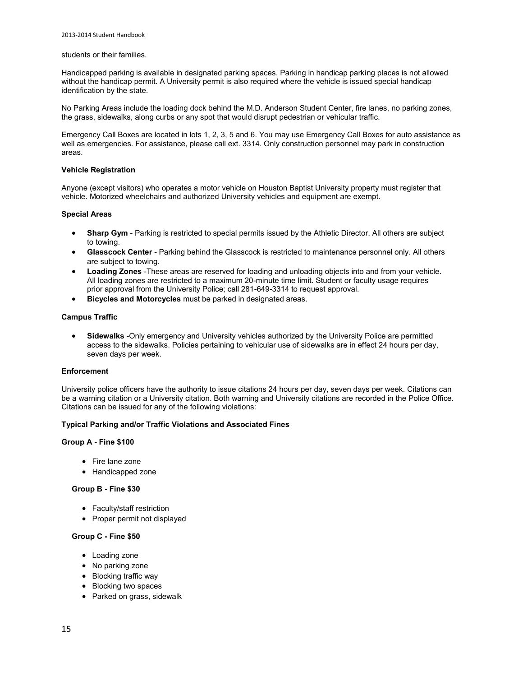#### students or their families.

Handicapped parking is available in designated parking spaces. Parking in handicap parking places is not allowed without the handicap permit. A University permit is also required where the vehicle is issued special handicap identification by the state.

No Parking Areas include the loading dock behind the M.D. Anderson Student Center, fire lanes, no parking zones, the grass, sidewalks, along curbs or any spot that would disrupt pedestrian or vehicular traffic.

Emergency Call Boxes are located in lots 1, 2, 3, 5 and 6. You may use Emergency Call Boxes for auto assistance as well as emergencies. For assistance, please call ext. 3314. Only construction personnel may park in construction areas.

#### **Vehicle Registration**

Anyone (except visitors) who operates a motor vehicle on Houston Baptist University property must register that vehicle. Motorized wheelchairs and authorized University vehicles and equipment are exempt.

### **Special Areas**

- **Sharp Gym**  Parking is restricted to special permits issued by the Athletic Director. All others are subject to towing.
- **Glasscock Center**  Parking behind the Glasscock is restricted to maintenance personnel only. All others are subject to towing.
- **Loading Zones** -These areas are reserved for loading and unloading objects into and from your vehicle. All loading zones are restricted to a maximum 20-minute time limit. Student or faculty usage requires prior approval from the University Police; call 281-649-3314 to request approval.
- **Bicycles and Motorcycles** must be parked in designated areas.

#### **Campus Traffic**

 **Sidewalks** -Only emergency and University vehicles authorized by the University Police are permitted access to the sidewalks. Policies pertaining to vehicular use of sidewalks are in effect 24 hours per day, seven days per week.

### **Enforcement**

University police officers have the authority to issue citations 24 hours per day, seven days per week. Citations can be a warning citation or a University citation. Both warning and University citations are recorded in the Police Office. Citations can be issued for any of the following violations:

#### **Typical Parking and/or Traffic Violations and Associated Fines**

### **Group A - Fine \$100**

- Fire lane zone
- Handicapped zone

#### **Group B - Fine \$30**

- Faculty/staff restriction
- Proper permit not displayed

#### **Group C - Fine \$50**

- Loading zone
- No parking zone
- Blocking traffic way
- Blocking two spaces
- Parked on grass, sidewalk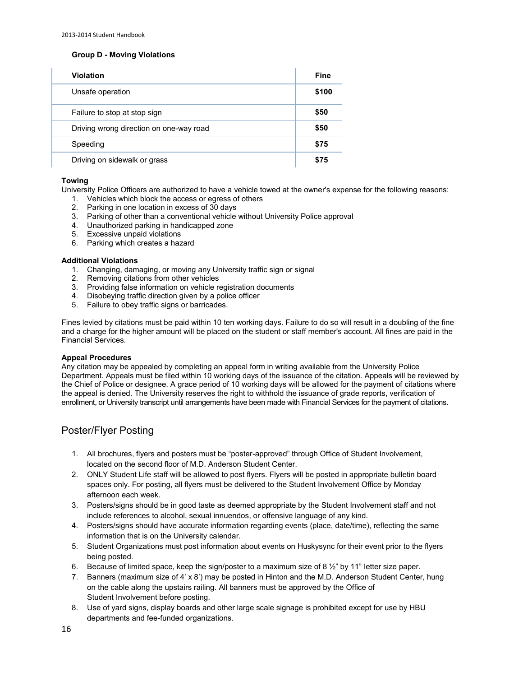### **Group D - Moving Violations**

| <b>Violation</b>                        | <b>Fine</b> |
|-----------------------------------------|-------------|
| Unsafe operation                        | \$100       |
| Failure to stop at stop sign            | \$50        |
| Driving wrong direction on one-way road | \$50        |
| Speeding                                | \$75        |
| Driving on sidewalk or grass            | \$75        |

### **Towing**

University Police Officers are authorized to have a vehicle towed at the owner's expense for the following reasons:

- 1. Vehicles which block the access or egress of others
- 2. Parking in one location in excess of 30 days
- 3. Parking of other than a conventional vehicle without University Police approval
- 4. Unauthorized parking in handicapped zone
- 5. Excessive unpaid violations
- 6. Parking which creates a hazard

#### **Additional Violations**

- 1. Changing, damaging, or moving any University traffic sign or signal
- 2. Removing citations from other vehicles
- 3. Providing false information on vehicle registration documents
- 4. Disobeying traffic direction given by a police officer
- 5. Failure to obey traffic signs or barricades.

Fines levied by citations must be paid within 10 ten working days. Failure to do so will result in a doubling of the fine and a charge for the higher amount will be placed on the student or staff member's account. All fines are paid in the Financial Services.

### **Appeal Procedures**

Any citation may be appealed by completing an appeal form in writing available from the University Police Department. Appeals must be filed within 10 working days of the issuance of the citation. Appeals will be reviewed by the Chief of Police or designee. A grace period of 10 working days will be allowed for the payment of citations where the appeal is denied. The University reserves the right to withhold the issuance of grade reports, verification of enrollment, or University transcript until arrangements have been made with Financial Services for the payment of citations.

### Poster/Flyer Posting

- 1. All brochures, flyers and posters must be "poster-approved" through Office of Student Involvement, located on the second floor of M.D. Anderson Student Center.
- 2. ONLY Student Life staff will be allowed to post flyers. Flyers will be posted in appropriate bulletin board spaces only. For posting, all flyers must be delivered to the Student Involvement Office by Monday afternoon each week.
- 3. Posters/signs should be in good taste as deemed appropriate by the Student Involvement staff and not include references to alcohol, sexual innuendos, or offensive language of any kind.
- 4. Posters/signs should have accurate information regarding events (place, date/time), reflecting the same information that is on the University calendar.
- 5. Student Organizations must post information about events on Huskysync for their event prior to the flyers being posted.
- 6. Because of limited space, keep the sign/poster to a maximum size of 8  $\frac{1}{2}$ " by 11" letter size paper.
- 7. Banners (maximum size of 4' x 8') may be posted in Hinton and the M.D. Anderson Student Center, hung on the cable along the upstairs railing. All banners must be approved by the Office of Student Involvement before posting.
- 8. Use of yard signs, display boards and other large scale signage is prohibited except for use by HBU departments and fee-funded organizations.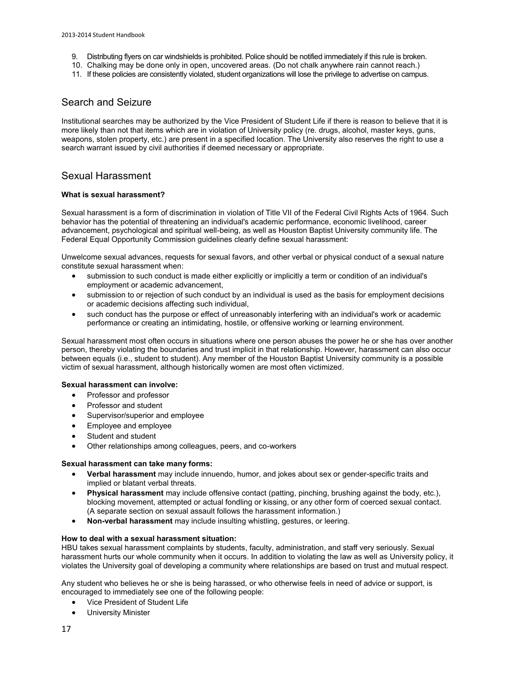- 9. Distributing flyers on car windshields is prohibited. Police should be notified immediately if this rule is broken.
- 10. Chalking may be done only in open, uncovered areas. (Do not chalk anywhere rain cannot reach.)
- 11. If these policies are consistently violated, student organizations will lose the privilege to advertise on campus.

### Search and Seizure

Institutional searches may be authorized by the Vice President of Student Life if there is reason to believe that it is more likely than not that items which are in violation of University policy (re. drugs, alcohol, master keys, guns, weapons, stolen property, etc.) are present in a specified location. The University also reserves the right to use a search warrant issued by civil authorities if deemed necessary or appropriate.

### Sexual Harassment

### **What is sexual harassment?**

Sexual harassment is a form of discrimination in violation of Title VII of the Federal Civil Rights Acts of 1964. Such behavior has the potential of threatening an individual's academic performance, economic livelihood, career advancement, psychological and spiritual well-being, as well as Houston Baptist University community life. The Federal Equal Opportunity Commission guidelines clearly define sexual harassment:

Unwelcome sexual advances, requests for sexual favors, and other verbal or physical conduct of a sexual nature constitute sexual harassment when:

- submission to such conduct is made either explicitly or implicitly a term or condition of an individual's employment or academic advancement,
- submission to or rejection of such conduct by an individual is used as the basis for employment decisions or academic decisions affecting such individual,
- such conduct has the purpose or effect of unreasonably interfering with an individual's work or academic performance or creating an intimidating, hostile, or offensive working or learning environment.

Sexual harassment most often occurs in situations where one person abuses the power he or she has over another person, thereby violating the boundaries and trust implicit in that relationship. However, harassment can also occur between equals (i.e., student to student). Any member of the Houston Baptist University community is a possible victim of sexual harassment, although historically women are most often victimized.

### **Sexual harassment can involve:**

- Professor and professor
- Professor and student
- Supervisor/superior and employee
- Employee and employee
- Student and student
- Other relationships among colleagues, peers, and co-workers

### **Sexual harassment can take many forms:**

- **Verbal harassment** may include innuendo, humor, and jokes about sex or gender-specific traits and implied or blatant verbal threats.
- **Physical harassment** may include offensive contact (patting, pinching, brushing against the body, etc.), blocking movement, attempted or actual fondling or kissing, or any other form of coerced sexual contact. (A separate section on sexual assault follows the harassment information.)
- **Non-verbal harassment** may include insulting whistling, gestures, or leering.

### **How to deal with a sexual harassment situation:**

HBU takes sexual harassment complaints by students, faculty, administration, and staff very seriously. Sexual harassment hurts our whole community when it occurs. In addition to violating the law as well as University policy, it violates the University goal of developing a community where relationships are based on trust and mutual respect.

Any student who believes he or she is being harassed, or who otherwise feels in need of advice or support, is encouraged to immediately see one of the following people:

- [Vice President of Student Life](http://www.hbu.edu/Students-Alumni/Student-Information/Student-Life/Student-Life-Directory.aspx)
- [University Minister](http://www.hbu.edu/Students-Alumni/Student-Information/Spiritual-Life/Spiritual-Life-Department/Contact-Us.aspx)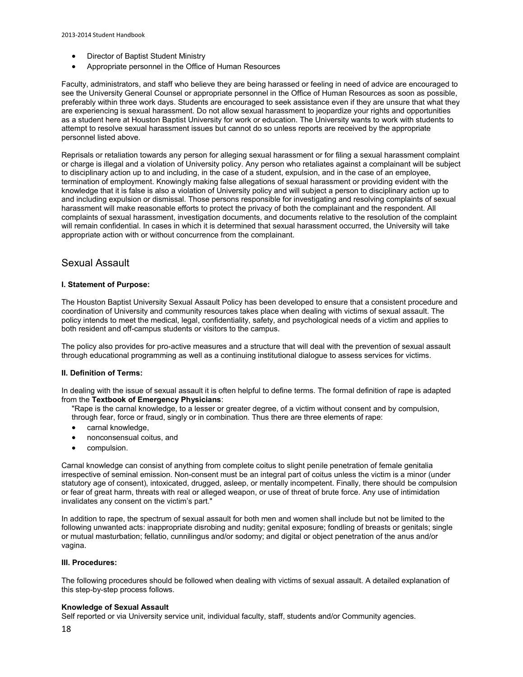- [Director of Baptist Student Ministry](http://staging.hbu.edu/Students-Alumni/Student-Information/Spiritual-Life/Spiritual-Life-Department/Meet-Our-Staff/Danny-Miller.aspx)
- Appropriate personnel in th[e Office of Human Resources](mailto:humanresources@hbu.edu)

Faculty, administrators, and staff who believe they are being harassed or feeling in need of advice are encouraged to see the University General Counsel or appropriate personnel in the Office of Human Resources as soon as possible, preferably within three work days. Students are encouraged to seek assistance even if they are unsure that what they are experiencing is sexual harassment. Do not allow sexual harassment to jeopardize your rights and opportunities as a student here at Houston Baptist University for work or education. The University wants to work with students to attempt to resolve sexual harassment issues but cannot do so unless reports are received by the appropriate personnel listed above.

Reprisals or retaliation towards any person for alleging sexual harassment or for filing a sexual harassment complaint or charge is illegal and a violation of University policy. Any person who retaliates against a complainant will be subject to disciplinary action up to and including, in the case of a student, expulsion, and in the case of an employee, termination of employment. Knowingly making false allegations of sexual harassment or providing evident with the knowledge that it is false is also a violation of University policy and will subject a person to disciplinary action up to and including expulsion or dismissal. Those persons responsible for investigating and resolving complaints of sexual harassment will make reasonable efforts to protect the privacy of both the complainant and the respondent. All complaints of sexual harassment, investigation documents, and documents relative to the resolution of the complaint will remain confidential. In cases in which it is determined that sexual harassment occurred, the University will take appropriate action with or without concurrence from the complainant.

### Sexual Assault

### **I. Statement of Purpose:**

The Houston Baptist University Sexual Assault Policy has been developed to ensure that a consistent procedure and coordination of University and community resources takes place when dealing with victims of sexual assault. The policy intends to meet the medical, legal, confidentiality, safety, and psychological needs of a victim and applies to both resident and off-campus students or visitors to the campus.

The policy also provides for pro-active measures and a structure that will deal with the prevention of sexual assault through educational programming as well as a continuing institutional dialogue to assess services for victims.

### **II. Definition of Terms:**

In dealing with the issue of sexual assault it is often helpful to define terms. The formal definition of rape is adapted from the **Textbook of Emergency Physicians**:

"Rape is the carnal knowledge, to a lesser or greater degree, of a victim without consent and by compulsion, through fear, force or fraud, singly or in combination. Thus there are three elements of rape:

- carnal knowledge,
- nonconsensual coitus, and
- **•** compulsion.

Carnal knowledge can consist of anything from complete coitus to slight penile penetration of female genitalia irrespective of seminal emission. Non-consent must be an integral part of coitus unless the victim is a minor (under statutory age of consent), intoxicated, drugged, asleep, or mentally incompetent. Finally, there should be compulsion or fear of great harm, threats with real or alleged weapon, or use of threat of brute force. Any use of intimidation invalidates any consent on the victim's part."

In addition to rape, the spectrum of sexual assault for both men and women shall include but not be limited to the following unwanted acts: inappropriate disrobing and nudity; genital exposure; fondling of breasts or genitals; single or mutual masturbation; fellatio, cunnilingus and/or sodomy; and digital or object penetration of the anus and/or vagina.

### **III. Procedures:**

The following procedures should be followed when dealing with victims of sexual assault. A detailed explanation of this step-by-step process follows.

### **Knowledge of Sexual Assault**

Self reported or via University service unit, individual faculty, staff, students and/or Community agencies.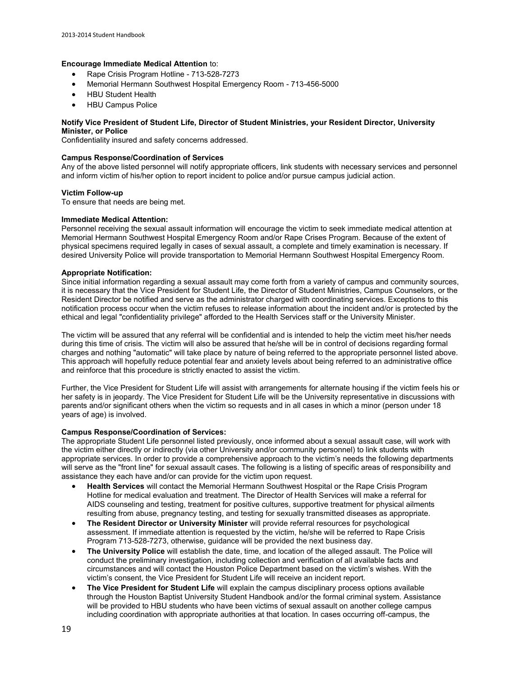### **Encourage Immediate Medical Attention** to:

- [Rape Crisis Program Hotline](http://www.hawc.org/)  713-528-7273
- [Memorial Hermann Southwest Hospital Emergency Room](http://www.memorialhermann.org/locations/southwest/)  713-456-5000
- [HBU Student Health](http://www.hbu.edu/Students-Alumni/Student-Resources/Health-Services.aspx)
- [HBU Campus Police](http://www.hbu.edu/About-HBU/The-Campus/Police-Parking.aspx)

### **Notify Vice President of Student Life, Director of Student Ministries, your Resident Director, University Minister, or Police**

Confidentiality insured and safety concerns addressed.

### **Campus Response/Coordination of Services**

Any of the above listed personnel will notify appropriate officers, link students with necessary services and personnel and inform victim of his/her option to report incident to police and/or pursue campus judicial action.

### **Victim Follow-up**

To ensure that needs are being met.

### **Immediate Medical Attention:**

Personnel receiving the sexual assault information will encourage the victim to seek immediate medical attention at Memorial Hermann Southwest Hospital Emergency Room and/or Rape Crises Program. Because of the extent of physical specimens required legally in cases of sexual assault, a complete and timely examination is necessary. If desired University Police will provide transportation to Memorial Hermann Southwest Hospital Emergency Room.

### **Appropriate Notification:**

Since initial information regarding a sexual assault may come forth from a variety of campus and community sources, it is necessary that the Vice President for Student Life, the Director of Student Ministries, Campus Counselors, or the Resident Director be notified and serve as the administrator charged with coordinating services. Exceptions to this notification process occur when the victim refuses to release information about the incident and/or is protected by the ethical and legal "confidentiality privilege" afforded to the Health Services staff or the University Minister.

The victim will be assured that any referral will be confidential and is intended to help the victim meet his/her needs during this time of crisis. The victim will also be assured that he/she will be in control of decisions regarding formal charges and nothing "automatic" will take place by nature of being referred to the appropriate personnel listed above. This approach will hopefully reduce potential fear and anxiety levels about being referred to an administrative office and reinforce that this procedure is strictly enacted to assist the victim.

Further, the Vice President for Student Life will assist with arrangements for alternate housing if the victim feels his or her safety is in jeopardy. The Vice President for Student Life will be the University representative in discussions with parents and/or significant others when the victim so requests and in all cases in which a minor (person under 18 years of age) is involved.

### **Campus Response/Coordination of Services:**

The appropriate Student Life personnel listed previously, once informed about a sexual assault case, will work with the victim either directly or indirectly (via other University and/or community personnel) to link students with appropriate services. In order to provide a comprehensive approach to the victim's needs the following departments will serve as the "front line" for sexual assault cases. The following is a listing of specific areas of responsibility and assistance they each have and/or can provide for the victim upon request.

- **Health Services** will contact the Memorial Hermann Southwest Hospital or the Rape Crisis Program Hotline for medical evaluation and treatment. The Director of Health Services will make a referral for AIDS counseling and testing, treatment for positive cultures, supportive treatment for physical ailments resulting from abuse, pregnancy testing, and testing for sexually transmitted diseases as appropriate.
- **The Resident Director or University Minister** will provide referral resources for psychological assessment. If immediate attention is requested by the victim, he/she will be referred to [Rape Crisis](http://www.hawc.org/)  [Program](http://www.hawc.org/) 713-528-7273, otherwise, guidance will be provided the next business day.
- **The University Police** will establish the date, time, and location of the alleged assault. The Police will conduct the preliminary investigation, including collection and verification of all available facts and circumstances and will contact the Houston Police Department based on the victim's wishes. With the victim's consent, the Vice President for Student Life will receive an incident report.
- **The Vice President for Student Life** will explain the campus disciplinary process options available through the [Houston Baptist University Student Handbook](http://www.hbu.edu/HBU/media/HBU/publications/academics/StudentHandbook_current.pdf) and/or the formal criminal system. Assistance will be provided to HBU students who have been victims of sexual assault on another college campus including coordination with appropriate authorities at that location. In cases occurring off-campus, the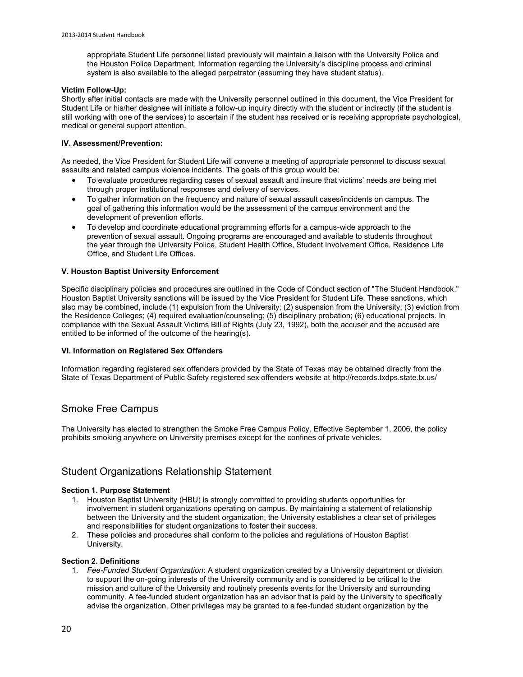appropriate Student Life personnel listed previously will maintain a liaison with the University Police and the Houston Police Department. Information regarding the University's discipline process and criminal system is also available to the alleged perpetrator (assuming they have student status).

#### **Victim Follow-Up:**

Shortly after initial contacts are made with the University personnel outlined in this document, the Vice President for Student Life or his/her designee will initiate a follow-up inquiry directly with the student or indirectly (if the student is still working with one of the services) to ascertain if the student has received or is receiving appropriate psychological, medical or general support attention.

### **IV. Assessment/Prevention:**

As needed, the Vice President for Student Life will convene a meeting of appropriate personnel to discuss sexual assaults and related campus violence incidents. The goals of this group would be:

- To evaluate procedures regarding cases of sexual assault and insure that victims' needs are being met through proper institutional responses and delivery of services.
- To gather information on the frequency and nature of sexual assault cases/incidents on campus. The goal of gathering this information would be the assessment of the campus environment and the development of prevention efforts.
- To develop and coordinate educational programming efforts for a campus-wide approach to the prevention of sexual assault. Ongoing programs are encouraged and available to students throughout the year through the University Police, Student Health Office, Student Involvement Office, Residence Life Office, and Student Life Offices.

### **V. Houston Baptist University Enforcement**

Specific disciplinary policies and procedures are outlined in the Code of Conduct section of ["The Student Handbook.](http://www.hbu.edu/HBU/media/HBU/publications/academics/StudentHandbook_current.pdf)" Houston Baptist University sanctions will be issued by the Vice President for Student Life. These sanctions, which also may be combined, include (1) expulsion from the University; (2) suspension from the University; (3) eviction from the Residence Colleges; (4) required evaluation/counseling; (5) disciplinary probation; (6) educational projects. In compliance with the Sexual Assault Victims Bill of Rights (July 23, 1992), both the accuser and the accused are entitled to be informed of the outcome of the hearing(s).

### **VI. Information on Registered Sex Offenders**

Information regarding registered sex offenders provided by the State of Texas may be obtained directly from the State of Texas Department of Public Safety registered sex offenders website at<http://records.txdps.state.tx.us/>

### Smoke Free Campus

The University has elected to strengthen the Smoke Free Campus Policy. Effective September 1, 2006, the policy prohibits smoking anywhere on University premises except for the confines of private vehicles.

### Student Organizations Relationship Statement

### **Section 1. Purpose Statement**

- 1. Houston Baptist University (HBU) is strongly committed to providing students opportunities for involvement in student organizations operating on campus. By maintaining a statement of relationship between the University and the student organization, the University establishes a clear set of privileges and responsibilities for student organizations to foster their success.
- 2. These policies and procedures shall conform to the policies and regulations of Houston Baptist University.

### **Section 2. Definitions**

1. *Fee-Funded Student Organization*: A student organization created by a University department or division to support the on-going interests of the University community and is considered to be critical to the mission and culture of the University and routinely presents events for the University and surrounding community. A fee-funded student organization has an advisor that is paid by the University to specifically advise the organization. Other privileges may be granted to a fee-funded student organization by the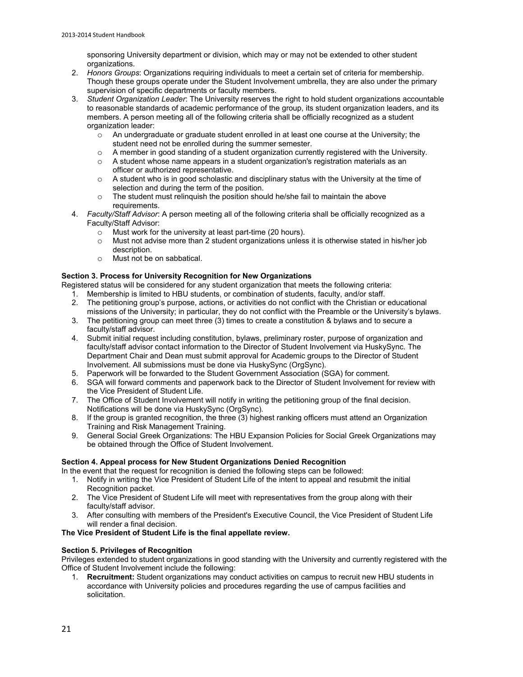sponsoring University department or division, which may or may not be extended to other student organizations.

- 2. *Honors Groups*: Organizations requiring individuals to meet a certain set of criteria for membership. Though these groups operate under the Student Involvement umbrella, they are also under the primary supervision of specific departments or faculty members.
- 3. *Student Organization Leader*: The University reserves the right to hold student organizations accountable to reasonable standards of academic performance of the group, its student organization leaders, and its members. A person meeting all of the following criteria shall be officially recognized as a student organization leader:
	- $\circ$  An undergraduate or graduate student enrolled in at least one course at the University; the student need not be enrolled during the summer semester.
	- $\circ$  A member in good standing of a student organization currently registered with the University.
	- $\circ$  A student whose name appears in a student organization's registration materials as an officer or authorized representative.
	- $\circ$  A student who is in good scholastic and disciplinary status with the University at the time of selection and during the term of the position.
	- o The student must relinquish the position should he/she fail to maintain the above requirements.
- 4. *Faculty/Staff Advisor*: A person meeting all of the following criteria shall be officially recognized as a Faculty/Staff Advisor:
	- o Must work for the university at least part-time (20 hours).
	- $\circ$  Must not advise more than 2 student organizations unless it is otherwise stated in his/her job description.
	- o Must not be on sabbatical.

### **Section 3. Process for University Recognition for New Organizations**

Registered status will be considered for any student organization that meets the following criteria:

- 1. Membership is limited to HBU students, or combination of students, faculty, and/or staff.
- 2. The petitioning group's purpose, actions, or activities do not conflict with the Christian or educational
- missions of the University; in particular, they do not conflict with the Preamble or the University's bylaws. 3. The petitioning group can meet three (3) times to create a constitution & bylaws and to secure a
- faculty/staff advisor. 4. Submit initial request including constitution, bylaws, preliminary roster, purpose of organization and faculty/staff advisor contact information to the Director of Student Involvement via HuskySync. The Department Chair and Dean must submit approval for Academic groups to the Director of Student Involvement. All submissions must be done via HuskySync (OrgSync).
- 5. Paperwork will be forwarded to the Student Government Association (SGA) for comment.
- 6. SGA will forward comments and paperwork back to the Director of Student Involvement for review with the Vice President of Student Life.
- 7. The Office of Student Involvement will notify in writing the petitioning group of the final decision. Notifications will be done via HuskySync (OrgSync).
- 8. If the group is granted recognition, the three (3) highest ranking officers must attend an Organization Training and Risk Management Training.
- 9. General Social Greek Organizations: The HBU Expansion Policies for Social Greek Organizations may be obtained through the Office of Student Involvement.

### **Section 4. Appeal process for New Student Organizations Denied Recognition**

In the event that the request for recognition is denied the following steps can be followed:

- 1. Notify in writing th[e Vice President of Student Life](http://www.hbu.edu/Students-Alumni/Student-Information/Student-Life/Student-Life-Directory.aspx) of the intent to appeal and resubmit the initial Recognition packet.
- 2. The Vice President of Student Life will meet with representatives from the group along with their faculty/staff advisor.
- 3. After consulting with members of the President's Executive Council, the Vice President of Student Life will render a final decision.

### **The Vice President of Student Life is the final appellate review.**

### **Section 5. Privileges of Recognition**

Privileges extended to student organizations in good standing with the University and currently registered with the Office of Student Involvement include the following:

1. **Recruitment:** Student organizations may conduct activities on campus to recruit new HBU students in accordance with University policies and procedures regarding the use of campus facilities and solicitation.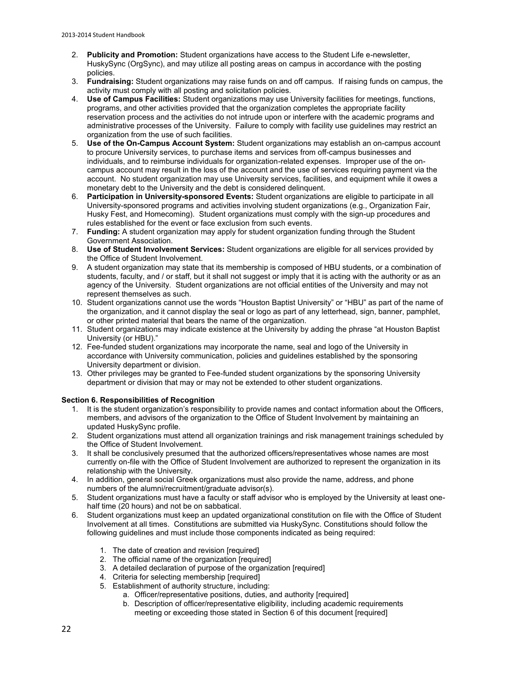- 2. **Publicity and Promotion:** Student organizations have access to the Student Life e-newsletter, HuskySync (OrgSync), and may utilize all posting areas on campus in accordance with the posting policies.
- 3. **Fundraising:** Student organizations may raise funds on and off campus. If raising funds on campus, the activity must comply with all posting and solicitation policies.
- 4. **Use of Campus Facilities:** Student organizations may use University facilities for meetings, functions, programs, and other activities provided that the organization completes the appropriate facility reservation process and the activities do not intrude upon or interfere with the academic programs and administrative processes of the University. Failure to comply with facility use guidelines may restrict an organization from the use of such facilities.
- 5. **Use of the On-Campus Account System:** Student organizations may establish an on-campus account to procure University services, to purchase items and services from off-campus businesses and individuals, and to reimburse individuals for organization-related expenses. Improper use of the oncampus account may result in the loss of the account and the use of services requiring payment via the account. No student organization may use University services, facilities, and equipment while it owes a monetary debt to the University and the debt is considered delinquent.
- 6. **Participation in University-sponsored Events:** Student organizations are eligible to participate in all University-sponsored programs and activities involving student organizations (e.g., Organization Fair, Husky Fest, and Homecoming). Student organizations must comply with the sign-up procedures and rules established for the event or face exclusion from such events.
- 7. **Funding:** A student organization may apply for student organization funding through the Student Government Association.
- 8. **Use of Student Involvement Services:** Student organizations are eligible for all services provided by the Office of Student Involvement.
- 9. A student organization may state that its membership is composed of HBU students, or a combination of students, faculty, and / or staff, but it shall not suggest or imply that it is acting with the authority or as an agency of the University. Student organizations are not official entities of the University and may not represent themselves as such.
- 10. Student organizations cannot use the words "Houston Baptist University" or "HBU" as part of the name of the organization, and it cannot display the seal or logo as part of any letterhead, sign, banner, pamphlet, or other printed material that bears the name of the organization.
- 11. Student organizations may indicate existence at the University by adding the phrase "at Houston Baptist University (or HBU)."
- 12. Fee-funded student organizations may incorporate the name, seal and logo of the University in accordance with University communication, policies and guidelines established by the sponsoring University department or division.
- 13. Other privileges may be granted to Fee-funded student organizations by the sponsoring University department or division that may or may not be extended to other student organizations.

### **Section 6. Responsibilities of Recognition**

- 1. It is the student organization's responsibility to provide names and contact information about the Officers, members, and advisors of the organization to the Office of Student Involvement by maintaining an updated HuskySync profile.
- 2. Student organizations must attend all organization trainings and risk management trainings scheduled by the Office of Student Involvement.
- 3. It shall be conclusively presumed that the authorized officers/representatives whose names are most currently on-file with the Office of Student Involvement are authorized to represent the organization in its relationship with the University.
- 4. In addition, general social Greek organizations must also provide the name, address, and phone numbers of the alumni/recruitment/graduate advisor(s).
- 5. Student organizations must have a faculty or staff advisor who is employed by the University at least onehalf time (20 hours) and not be on sabbatical.
- 6. Student organizations must keep an updated organizational constitution on file with the Office of Student Involvement at all times. Constitutions are submitted via HuskySync. Constitutions should follow the following guidelines and must include those components indicated as being required:
	- 1. The date of creation and revision [required]
	- 2. The official name of the organization [required]
	- 3. A detailed declaration of purpose of the organization [required]
	- 4. Criteria for selecting membership [required]
	- 5. Establishment of authority structure, including:
		- a. Officer/representative positions, duties, and authority [required]
		- b. Description of officer/representative eligibility, including academic requirements meeting or exceeding those stated in Section 6 of this document [required]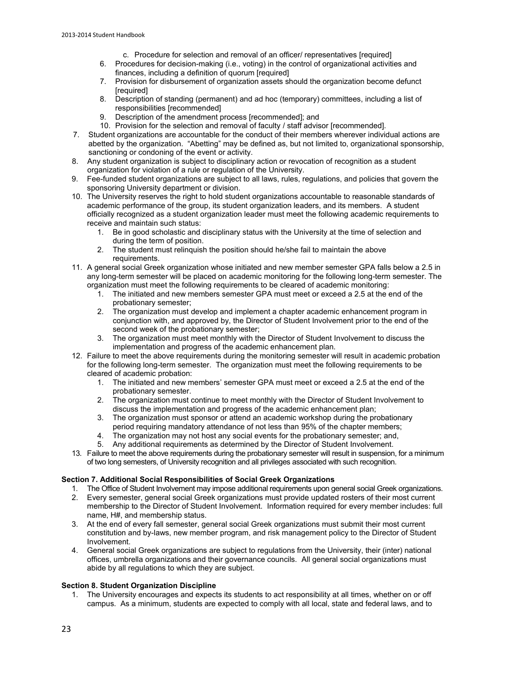- c. Procedure for selection and removal of an officer/ representatives [required]
- 6. Procedures for decision-making (i.e., voting) in the control of organizational activities and finances, including a definition of quorum [required]
- 7. Provision for disbursement of organization assets should the organization become defunct [required]
- 8. Description of standing (permanent) and ad hoc (temporary) committees, including a list of responsibilities [recommended]
- 9. Description of the amendment process [recommended]; and
- 10. Provision for the selection and removal of faculty / staff advisor [recommended].
- 7. Student organizations are accountable for the conduct of their members wherever individual actions are abetted by the organization. "Abetting" may be defined as, but not limited to, organizational sponsorship, sanctioning or condoning of the event or activity.
- 8. Any student organization is subject to disciplinary action or revocation of recognition as a student organization for violation of a rule or regulation of the University.
- 9. Fee-funded student organizations are subject to all laws, rules, regulations, and policies that govern the sponsoring University department or division.
- 10. The University reserves the right to hold student organizations accountable to reasonable standards of academic performance of the group, its student organization leaders, and its members. A student officially recognized as a student organization leader must meet the following academic requirements to receive and maintain such status:
	- 1. Be in good scholastic and disciplinary status with the University at the time of selection and during the term of position.
	- 2. The student must relinquish the position should he/she fail to maintain the above requirements.
- 11. A general social Greek organization whose initiated and new member semester GPA falls below a 2.5 in any long-term semester will be placed on academic monitoring for the following long-term semester. The organization must meet the following requirements to be cleared of academic monitoring:
	- 1. The initiated and new members semester GPA must meet or exceed a 2.5 at the end of the probationary semester;
	- 2. The organization must develop and implement a chapter academic enhancement program in conjunction with, and approved by, the Director of Student Involvement prior to the end of the second week of the probationary semester;
	- 3. The organization must meet monthly with the Director of Student Involvement to discuss the implementation and progress of the academic enhancement plan.
- 12. Failure to meet the above requirements during the monitoring semester will result in academic probation for the following long-term semester. The organization must meet the following requirements to be cleared of academic probation:
	- 1. The initiated and new members' semester GPA must meet or exceed a 2.5 at the end of the probationary semester.
	- 2. The organization must continue to meet monthly with the Director of Student Involvement to discuss the implementation and progress of the academic enhancement plan;
	- 3. The organization must sponsor or attend an academic workshop during the probationary period requiring mandatory attendance of not less than 95% of the chapter members;
	- 4. The organization may not host any social events for the probationary semester; and,
	- 5. Any additional requirements as determined by the Director of Student Involvement.
- 13. Failure to meet the above requirements during the probationary semester will result in suspension, for a minimum of two long semesters, of University recognition and all privileges associated with such recognition.

### **Section 7. Additional Social Responsibilities of Social Greek Organizations**

- 1. The Office of Student Involvement may impose additional requirements upon general social Greek organizations.
- 2. Every semester, general social Greek organizations must provide updated rosters of their most current membership to the Director of Student Involvement. Information required for every member includes: full name, H#, and membership status.
- 3. At the end of every fall semester, general social Greek organizations must submit their most current constitution and by-laws, new member program, and risk management policy to the Director of Student Involvement.
- 4. General social Greek organizations are subject to regulations from the University, their (inter) national offices, umbrella organizations and their governance councils. All general social organizations must abide by all regulations to which they are subject.

### **Section 8. Student Organization Discipline**

1. The University encourages and expects its students to act responsibility at all times, whether on or off campus. As a minimum, students are expected to comply with all local, state and federal laws, and to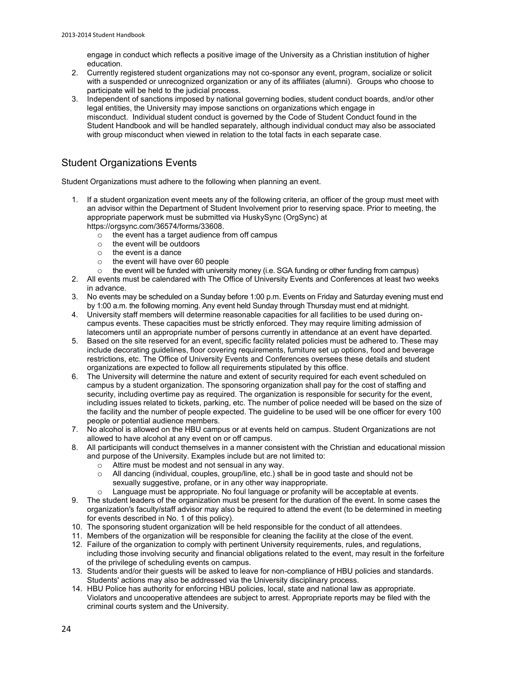engage in conduct which reflects a positive image of the University as a Christian institution of higher education.

- 2. Currently registered student organizations may not co-sponsor any event, program, socialize or solicit with a suspended or unrecognized organization or any of its affiliates (alumni). Groups who choose to participate will be held to the judicial process.
- 3. Independent of sanctions imposed by national governing bodies, student conduct boards, and/or other legal entities, the University may impose sanctions on organizations which engage in misconduct. Individual student conduct is governed by the Code of Student Conduct found in the Student Handbook and will be handled separately, although individual conduct may also be associated with group misconduct when viewed in relation to the total facts in each separate case.

# Student Organizations Events

Student Organizations must adhere to the following when planning an event.

- 1. If a student organization event meets any of the following criteria, an officer of the group must meet with an advisor within the Department of Student Involvement prior to reserving space. Prior to meeting, the appropriate paperwork must be submitted via HuskySync (OrgSync) at [https://orgsync.com/36574/forms/33608.](https://orgsync.com/36574/forms/33608)
	- $\circ$  the event has a target audience from off campus
	- o the event will be outdoors
	- $\circ$  the event is a dance
	- o the event will have over 60 people
	- $\circ$  the event will be funded with university money (i.e. SGA funding or other funding from campus)
- 2. All events must be calendared with The Office of University Events and Conferences at least two weeks in advance.
- 3. No events may be scheduled on a Sunday before 1:00 p.m. Events on Friday and Saturday evening must end by 1:00 a.m. the following morning. Any event held Sunday through Thursday must end at midnight.
- 4. University staff members will determine reasonable capacities for all facilities to be used during oncampus events. These capacities must be strictly enforced. They may require limiting admission of latecomers until an appropriate number of persons currently in attendance at an event have departed.
- 5. Based on the site reserved for an event, specific facility related policies must be adhered to. These may include decorating guidelines, floor covering requirements, furniture set up options, food and beverage restrictions, etc. The Office of University Events and Conferences oversees these details and student organizations are expected to follow all requirements stipulated by this office.
- 6. The University will determine the nature and extent of security required for each event scheduled on campus by a student organization. The sponsoring organization shall pay for the cost of staffing and security, including overtime pay as required. The organization is responsible for security for the event, including issues related to tickets, parking, etc. The number of police needed will be based on the size of the facility and the number of people expected. The guideline to be used will be one officer for every 100 people or potential audience members.
- 7. No alcohol is allowed on the HBU campus or at events held on campus. Student Organizations are not allowed to have alcohol at any event on or off campus.
- 8. All participants will conduct themselves in a manner consistent with the Christian and educational mission and purpose of the University. Examples include but are not limited to:
	- o Attire must be modest and not sensual in any way.
	- $\circ$  All dancing (individual, couples, group/line, etc.) shall be in good taste and should not be sexually suggestive, profane, or in any other way inappropriate.
		- Language must be appropriate. No foul language or profanity will be acceptable at events.
- 9. The student leaders of the organization must be present for the duration of the event. In some cases the organization's faculty/staff advisor may also be required to attend the event (to be determined in meeting for events described in No. 1 of this policy).
- 10. The sponsoring student organization will be held responsible for the conduct of all attendees.
- 11. Members of the organization will be responsible for cleaning the facility at the close of the event.
- 12. Failure of the organization to comply with pertinent University requirements, rules, and regulations, including those involving security and financial obligations related to the event, may result in the forfeiture of the privilege of scheduling events on campus.
- 13. Students and/or their guests will be asked to leave for non-compliance of HBU policies and standards. Students' actions may also be addressed via the University disciplinary process.
- 14. HBU Police has authority for enforcing HBU policies, local, state and national law as appropriate. Violators and uncooperative attendees are subject to arrest. Appropriate reports may be filed with the criminal courts system and the University.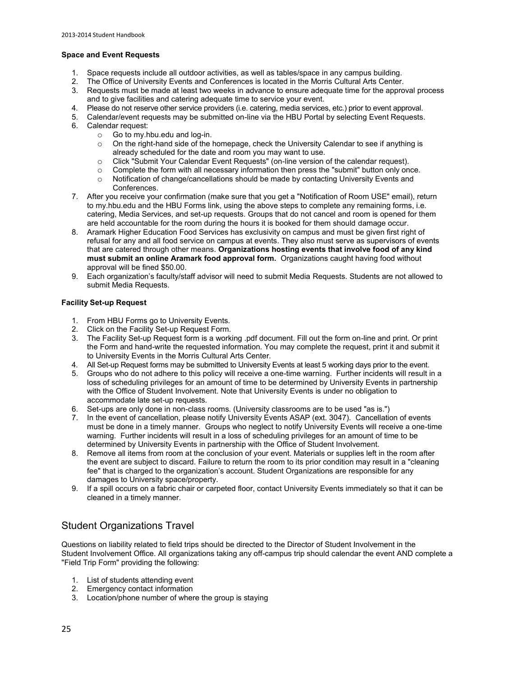### **Space and Event Requests**

- 1. Space requests include all outdoor activities, as well as tables/space in any campus building.
- 2. The Office of University Events and Conferences is located in the Morris Cultural Arts Center.<br>3. Requests must be made at least two weeks in advance to ensure adequate time for the appro
- 3. Requests must be made at least two weeks in advance to ensure adequate time for the approval process and to give facilities and catering adequate time to service your event.
- 4. Please do not reserve other service providers (i.e. catering, media services, etc.) prior to event approval.
- 5. Calendar/event requests may be submitted on-line via the HBU Portal by selecting Event Requests.
- 6. Calendar request:
	- o Go t[o my.hbu.edu](http://my.hbu.edu/) and log-in.
	- $\circ$  On the right-hand side of the homepage, check the University Calendar to see if anything is already scheduled for the date and room you may want to use.
	- o Click "Submit Your Calendar Event Requests" (on-line version of the calendar request).
	- $\circ$  Complete the form with all necessary information then press the "submit" button only once.
	- o Notification of change/cancellations should be made by contacting University Events and Conferences.
- 7. After you receive your confirmation (make sure that you get a "Notification of Room USE" email), return to [my.hbu.edu](http://my.hbu.edu/) and the HBU Forms link, using the above steps to complete any remaining forms, i.e. catering, Media Services, and set-up requests. Groups that do not cancel and room is opened for them are held accountable for the room during the hours it is booked for them should damage occur.
- 8. Aramark Higher Education Food Services has exclusivity on campus and must be given first right of refusal for any and all food service on campus at events. They also must serve as supervisors of events that are catered through other means. **Organizations hosting events that involve food of any kind must submit an online Aramark food approval form.** Organizations caught having food without approval will be fined \$50.00.
- 9. Each organization's faculty/staff advisor will need to submit Media Requests. Students are not allowed to submit Media Requests.

### **Facility Set-up Request**

- 1. From HBU Forms go to University Events.
- 2. Click on the Facility Set-up Request Form.<br>3. The Facility Set-up Request form is a work
- 3. The Facility Set-up Request form is a working .pdf document. Fill out the form on-line and print. Or print the Form and hand-write the requested information. You may complete the request, print it and submit it to University Events in the Morris Cultural Arts Center.
- 4. All Set-up Request forms may be submitted to University Events at least 5 working days prior to the event.
- 5. Groups who do not adhere to this policy will receive a one-time warning. Further incidents will result in a loss of scheduling privileges for an amount of time to be determined by University Events in partnership with the Office of Student Involvement. Note that University Events is under no obligation to accommodate late set-up requests.
- 6. Set-ups are only done in non-class rooms. (University classrooms are to be used "as is.")
- 7. In the event of cancellation, please notify University Events ASAP (ext. 3047). Cancellation of events must be done in a timely manner. Groups who neglect to notify University Events will receive a one-time warning. Further incidents will result in a loss of scheduling privileges for an amount of time to be determined by University Events in partnership with the Office of Student Involvement.
- 8. Remove all items from room at the conclusion of your event. Materials or supplies left in the room after the event are subject to discard. Failure to return the room to its prior condition may result in a "cleaning fee" that is charged to the organization's account. Student Organizations are responsible for any damages to University space/property.
- 9. If a spill occurs on a fabric chair or carpeted floor, contact University Events immediately so that it can be cleaned in a timely manner.

# Student Organizations Travel

Questions on liability related to field trips should be directed to the Director of Student Involvement in the Student Involvement Office. All organizations taking any off-campus trip should calendar the event AND complete a "Field Trip Form" providing the following:

- 1. List of students attending event
- 2. Emergency contact information
- 3. Location/phone number of where the group is staying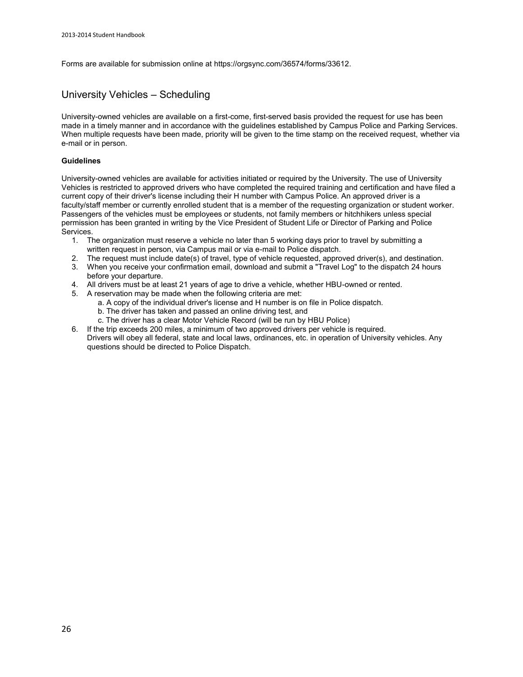Forms are available for submission online a[t https://orgsync.com/36574/forms/33612.](https://orgsync.com/36574/forms/33612)

### University Vehicles – Scheduling

University-owned vehicles are available on a first-come, first-served basis provided the request for use has been made in a timely manner and in accordance with the guidelines established by Campus Police and Parking Services. When multiple requests have been made, priority will be given to the time stamp on the received request, whether via e-mail or in person.

### **Guidelines**

University-owned vehicles are available for activities initiated or required by the University. The use of University Vehicles is restricted to approved drivers who have completed the required training and certification and have filed a current copy of their driver's license including their H number with Campus Police. An approved driver is a faculty/staff member or currently enrolled student that is a member of the requesting organization or student worker. Passengers of the vehicles must be employees or students, not family members or hitchhikers unless special permission has been granted in writing by the Vice President of Student Life or Director of Parking and Police Services.

- 1. The organization must reserve a vehicle no later than 5 working days prior to travel by submitting a written request in person, via Campus mail or via e-mail to Police dispatch.
- 2. The request must include date(s) of travel, type of vehicle requested, approved driver(s), and destination.
- 3. When you receive your confirmation email, download and submit a "Travel Log" to the dispatch 24 hours before your departure.
- 4. All drivers must be at least 21 years of age to drive a vehicle, whether HBU-owned or rented.
- 5. A reservation may be made when the following criteria are met:
	- a. A copy of the individual driver's license and H number is on file in Police dispatch.
	- b. The driver has taken and passed an online driving test, and
	- c. The driver has a clear Motor Vehicle Record (will be run by HBU Police)
- 6. If the trip exceeds 200 miles, a minimum of two approved drivers per vehicle is required. Drivers will obey all federal, state and local laws, ordinances, etc. in operation of University vehicles. Any questions should be directed to Police Dispatch.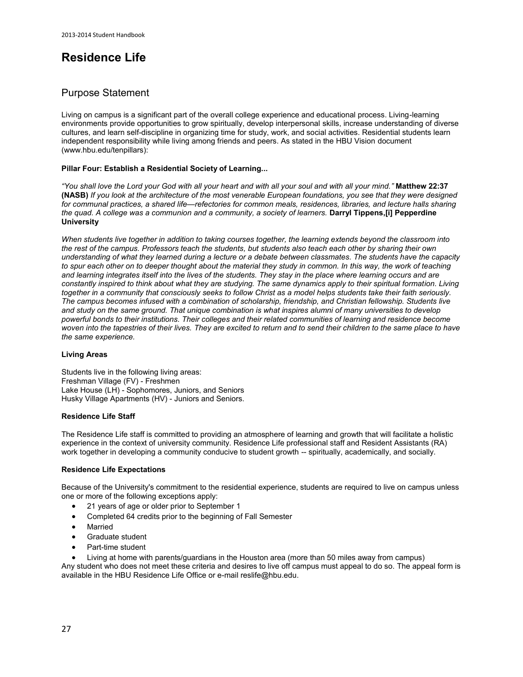# **Residence Life**

### Purpose Statement

Living on campus is a significant part of the overall college experience and educational process. Living-learning environments provide opportunities to grow spiritually, develop interpersonal skills, increase understanding of diverse cultures, and learn self-discipline in organizing time for study, work, and social activities. Residential students learn independent responsibility while living among friends and peers. As stated in the HBU Vision document [\(www.hbu.edu/tenpillars\)](http://staging.hbu.edu/About-HBU/General-Information/The-Ten-Pillars.aspx):

### **[Pillar Four: Establish a Residential Society of Learning...](http://staging.hbu.edu/About-HBU/General-Information/The-Ten-Pillars/A-Residential-Society.aspx)**

*"You shall love the Lord your God with all your heart and with all your soul and with all your mind."* **Matthew 22:37 (NASB)** *If you look at the architecture of the most venerable European foundations, you see that they were designed*  for communal practices, a shared life—refectories for common meals, residences, libraries, and lecture halls sharing *the quad. A college was a communion and a community, a society of learners.* **Darryl Tippens,[i] Pepperdine University** 

*When students live together in addition to taking courses together, the learning extends beyond the classroom into the rest of the campus. Professors teach the students, but students also teach each other by sharing their own understanding of what they learned during a lecture or a debate between classmates. The students have the capacity*  to spur each other on to deeper thought about the material they study in common. In this way, the work of teaching *and learning integrates itself into the lives of the students. They stay in the place where learning occurs and are constantly inspired to think about what they are studying. The same dynamics apply to their spiritual formation. Living together in a community that consciously seeks to follow Christ as a model helps students take their faith seriously. The campus becomes infused with a combination of scholarship, friendship, and Christian fellowship. Students live and study on the same ground. That unique combination is what inspires alumni of many universities to develop powerful bonds to their institutions. Their colleges and their related communities of learning and residence become woven into the tapestries of their lives. They are excited to return and to send their children to the same place to have the same experience.* 

### **Living Areas**

Students live in the following living areas: [Freshman Village](http://staging.hbu.edu/Students-Alumni/Student-Information/Residence-Life/Residence-Housing/Residence-Colleges.aspx) (FV) - Freshmen [Lake House](http://staging.hbu.edu/Students-Alumni/Student-Information/Residence-Life/Residence-Housing/The-Lake-House.aspx) (LH) - Sophomores, Juniors, and Seniors [Husky Village Apartments \(](http://staging.hbu.edu/Students-Alumni/Student-Information/Residence-Life/Residence-Housing/Husky-Village.aspx)HV) - Juniors and Seniors.

### **Residence Life Staff**

The Residence Life staff is committed to providing an atmosphere of learning and growth that will facilitate a holistic experience in the context of university community. Residence Life professional staff and Resident Assistants (RA) work together in developing a community conducive to student growth -- spiritually, academically, and socially.

### **Residence Life Expectations**

Because of the University's commitment to the residential experience, students are required to live on campus unless one or more of the following exceptions apply:

- 21 years of age or older prior to September 1
- Completed 64 credits prior to the beginning of Fall Semester
- Married
- Graduate student
- Part-time student
- Living at home with parents/guardians in the Houston area (more than 50 miles away from campus)

Any student who does not meet these criteria and desires to live off campus must appeal to do so. The appeal form is available in the HBU Residence Life Office or e-mai[l reslife@hbu.edu.](mailto:reslife@hbu.edu)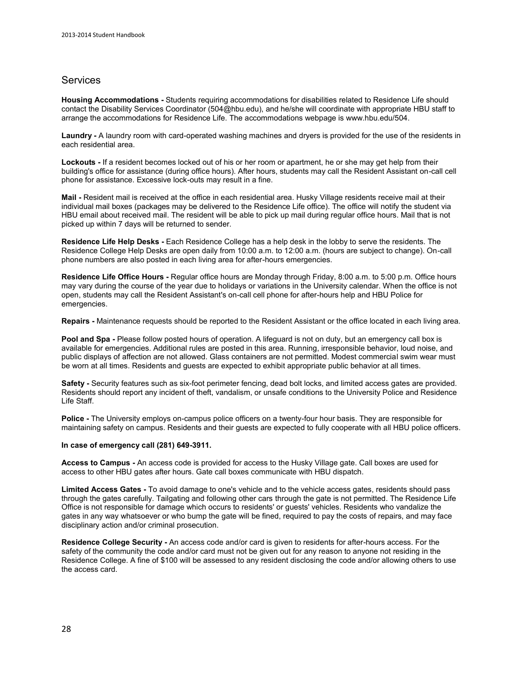### **Services**

**Housing Accommodations -** Students requiring accommodations for disabilities related to Residence Life should contact the Disability Services Coordinator (504@hbu.edu), and he/she will coordinate with appropriate HBU staff to arrange the accommodations for Residence Life. The accommodations webpage is [www.hbu.edu/504.](http://www.hbu.edu/504)

**Laundry -** A laundry room with card-operated washing machines and dryers is provided for the use of the residents in each residential area.

**Lockouts -** If a resident becomes locked out of his or her room or apartment, he or she may get help from their building's office for assistance (during office hours). After hours, students may call the Resident Assistant on-call cell phone for assistance. Excessive lock-outs may result in a fine.

**Mail -** Resident mail is received at the office in each residential area. Husky Village residents receive mail at their individual mail boxes (packages may be delivered to the Residence Life office). The office will notify the student via HBU email about received mail. The resident will be able to pick up mail during regular office hours. Mail that is not picked up within 7 days will be returned to sender.

**Residence Life Help Desks -** Each Residence College has a help desk in the lobby to serve the residents. The Residence College Help Desks are open daily from 10:00 a.m. to 12:00 a.m. (hours are subject to change). On-call phone numbers are also posted in each living area for after-hours emergencies.

**Residence Life Office Hours -** Regular office hours are Monday through Friday, 8:00 a.m. to 5:00 p.m. Office hours may vary during the course of the year due to holidays or variations in the University calendar. When the office is not open, students may call the Resident Assistant's on-call cell phone for after-hours help and HBU Police for emergencies.

**Repairs -** Maintenance requests should be reported to the Resident Assistant or the office located in each living area.

Pool and Spa - Please follow posted hours of operation. A lifeguard is not on duty, but an emergency call box is available for emergencies. Additional rules are posted in this area. Running, irresponsible behavior, loud noise, and public displays of affection are not allowed. Glass containers are not permitted. Modest commercial swim wear must be worn at all times. Residents and guests are expected to exhibit appropriate public behavior at all times.

**Safety -** Security features such as six-foot perimeter fencing, dead bolt locks, and limited access gates are provided. Residents should report any incident of theft, vandalism, or unsafe conditions to the University Police and Residence Life Staff.

**Police -** The University employs on-campus police officers on a twenty-four hour basis. They are responsible for maintaining safety on campus. Residents and their guests are expected to fully cooperate with all HBU police officers.

#### **In case of emergency call (281) 649-3911.**

**Access to Campus -** An access code is provided for access to the Husky Village gate. Call boxes are used for access to other HBU gates after hours. Gate call boxes communicate with HBU dispatch.

**Limited Access Gates -** To avoid damage to one's vehicle and to the vehicle access gates, residents should pass through the gates carefully. Tailgating and following other cars through the gate is not permitted. The Residence Life Office is not responsible for damage which occurs to residents' or guests' vehicles. Residents who vandalize the gates in any way whatsoever or who bump the gate will be fined, required to pay the costs of repairs, and may face disciplinary action and/or criminal prosecution.

**Residence College Security -** An access code and/or card is given to residents for after-hours access. For the safety of the community the code and/or card must not be given out for any reason to anyone not residing in the Residence College. A fine of \$100 will be assessed to any resident disclosing the code and/or allowing others to use the access card.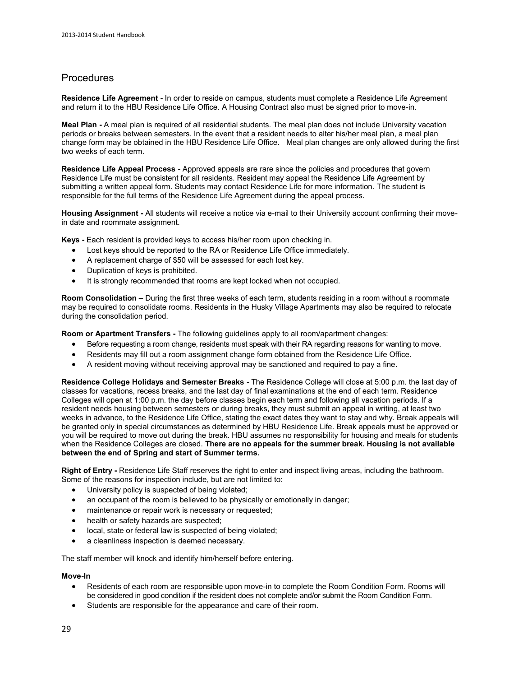# **Procedures**

**Residence Life Agreement -** In order to reside on campus, students must complete [a Residence Life Agreement](http://staging.hbu.edu/Students-Alumni/Student-Information/Residence-Life/Residence-Housing/Housing-Details/Housing-Agreement.aspx) and return it to th[e HBU Residence Life Office.](http://staging.hbu.edu/Students-Alumni/Student-Information/Residence-Life/Residence-Housing/Contact.aspx) A Housing Contract also must be signed prior to move-in.

**Meal Plan -** A [meal plan](http://staging.hbu.edu/Students-Alumni/Student-Information/Residence-Life/Residence-Housing/Housing-Details/Dining-Memberships.aspx) is required of all residential students. The meal plan does not include University vacation periods or breaks between semesters. In the event that a resident needs to alter his/her meal plan, a meal plan change form may be obtained in the HBU Residence Life Office. Meal plan changes are only allowed during the first two weeks of each term.

**Residence Life Appeal Process -** Approved appeals are rare since the policies and procedures that govern Residence Life must be consistent for all residents. Resident may appeal the Residence Life Agreement by submitting a written appeal form. Students may contact Residence Life for more information. The student is responsible for the full terms of the Residence Life Agreement during the appeal process.

**Housing Assignment -** All students will receive a notice via e-mail to their University account confirming their movein date and roommate assignment.

**Keys -** Each resident is provided keys to access his/her room upon checking in.

- Lost keys should be reported to the RA or Residence Life Office immediately.
- A replacement charge of \$50 will be assessed for each lost key.
- Duplication of keys is prohibited.
- It is strongly recommended that rooms are kept locked when not occupied.

**Room Consolidation –** During the first three weeks of each term, students residing in a room without a roommate may be required to consolidate rooms. Residents in the Husky Village Apartments may also be required to relocate during the consolidation period.

**Room or Apartment Transfers -** The following guidelines apply to all room/apartment changes:

- Before requesting a room change, residents must speak with their RA regarding reasons for wanting to move.
- Residents may fill out a room assignment change form obtained from the Residence Life Office.
- A resident moving without receiving approval may be sanctioned and required to pay a fine.

**Residence College Holidays and Semester Breaks -** The Residence College will close at 5:00 p.m. the last day of classes for vacations, recess breaks, and the last day of final examinations at the end of each term. Residence Colleges will open at 1:00 p.m. the day before classes begin each term and following all vacation periods. If a resident needs housing between semesters or during breaks, they must submit an appeal in writing, at least two weeks in advance, to the Residence Life Office, stating the exact dates they want to stay and why. Break appeals will be granted only in special circumstances as determined by HBU Residence Life. Break appeals must be approved or you will be required to move out during the break. HBU assumes no responsibility for housing and meals for students when the Residence Colleges are closed. **There are no appeals for the summer break. Housing is not available between the end of Spring and start of Summer terms.**

**Right of Entry -** Residence Life Staff reserves the right to enter and inspect living areas, including the bathroom. Some of the reasons for inspection include, but are not limited to:

- University policy is suspected of being violated;
- an occupant of the room is believed to be physically or emotionally in danger;
- maintenance or repair work is necessary or requested;
- health or safety hazards are suspected;
- local, state or federal law is suspected of being violated;
- a cleanliness inspection is deemed necessary.

The staff member will knock and identify him/herself before entering.

### **Move-In**

- Residents of each room are responsible upon move-in to complete the Room Condition Form. Rooms will be considered in good condition if the resident does not complete and/or submit the Room Condition Form.
- Students are responsible for the appearance and care of their room.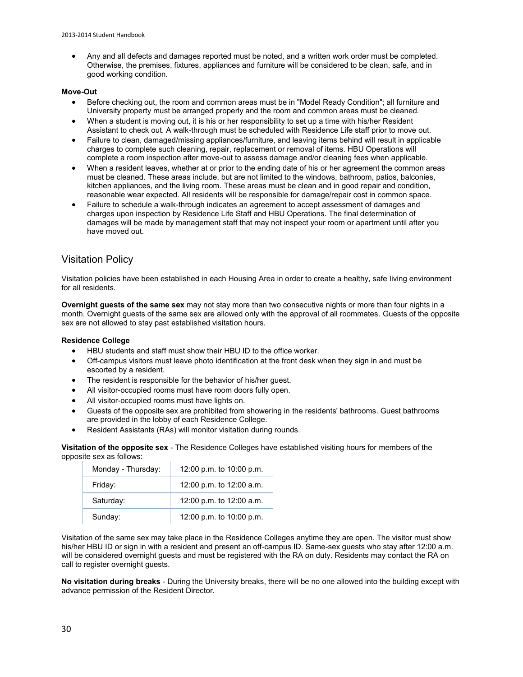Any and all defects and damages reported must be noted, and a written work order must be completed. Otherwise, the premises, fixtures, appliances and furniture will be considered to be clean, safe, and in good working condition.

### **Move-Out**

- Before checking out, the room and common areas must be in "Model Ready Condition"; all furniture and University property must be arranged properly and the room and common areas must be cleaned.
- When a student is moving out, it is his or her responsibility to set up a time with his/her Resident Assistant to check out. A walk-through must be scheduled with Residence Life staff prior to move out.
- Failure to clean, damaged/missing appliances/furniture, and leaving items behind will result in applicable charges to complete such cleaning, repair, replacement or removal of items. HBU Operations will complete a room inspection after move-out to assess damage and/or cleaning fees when applicable.
- When a resident leaves, whether at or prior to the ending date of his or her agreement the common areas must be cleaned. These areas include, but are not limited to the windows, bathroom, patios, balconies, kitchen appliances, and the living room. These areas must be clean and in good repair and condition, reasonable wear expected. All residents will be responsible for damage/repair cost in common space.
- Failure to schedule a walk-through indicates an agreement to accept assessment of damages and charges upon inspection by Residence Life Staff and HBU Operations. The final determination of damages will be made by management staff that may not inspect your room or apartment until after you have moved out.

# Visitation Policy

Visitation policies have been established in each Housing Area in order to create a healthy, safe living environment for all residents.

**Overnight guests of the same sex** may not stay more than two consecutive nights or more than four nights in a month. Overnight guests of the same sex are allowed only with the approval of all roommates. Guests of the opposite sex are not allowed to stay past established visitation hours.

### **Residence College**

- HBU students and staff must show their HBU ID to the office worker.
- Off-campus visitors must leave photo identification at the front desk when they sign in and must be escorted by a resident.
- The resident is responsible for the behavior of his/her guest.
- All visitor-occupied rooms must have room doors fully open.
- All visitor-occupied rooms must have lights on.
- Guests of the opposite sex are prohibited from showering in the residents' bathrooms. Guest bathrooms are provided in the lobby of each Residence College.
- Resident Assistants (RAs) will monitor visitation during rounds.

**Visitation of the opposite sex** - The Residence Colleges have established visiting hours for members of the opposite sex as follows:

| Monday - Thursday: | 12:00 p.m. to 10:00 p.m. |
|--------------------|--------------------------|
| Friday:            | 12:00 p.m. to 12:00 a.m. |
| Saturday:          | 12:00 p.m. to 12:00 a.m. |
| Sunday:            | 12:00 p.m. to 10:00 p.m. |

Visitation of the same sex may take place in the Residence Colleges anytime they are open. The visitor must show his/her HBU ID or sign in with a resident and present an off-campus ID. Same-sex guests who stay after 12:00 a.m. will be considered overnight guests and must be registered with the RA on duty. Residents may contact the RA on call to register overnight guests.

**No visitation during breaks** - During the University breaks, there will be no one allowed into the building except with advance permission of the Resident Director.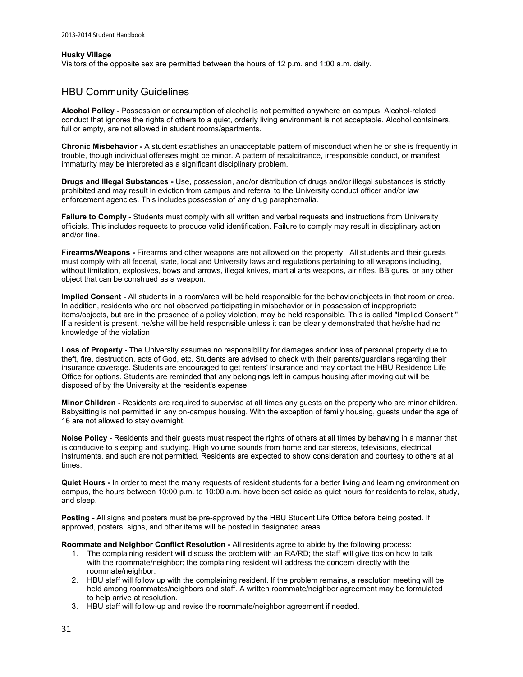#### **Husky Village**

Visitors of the opposite sex are permitted between the hours of 12 p.m. and 1:00 a.m. daily.

### HBU Community Guidelines

**Alcohol Policy -** Possession or consumption of alcohol is not permitted anywhere on campus. Alcohol-related conduct that ignores the rights of others to a quiet, orderly living environment is not acceptable. Alcohol containers, full or empty, are not allowed in student rooms/apartments.

**Chronic Misbehavior -** A student establishes an unacceptable pattern of misconduct when he or she is frequently in trouble, though individual offenses might be minor. A pattern of recalcitrance, irresponsible conduct, or manifest immaturity may be interpreted as a significant disciplinary problem.

**Drugs and Illegal Substances -** Use, possession, and/or distribution of drugs and/or illegal substances is strictly prohibited and may result in eviction from campus and referral to the University conduct officer and/or law enforcement agencies. This includes possession of any drug paraphernalia.

**Failure to Comply -** Students must comply with all written and verbal requests and instructions from University officials. This includes requests to produce valid identification. Failure to comply may result in disciplinary action and/or fine.

**Firearms/Weapons -** Firearms and other weapons are not allowed on the property. All students and their guests must comply with all federal, state, local and University laws and regulations pertaining to all weapons including, without limitation, explosives, bows and arrows, illegal knives, martial arts weapons, air rifles, BB guns, or any other object that can be construed as a weapon.

**Implied Consent -** All students in a room/area will be held responsible for the behavior/objects in that room or area. In addition, residents who are not observed participating in misbehavior or in possession of inappropriate items/objects, but are in the presence of a policy violation, may be held responsible. This is called "Implied Consent." If a resident is present, he/she will be held responsible unless it can be clearly demonstrated that he/she had no knowledge of the violation.

**Loss of Property -** The University assumes no responsibility for damages and/or loss of personal property due to theft, fire, destruction, acts of God, etc. Students are advised to check with their parents/guardians regarding their insurance coverage. Students are encouraged to get renters' insurance and may contact the HBU Residence Life Office for options. Students are reminded that any belongings left in campus housing after moving out will be disposed of by the University at the resident's expense.

**Minor Children -** Residents are required to supervise at all times any guests on the property who are minor children. Babysitting is not permitted in any on-campus housing. With the exception of family housing, guests under the age of 16 are not allowed to stay overnight.

**Noise Policy -** Residents and their guests must respect the rights of others at all times by behaving in a manner that is conducive to sleeping and studying. High volume sounds from home and car stereos, televisions, electrical instruments, and such are not permitted. Residents are expected to show consideration and courtesy to others at all times.

**Quiet Hours -** In order to meet the many requests of resident students for a better living and learning environment on campus, the hours between 10:00 p.m. to 10:00 a.m. have been set aside as quiet hours for residents to relax, study, and sleep.

**Posting -** All signs and posters must be pre-approved by the HBU Student Life Office before being posted. If approved, posters, signs, and other items will be posted in designated areas.

**Roommate and Neighbor Conflict Resolution -** All residents agree to abide by the following process:

- 1. The complaining resident will discuss the problem with an RA/RD; the staff will give tips on how to talk with the roommate/neighbor; the complaining resident will address the concern directly with the roommate/neighbor.
- 2. HBU staff will follow up with the complaining resident. If the problem remains, a resolution meeting will be held among roommates/neighbors and staff. A written roommate/neighbor agreement may be formulated to help arrive at resolution.
- 3. HBU staff will follow-up and revise the roommate/neighbor agreement if needed.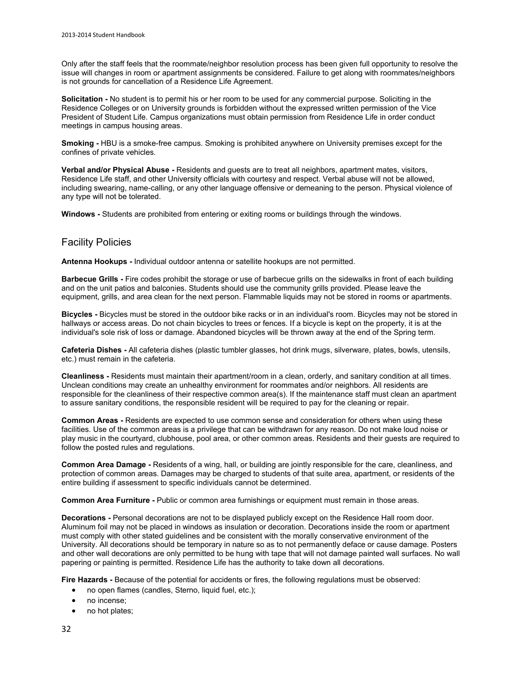Only after the staff feels that the roommate/neighbor resolution process has been given full opportunity to resolve the issue will changes in room or apartment assignments be considered. Failure to get along with roommates/neighbors is not grounds for cancellation of a Residence Life Agreement.

**Solicitation -** No student is to permit his or her room to be used for any commercial purpose. Soliciting in the Residence Colleges or on University grounds is forbidden without the expressed written permission of the Vice President of Student Life. Campus organizations must obtain permission from Residence Life in order conduct meetings in campus housing areas.

**Smoking -** HBU is a smoke-free campus. Smoking is prohibited anywhere on University premises except for the confines of private vehicles.

**Verbal and/or Physical Abuse -** Residents and guests are to treat all neighbors, apartment mates, visitors, Residence Life staff, and other University officials with courtesy and respect. Verbal abuse will not be allowed, including swearing, name-calling, or any other language offensive or demeaning to the person. Physical violence of any type will not be tolerated.

**Windows -** Students are prohibited from entering or exiting rooms or buildings through the windows.

### Facility Policies

**Antenna Hookups -** Individual outdoor antenna or satellite hookups are not permitted.

**Barbecue Grills -** Fire codes prohibit the storage or use of barbecue grills on the sidewalks in front of each building and on the unit patios and balconies. Students should use the community grills provided. Please leave the equipment, grills, and area clean for the next person. Flammable liquids may not be stored in rooms or apartments.

**Bicycles -** Bicycles must be stored in the outdoor bike racks or in an individual's room. Bicycles may not be stored in hallways or access areas. Do not chain bicycles to trees or fences. If a bicycle is kept on the property, it is at the individual's sole risk of loss or damage. Abandoned bicycles will be thrown away at the end of the Spring term.

**Cafeteria Dishes -** All cafeteria dishes (plastic tumbler glasses, hot drink mugs, silverware, plates, bowls, utensils, etc.) must remain in the cafeteria.

**Cleanliness -** Residents must maintain their apartment/room in a clean, orderly, and sanitary condition at all times. Unclean conditions may create an unhealthy environment for roommates and/or neighbors. All residents are responsible for the cleanliness of their respective common area(s). If the maintenance staff must clean an apartment to assure sanitary conditions, the responsible resident will be required to pay for the cleaning or repair.

**Common Areas -** Residents are expected to use common sense and consideration for others when using these facilities. Use of the common areas is a privilege that can be withdrawn for any reason. Do not make loud noise or play music in the courtyard, clubhouse, pool area, or other common areas. Residents and their guests are required to follow the posted rules and regulations.

**Common Area Damage -** Residents of a wing, hall, or building are jointly responsible for the care, cleanliness, and protection of common areas. Damages may be charged to students of that suite area, apartment, or residents of the entire building if assessment to specific individuals cannot be determined.

**Common Area Furniture -** Public or common area furnishings or equipment must remain in those areas.

**Decorations -** Personal decorations are not to be displayed publicly except on the Residence Hall room door. Aluminum foil may not be placed in windows as insulation or decoration. Decorations inside the room or apartment must comply with other stated guidelines and be consistent with the morally conservative environment of the University. All decorations should be temporary in nature so as to not permanently deface or cause damage. Posters and other wall decorations are only permitted to be hung with tape that will not damage painted wall surfaces. No wall papering or painting is permitted. Residence Life has the authority to take down all decorations.

**Fire Hazards -** Because of the potential for accidents or fires, the following regulations must be observed:

- no open flames (candles, Sterno, liquid fuel, etc.);
- no incense:
- no hot plates;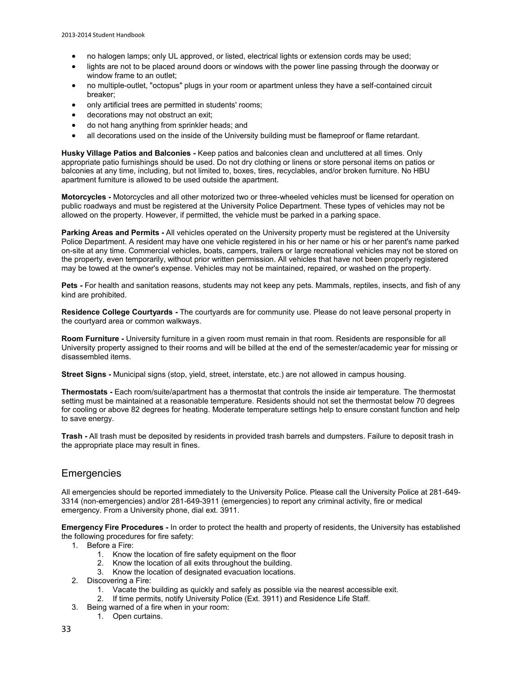- no halogen lamps; only UL approved, or listed, electrical lights or extension cords may be used;
- lights are not to be placed around doors or windows with the power line passing through the doorway or window frame to an outlet;
- no multiple-outlet, "octopus" plugs in your room or apartment unless they have a self-contained circuit breaker;
- only artificial trees are permitted in students' rooms;
- decorations may not obstruct an exit;
- do not hang anything from sprinkler heads; and
- all decorations used on the inside of the University building must be flameproof or flame retardant.

**Husky Village Patios and Balconies -** Keep patios and balconies clean and uncluttered at all times. Only appropriate patio furnishings should be used. Do not dry clothing or linens or store personal items on patios or balconies at any time, including, but not limited to, boxes, tires, recyclables, and/or broken furniture. No HBU apartment furniture is allowed to be used outside the apartment.

**Motorcycles -** Motorcycles and all other motorized two or three-wheeled vehicles must be licensed for operation on public roadways and must be registered at the University Police Department. These types of vehicles may not be allowed on the property. However, if permitted, the vehicle must be parked in a parking space.

**Parking Areas and Permits -** All vehicles operated on the University property must be registered at the University Police Department. A resident may have one vehicle registered in his or her name or his or her parent's name parked on-site at any time. Commercial vehicles, boats, campers, trailers or large recreational vehicles may not be stored on the property, even temporarily, without prior written permission. All vehicles that have not been properly registered may be towed at the owner's expense. Vehicles may not be maintained, repaired, or washed on the property.

**Pets -** For health and sanitation reasons, students may not keep any pets. Mammals, reptiles, insects, and fish of any kind are prohibited.

**Residence College Courtyards -** The courtyards are for community use. Please do not leave personal property in the courtyard area or common walkways.

**Room Furniture -** University furniture in a given room must remain in that room. Residents are responsible for all University property assigned to their rooms and will be billed at the end of the semester/academic year for missing or disassembled items.

**Street Signs -** Municipal signs (stop, yield, street, interstate, etc.) are not allowed in campus housing.

**Thermostats -** Each room/suite/apartment has a thermostat that controls the inside air temperature. The thermostat setting must be maintained at a reasonable temperature. Residents should not set the thermostat below 70 degrees for cooling or above 82 degrees for heating. Moderate temperature settings help to ensure constant function and help to save energy.

**Trash -** All trash must be deposited by residents in provided trash barrels and dumpsters. Failure to deposit trash in the appropriate place may result in fines.

### **Emergencies**

All emergencies should be reported immediately to the University Police. Please call the University Police at 281-649- 3314 (non-emergencies) and/or 281-649-3911 (emergencies) to report any criminal activity, fire or medical emergency. From a University phone, dial ext. 3911.

**Emergency Fire Procedures -** In order to protect the health and property of residents, the University has established the following procedures for fire safety:

1. Before a Fire:

- 1. Know the location of fire safety equipment on the floor
- 2. Know the location of all exits throughout the building.
- 3. Know the location of designated evacuation locations.
- 2. Discovering a Fire:
	- 1. Vacate the building as quickly and safely as possible via the nearest accessible exit.
	- 2. If time permits, notify University Police (Ext. 3911) and Residence Life Staff.
- 3. Being warned of a fire when in your room:
	- 1. Open curtains.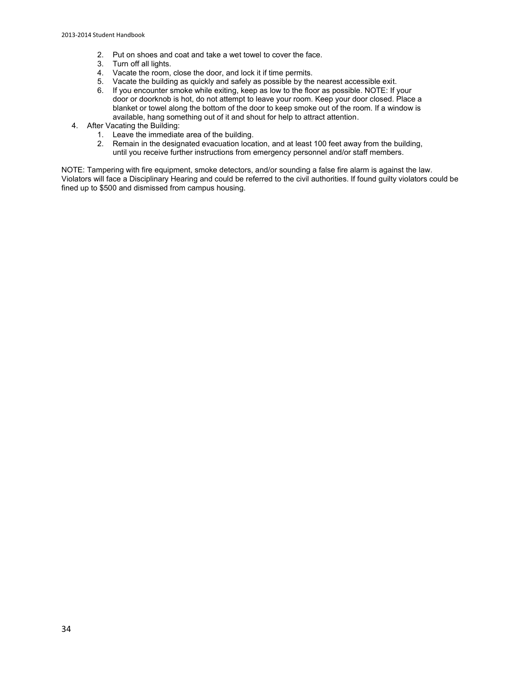- 2. Put on shoes and coat and take a wet towel to cover the face.
- Turn off all lights.
- 4. Vacate the room, close the door, and lock it if time permits.
- 5. Vacate the building as quickly and safely as possible by the nearest accessible exit.
- 6. If you encounter smoke while exiting, keep as low to the floor as possible. NOTE: If your door or doorknob is hot, do not attempt to leave your room. Keep your door closed. Place a blanket or towel along the bottom of the door to keep smoke out of the room. If a window is available, hang something out of it and shout for help to attract attention.
- 4. After Vacating the Building:
	- 1. Leave the immediate area of the building.
	- 2. Remain in the designated evacuation location, and at least 100 feet away from the building, until you receive further instructions from emergency personnel and/or staff members.

NOTE: Tampering with fire equipment, smoke detectors, and/or sounding a false fire alarm is against the law. Violators will face a Disciplinary Hearing and could be referred to the civil authorities. If found guilty violators could be fined up to \$500 and dismissed from campus housing.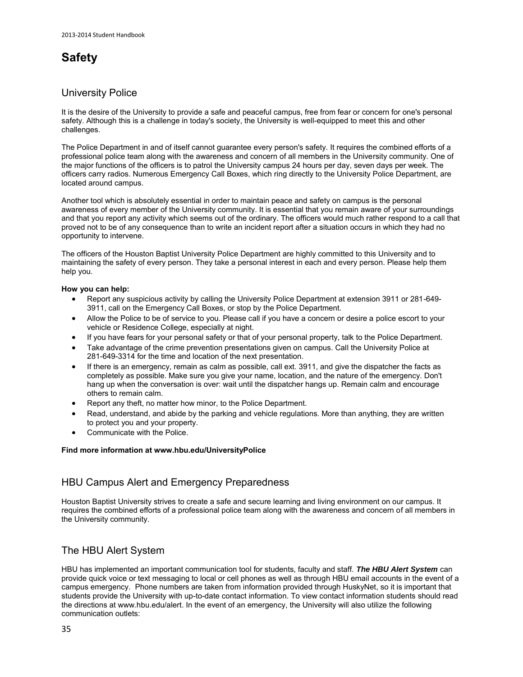# **Safety**

### University Police

It is the desire of the University to provide a safe and peaceful campus, free from fear or concern for one's personal safety. Although this is a challenge in today's society, the University is well-equipped to meet this and other challenges.

The Police Department in and of itself cannot guarantee every person's safety. It requires the combined efforts of a professional police team along with the awareness and concern of all members in the University community. One of the major functions of the officers is to patrol the University campus 24 hours per day, seven days per week. The officers carry radios. Numerous Emergency Call Boxes, which ring directly to the University Police Department, are located around campus.

Another tool which is absolutely essential in order to maintain peace and safety on campus is the personal awareness of every member of the University community. It is essential that you remain aware of your surroundings and that you report any activity which seems out of the ordinary. The officers would much rather respond to a call that proved not to be of any consequence than to write an incident report after a situation occurs in which they had no opportunity to intervene.

The officers of the Houston Baptist University Police Department are highly committed to this University and to maintaining the safety of every person. They take a personal interest in each and every person. Please help them help you.

### **How you can help:**

- Report any suspicious activity by calling the University Police Department at extension 3911 or 281-649- 3911, call on the Emergency Call Boxes, or stop by the Police Department.
- Allow the Police to be of service to you. Please call if you have a concern or desire a police escort to your vehicle or Residence College, especially at night.
- If you have fears for your personal safety or that of your personal property, talk to the Police Department.
- Take advantage of the crime prevention presentations given on campus. Call the University Police at 281-649-3314 for the time and location of the next presentation.
- If there is an emergency, remain as calm as possible, call ext. 3911, and give the dispatcher the facts as completely as possible. Make sure you give your name, location, and the nature of the emergency. Don't hang up when the conversation is over: wait until the dispatcher hangs up. Remain calm and encourage others to remain calm.
- Report any theft, no matter how minor, to the Police Department.
- Read, understand, and abide by the parking and vehicle regulations. More than anything, they are written to protect you and your property.
- Communicate with the Police.

### **Find more information a[t www.hbu.edu/UniversityPolice](http://www.hbu.edu/UniversityPolice)**

# HBU Campus Alert and Emergency Preparedness

Houston Baptist University strives to create a safe and secure learning and living environment on our campus. It requires the combined efforts of a professional police team along with the awareness and concern of all members in the University community.

# The HBU Alert System

HBU has implemented an important communication tool for students, faculty and staff. *The HBU Alert System* can provide quick voice or text messaging to local or cell phones as well as through HBU email accounts in the event of a campus emergency. Phone numbers are taken from information provided through HuskyNet, so it is important that students provide the University with up-to-date contact information. To view contact information students should read the directions at [www.hbu.edu/alert.](http://www.hbu.edu/alert) In the event of an emergency, the University will also utilize the following communication outlets: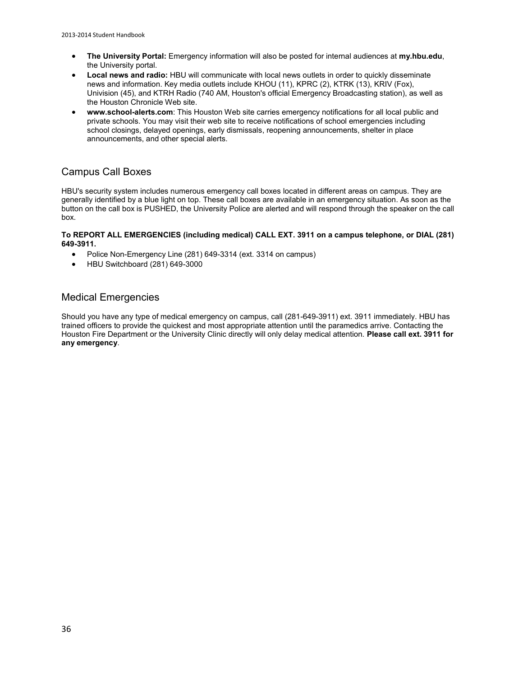- **The University Portal:** Emergency information will also be posted for internal audiences at **[my.hbu.edu](http://my.hbu.edu/)**, the University portal.
- **Local news and radio:** HBU will communicate with local news outlets in order to quickly disseminate news and information. Key media outlets include KHOU (11), KPRC (2), KTRK (13), KRIV (Fox), Univision (45), and KTRH Radio (740 AM, Houston's official Emergency Broadcasting station), as well as the Houston Chronicle Web site.
- **[www.school-alerts.com](http://www.school-alerts.com/)**: This Houston Web site carries emergency notifications for all local public and private schools. You may visit their web site to receive notifications of school emergencies including school closings, delayed openings, early dismissals, reopening announcements, shelter in place announcements, and other special alerts.

## Campus Call Boxes

HBU's security system includes numerous emergency call boxes located in different areas on campus. They are generally identified by a blue light on top. These call boxes are available in an emergency situation. As soon as the button on the call box is PUSHED, the University Police are alerted and will respond through the speaker on the call box.

### **To REPORT ALL EMERGENCIES (including medical) CALL EXT. 3911 on a campus telephone, or DIAL (281) 649-3911.**

- Police Non-Emergency Line (281) 649-3314 (ext. 3314 on campus)
- HBU Switchboard (281) 649-3000

### Medical Emergencies

Should you have any type of medical emergency on campus, call (281-649-3911) ext. 3911 immediately. HBU has trained officers to provide the quickest and most appropriate attention until the paramedics arrive. Contacting the Houston Fire Department or the University Clinic directly will only delay medical attention. **Please call ext. 3911 for any emergency**.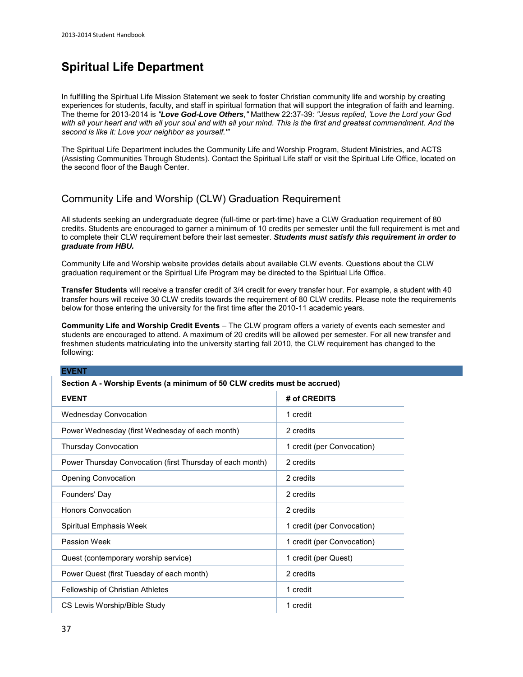# **Spiritual Life Department**

In fulfilling the Spiritual Life Mission Statement we seek to foster Christian community life and worship by creating experiences for students, faculty, and staff in spiritual formation that will support the integration of faith and learning. The theme for 2013-2014 is *"Love God-Love Others,"* Matthew 22:37-39*: "Jesus replied, 'Love the Lord your God with all your heart and with all your soul and with all your mind. This is the first and greatest commandment. And the second is like it: Love your neighbor as yourself.'"*

The Spiritual Life Department includes the Community Life and Worship Program, Student Ministries, and ACTS (Assisting Communities Through Students). [Contact the Spiritual Life staff](https://www.hbu.edu/Students-Alumni/Student-Information/Spiritual-Life/Spiritual-Life-Department/Contact-Us.aspx) or visit the Spiritual Life Office, located on the second floor of the Baugh Center.

# Community Life and Worship (CLW) Graduation Requirement

All students seeking an undergraduate degree (full-time or part-time) have a CLW Graduation requirement of 80 credits. Students are encouraged to garner a minimum of 10 credits per semester until the full requirement is met and to complete their CLW requirement before their last semester. *Students must satisfy this requirement in order to graduate from HBU.*

[Community Life and Worship website](http://staging.hbu.edu/Students-Alumni/Student-Information/Spiritual-Life/Community-Life-and-Worship.aspx) provides details about available CLW events. Questions about the CLW graduation requirement or the Spiritual Life Program may be directed to the [Spiritual Life Office.](https://www.hbu.edu/Students-Alumni/Student-Information/Spiritual-Life/Spiritual-Life-Department/Contact-Us.aspx)

**Transfer Students** will receive a transfer credit of 3/4 credit for every transfer hour. For example, a student with 40 transfer hours will receive 30 CLW credits towards the requirement of 80 CLW credits. Please note the requirements below for those entering the university for the first time after the 2010-11 academic years.

**Community Life and Worship Credit Events** – The CLW program offers a variety of events each semester and students are encouraged to attend. A maximum of 20 credits will be allowed per semester. For all new transfer and freshmen students matriculating into the university starting fall 2010, the CLW requirement has changed to the following:

#### **EVENT**

#### **Section A - Worship Events (a minimum of 50 CLW credits must be accrued)**

| <b>EVENT</b>                                              | # of CREDITS               |
|-----------------------------------------------------------|----------------------------|
| <b>Wednesday Convocation</b>                              | 1 credit                   |
| Power Wednesday (first Wednesday of each month)           | 2 credits                  |
| <b>Thursday Convocation</b>                               | 1 credit (per Convocation) |
| Power Thursday Convocation (first Thursday of each month) | 2 credits                  |
| <b>Opening Convocation</b>                                | 2 credits                  |
| Founders' Day                                             | 2 credits                  |
| <b>Honors Convocation</b>                                 | 2 credits                  |
| Spiritual Emphasis Week                                   | 1 credit (per Convocation) |
| Passion Week                                              | 1 credit (per Convocation) |
| Quest (contemporary worship service)                      | 1 credit (per Quest)       |
| Power Quest (first Tuesday of each month)                 | 2 credits                  |
| <b>Fellowship of Christian Athletes</b>                   | 1 credit                   |
| CS Lewis Worship/Bible Study                              | 1 credit                   |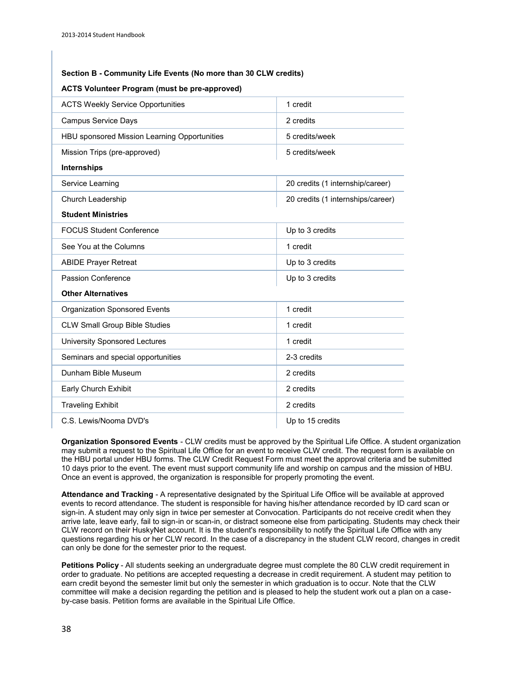### **Section B - Community Life Events (No more than 30 CLW credits)**

| <b>ACTS Weekly Service Opportunities</b>     | 1 credit                          |  |
|----------------------------------------------|-----------------------------------|--|
| <b>Campus Service Days</b>                   | 2 credits                         |  |
| HBU sponsored Mission Learning Opportunities | 5 credits/week                    |  |
| Mission Trips (pre-approved)                 | 5 credits/week                    |  |
| Internships                                  |                                   |  |
| Service Learning                             | 20 credits (1 internship/career)  |  |
| Church Leadership                            | 20 credits (1 internships/career) |  |
| <b>Student Ministries</b>                    |                                   |  |
| <b>FOCUS Student Conference</b>              | Up to 3 credits                   |  |
| See You at the Columns                       | 1 credit                          |  |
| <b>ABIDE Prayer Retreat</b>                  | Up to 3 credits                   |  |
| <b>Passion Conference</b>                    | Up to 3 credits                   |  |
| <b>Other Alternatives</b>                    |                                   |  |
| <b>Organization Sponsored Events</b>         | 1 credit                          |  |
| <b>CLW Small Group Bible Studies</b>         | 1 credit                          |  |
| University Sponsored Lectures                | 1 credit                          |  |
| Seminars and special opportunities           | 2-3 credits                       |  |
| Dunham Bible Museum                          | 2 credits                         |  |
| Early Church Exhibit                         | 2 credits                         |  |
| <b>Traveling Exhibit</b>                     | 2 credits                         |  |
| C.S. Lewis/Nooma DVD's                       | Up to 15 credits                  |  |

### **ACTS Volunteer Program (must be pre-approved)**

**Organization Sponsored Events** - CLW credits must be approved by the Spiritual Life Office. A student organization may submit a request to the Spiritual Life Office for an event to receive CLW credit. The request form is available on the HBU portal under HBU forms. The CLW Credit Request Form must meet the approval criteria and be submitted 10 days prior to the event. The event must support community life and worship on campus and the mission of HBU. Once an event is approved, the organization is responsible for properly promoting the event.

**Attendance and Tracking** - A representative designated by the Spiritual Life Office will be available at approved events to record attendance. The student is responsible for having his/her attendance recorded by ID card scan or sign-in. A student may only sign in twice per semester at Convocation. Participants do not receive credit when they arrive late, leave early, fail to sign-in or scan-in, or distract someone else from participating. Students may check their CLW record on their HuskyNet account. It is the student's responsibility to notify the Spiritual Life Office with any questions regarding his or her CLW record. In the case of a discrepancy in the student CLW record, changes in credit can only be done for the semester prior to the request.

**Petitions Policy** - All students seeking an undergraduate degree must complete the 80 CLW credit requirement in order to graduate. No petitions are accepted requesting a decrease in credit requirement. A student may petition to earn credit beyond the semester limit but only the semester in which graduation is to occur. Note that the CLW committee will make a decision regarding the petition and is pleased to help the student work out a plan on a caseby-case basis. Petition forms are available in the Spiritual Life Office.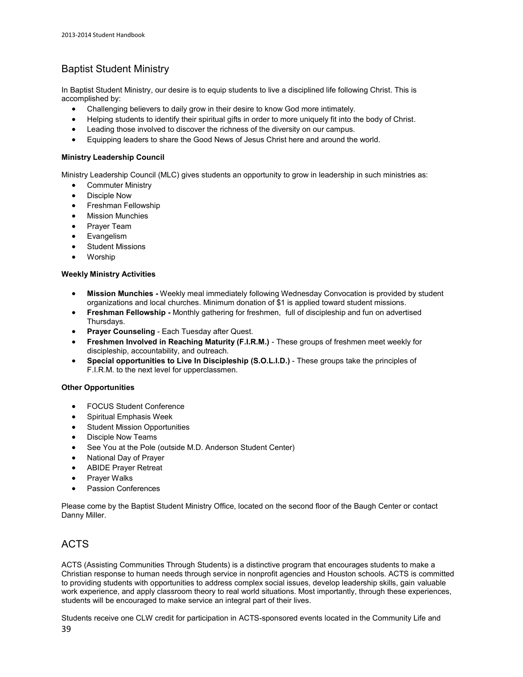# Baptist Student Ministry

In [Baptist Student Ministry,](http://staging.hbu.edu/Students-Alumni/Student-Information/Spiritual-Life/Community-Life-and-Worship/Ministry-Opportunities/Baptist-Student-Ministries.aspx) our desire is to equip students to live a disciplined life following Christ. This is accomplished by:

- Challenging believers to daily grow in their desire to know God more intimately.
- Helping students to identify their spiritual gifts in order to more uniquely fit into the body of Christ.
- Leading those involved to discover the richness of the diversity on our campus.
- Equipping leaders to share the Good News of Jesus Christ here and around the world.

### **Ministry Leadership Council**

[Ministry Leadership Council](http://staging.hbu.edu/Students-Alumni/Student-Information/Spiritual-Life/Community-Life-and-Worship/Ministry-Opportunities/Ministry-Leadership-Council.aspx) (MLC) gives students an opportunity to grow in leadership in such ministries as:

- Commuter Ministry
- Disciple Now
- Freshman Fellowship
- Mission Munchies
- Prayer Team
- Evangelism
- Student Missions
- Worship

### **Weekly Ministry Activities**

- **Mission Munchies** Weekly meal immediately following Wednesday Convocation is provided by student organizations and local churches. Minimum donation of \$1 is applied toward student missions.
- **Freshman Fellowship** Monthly gathering for freshmen, full of discipleship and fun on advertised Thursdays.
- **Prayer Counseling**  Each Tuesday after Quest.
- **Freshmen Involved in Reaching Maturity (F.I.R.M.)**  These groups of freshmen meet weekly for discipleship, accountability, and outreach.
- **Special opportunities to Live In Discipleship (S.O.L.I.D.)**  These groups take the principles of F.I.R.M. to the next level for upperclassmen.

### **Other Opportunities**

- FOCUS Student Conference
- Spiritual Emphasis Week
- Student Mission Opportunities
- Disciple Now Teams
- See You at the Pole (outside M.D. Anderson Student Center)
- National Day of Prayer
- ABIDE Prayer Retreat
- Prayer Walks
- Passion Conferences

Please come by the Baptist Student Ministry Office, located on the second floor of the Baugh Center or [contact](http://staging.hbu.edu/Students-Alumni/Student-Information/Spiritual-Life/Spiritual-Life-Department/Meet-Our-Staff/Danny-Miller.aspx)  [Danny Miller.](http://staging.hbu.edu/Students-Alumni/Student-Information/Spiritual-Life/Spiritual-Life-Department/Meet-Our-Staff/Danny-Miller.aspx)

# ACTS

[ACTS](http://staging.hbu.edu/Students-Alumni/Student-Information/Spiritual-Life/Community-Life-and-Worship/Ministry-Opportunities/ACTS-(Assisting-Communities-Through-Students).aspx) (Assisting Communities Through Students) is a distinctive program that encourages students to make a Christian response to human needs through service in nonprofit agencies and Houston schools. ACTS is committed to providing students with opportunities to address complex social issues, develop leadership skills, gain valuable work experience, and apply classroom theory to real world situations. Most importantly, through these experiences, students will be encouraged to make service an integral part of their lives.

39 Students receive one CLW credit for participation in ACTS-sponsored events located in the Community Life and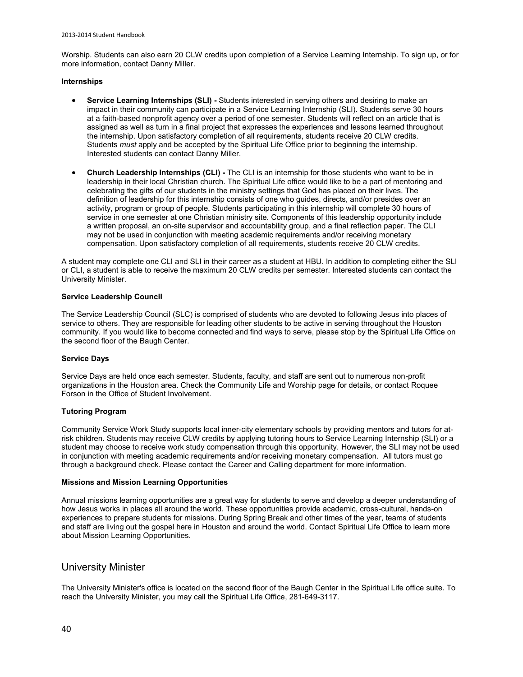Worship. Students can also earn 20 CLW credits upon completion of a Service Learning Internship. To sign up, or for more information, contact [Danny Miller.](mailto:dmiller@hbu.edu)

#### **Internships**

- **Service Learning Internships (SLI)** Students interested in serving others and desiring to make an impact in their community can participate in [a Service Learning Internship](http://staging.hbu.edu/Students-Alumni/Student-Information/Spiritual-Life/Community-Life-and-Worship/Ministry-Opportunities/Service-Learning-Internship.aspx) (SLI). Students serve 30 hours at a faith-based nonprofit agency over a period of one semester. Students will reflect on an article that is assigned as well as turn in a final project that expresses the experiences and lessons learned throughout the internship. Upon satisfactory completion of all requirements, students receive 20 CLW credits. Students *must* apply and be accepted by the Spiritual Life Office prior to beginning the internship. Interested students can contac[t Danny Miller.](mailto:dmiller@hbu.edu)
- **•** Church Leadership Internships (CLI) The [CLI](http://staging.hbu.edu/Students-Alumni/Student-Information/Spiritual-Life/Community-Life-and-Worship/Ministry-Opportunities/Church-Leadership-Internships.aspx) is an internship for those students who want to be in leadership in their local Christian church. The Spiritual Life office would like to be a part of mentoring and celebrating the gifts of our students in the ministry settings that God has placed on their lives. The definition of leadership for this internship consists of one who guides, directs, and/or presides over an activity, program or group of people. Students participating in this internship will complete 30 hours of service in one semester at one Christian ministry site. Components of this leadership opportunity include a written proposal, an on-site supervisor and accountability group, and a final reflection paper. The CLI may not be used in conjunction with meeting academic requirements and/or receiving monetary compensation. Upon satisfactory completion of all requirements, students receive 20 CLW credits.

A student may complete one CLI and SLI in their career as a student at HBU. In addition to completing either the SLI or CLI, a student is able to receive the maximum 20 CLW credits per semester. Interested students can contact the [University Minister.](mailto:tkmosley@hbu.edu) 

#### **Service Leadership Council**

The [Service Leadership Council](http://staging.hbu.edu/Students-Alumni/Student-Information/Spiritual-Life/Community-Life-and-Worship/Ministry-Opportunities/Service-Leadership-Council.aspx) (SLC) is comprised of students who are devoted to following Jesus into places of service to others. They are responsible for leading other students to be active in serving throughout the Houston community. If you would like to become connected and find ways to serve, please stop by the Spiritual Life Office on the second floor of the Baugh Center.

### **Service Days**

Service Days are held once each semester. Students, faculty, and staff are sent out to numerous non-profit organizations in the Houston area. Chec[k the Community Life and Worship page](http://staging.hbu.edu/Students-Alumni/Student-Information/Spiritual-Life/Community-Life-and-Worship.aspx) for details, or contact [Roquee](mailto:rforson@hbu.edu)  [Forson](mailto:rforson@hbu.edu) in the Office of Student Involvement.

### **Tutoring Program**

Community Service Work Study supports local inner-city elementary schools by providing mentors and tutors for atrisk children. Students may receive CLW credits by applying tutoring hours to Service Learning Internship (SLI) or a student may choose to receive work study compensation through this opportunity. However, the SLI may not be used in conjunction with meeting academic requirements and/or receiving monetary compensation. All tutors must go through a background check. Pleas[e contact the Career and Calling department](http://staging.hbu.edu/Students-Alumni/Student-Resources/The-Career-Center/Contact.aspx) for more information.

#### **Missions and Mission Learning Opportunities**

Annual missions learning opportunities are a great way for students to serve and develop a deeper understanding of how Jesus works in places all around the world. These opportunities provide academic, cross-cultural, hands-on experiences to prepare students for missions. During Spring Break and other times of the year, teams of students and staff are living out the gospel here in Houston and around the world. Contac[t Spiritual Life Office](https://www.hbu.edu/Students-Alumni/Student-Information/Spiritual-Life/Spiritual-Life-Department/Contact-Us.aspx) to learn more about Mission Learning Opportunities.

### University Minister

The University Minister's office is located on the second floor of the Baugh Center in the Spiritual Life office suite. To reach the University Minister, you may call the [Spiritual Life Office,](http://staging.hbu.edu/Students-Alumni/Student-Information/Spiritual-Life/Spiritual-Life-Department/Meet-Our-Staff.aspx) 281-649-3117.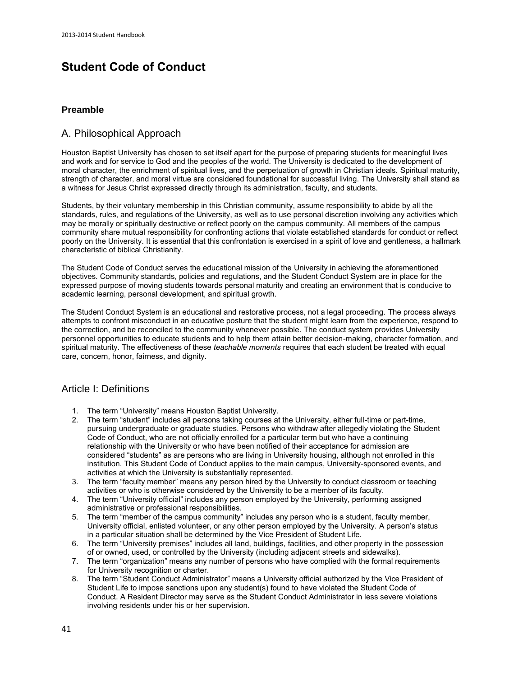# **Student Code of Conduct**

### **Preamble**

### A. Philosophical Approach

Houston Baptist University has chosen to set itself apart for the purpose of preparing students for meaningful lives and work and for service to God and the peoples of the world. The University is dedicated to the development of moral character, the enrichment of spiritual lives, and the perpetuation of growth in Christian ideals. Spiritual maturity, strength of character, and moral virtue are considered foundational for successful living. The University shall stand as a witness for Jesus Christ expressed directly through its administration, faculty, and students.

Students, by their voluntary membership in this Christian community, assume responsibility to abide by all the standards, rules, and regulations of the University, as well as to use personal discretion involving any activities which may be morally or spiritually destructive or reflect poorly on the campus community. All members of the campus community share mutual responsibility for confronting actions that violate established standards for conduct or reflect poorly on the University. It is essential that this confrontation is exercised in a spirit of love and gentleness, a hallmark characteristic of biblical Christianity.

The Student Code of Conduct serves the educational mission of the University in achieving the aforementioned objectives. Community standards, policies and regulations, and the Student Conduct System are in place for the expressed purpose of moving students towards personal maturity and creating an environment that is conducive to academic learning, personal development, and spiritual growth.

The Student Conduct System is an educational and restorative process, not a legal proceeding. The process always attempts to confront misconduct in an educative posture that the student might learn from the experience, respond to the correction, and be reconciled to the community whenever possible. The conduct system provides University personnel opportunities to educate students and to help them attain better decision-making, character formation, and spiritual maturity. The effectiveness of these *teachable moments* requires that each student be treated with equal care, concern, honor, fairness, and dignity.

### Article I: Definitions

- 1. The term "University" means Houston Baptist University.<br>2. The term "student" includes all persons taking courses at
- 2. The term "student" includes all persons taking courses at the University, either full-time or part-time, pursuing undergraduate or graduate studies. Persons who withdraw after allegedly violating the Student Code of Conduct, who are not officially enrolled for a particular term but who have a continuing relationship with the University or who have been notified of their acceptance for admission are considered "students" as are persons who are living in University housing, although not enrolled in this institution. This Student Code of Conduct applies to the main campus, University-sponsored events, and activities at which the University is substantially represented.
- 3. The term "faculty member" means any person hired by the University to conduct classroom or teaching activities or who is otherwise considered by the University to be a member of its faculty.
- 4. The term "University official" includes any person employed by the University, performing assigned administrative or professional responsibilities.
- 5. The term "member of the campus community" includes any person who is a student, faculty member, University official, enlisted volunteer, or any other person employed by the University. A person's status in a particular situation shall be determined by the Vice President of Student Life.
- 6. The term "University premises" includes all land, buildings, facilities, and other property in the possession of or owned, used, or controlled by the University (including adjacent streets and sidewalks).
- 7. The term "organization" means any number of persons who have complied with the formal requirements for University recognition or charter.
- 8. The term "Student Conduct Administrator" means a University official authorized by the Vice President of Student Life to impose sanctions upon any student(s) found to have violated the Student Code of Conduct. A Resident Director may serve as the Student Conduct Administrator in less severe violations involving residents under his or her supervision.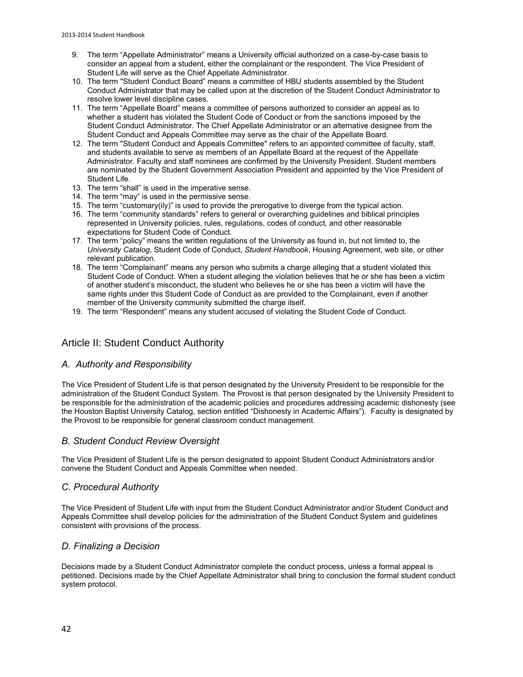- 9. The term "Appellate Administrator" means a University official authorized on a case-by-case basis to consider an appeal from a student, either the complainant or the respondent. The Vice President of Student Life will serve as the Chief Appellate Administrator.
- 10. The term "Student Conduct Board" means a committee of HBU students assembled by the Student Conduct Administrator that may be called upon at the discretion of the Student Conduct Administrator to resolve lower level discipline cases.
- 11. The term "Appellate Board" means a committee of persons authorized to consider an appeal as to whether a student has violated the Student Code of Conduct or from the sanctions imposed by the Student Conduct Administrator. The Chief Appellate Administrator or an alternative designee from the Student Conduct and Appeals Committee may serve as the chair of the Appellate Board.
- 12. The term "Student Conduct and Appeals Committee" refers to an appointed committee of faculty, staff, and students available to serve as members of an Appellate Board at the request of the Appellate Administrator. Faculty and staff nominees are confirmed by the University President. Student members are nominated by the Student Government Association President and appointed by the Vice President of Student Life.
- 13. The term "shall" is used in the imperative sense.
- 14. The term "may" is used in the permissive sense.
- 15. The term "customary(ily)" is used to provide the prerogative to diverge from the typical action.
- 16. The term "community standards" refers to general or overarching guidelines and biblical principles represented in University policies, rules, regulations, codes of conduct, and other reasonable expectations for Student Code of Conduct.
- 17. The term "policy" means the written regulations of the University as found in, but not limited to, the *University Catalog*, Student Code of Conduct, *Student Handbook*, Housing Agreement, web site, or other relevant publication.
- 18. The term "Complainant" means any person who submits a charge alleging that a student violated this Student Code of Conduct. When a student alleging the violation believes that he or she has been a victim of another student's misconduct, the student who believes he or she has been a victim will have the same rights under this Student Code of Conduct as are provided to the Complainant, even if another member of the University community submitted the charge itself.
- 19. The term "Respondent" means any student accused of violating the Student Code of Conduct.

### Article II: Student Conduct Authority

### *A. Authority and Responsibility*

The Vice President of Student Life is that person designated by the University President to be responsible for the administration of the Student Conduct System. The Provost is that person designated by the University President to be responsible for the administration of the academic policies and procedures addressing academic dishonesty (see the Houston Baptist University Catalog, section entitled "Dishonesty in Academic Affairs"). Faculty is designated by the Provost to be responsible for general classroom conduct management.

### *B. Student Conduct Review Oversight*

The Vice President of Student Life is the person designated to appoint Student Conduct Administrators and/or convene the Student Conduct and Appeals Committee when needed.

### *C. Procedural Authority*

The Vice President of Student Life with input from the Student Conduct Administrator and/or Student Conduct and Appeals Committee shall develop policies for the administration of the Student Conduct System and guidelines consistent with provisions of the process.

### *D. Finalizing a Decision*

Decisions made by a Student Conduct Administrator complete the conduct process, unless a formal appeal is petitioned. Decisions made by the Chief Appellate Administrator shall bring to conclusion the formal student conduct system protocol.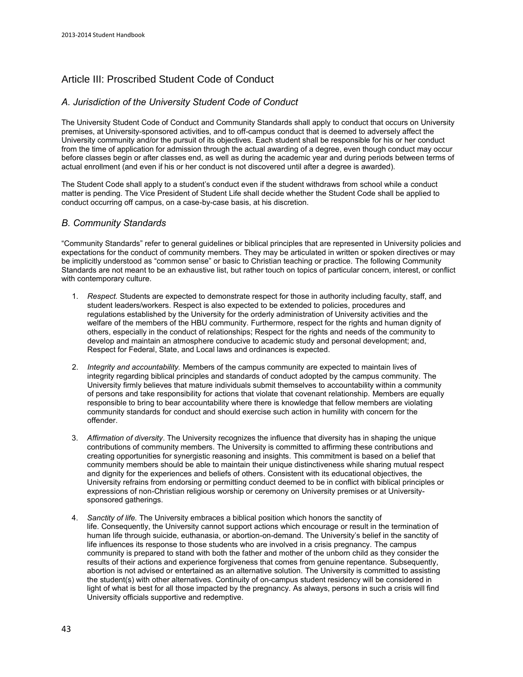# Article III: Proscribed Student Code of Conduct

### *A. Jurisdiction of the University Student Code of Conduct*

The University Student Code of Conduct and Community Standards shall apply to conduct that occurs on University premises, at University-sponsored activities, and to off-campus conduct that is deemed to adversely affect the University community and/or the pursuit of its objectives. Each student shall be responsible for his or her conduct from the time of application for admission through the actual awarding of a degree, even though conduct may occur before classes begin or after classes end, as well as during the academic year and during periods between terms of actual enrollment (and even if his or her conduct is not discovered until after a degree is awarded).

The Student Code shall apply to a student's conduct even if the student withdraws from school while a conduct matter is pending. The Vice President of Student Life shall decide whether the Student Code shall be applied to conduct occurring off campus, on a case-by-case basis, at his discretion.

### *B. Community Standards*

"Community Standards" refer to general guidelines or biblical principles that are represented in University policies and expectations for the conduct of community members. They may be articulated in written or spoken directives or may be implicitly understood as "common sense" or basic to Christian teaching or practice. The following Community Standards are not meant to be an exhaustive list, but rather touch on topics of particular concern, interest, or conflict with contemporary culture.

- 1. *Respect.* Students are expected to demonstrate respect for those in authority including faculty, staff, and student leaders/workers. Respect is also expected to be extended to policies, procedures and regulations established by the University for the orderly administration of University activities and the welfare of the members of the HBU community. Furthermore, respect for the rights and human dignity of others, especially in the conduct of relationships; Respect for the rights and needs of the community to develop and maintain an atmosphere conducive to academic study and personal development; and, Respect for Federal, State, and Local laws and ordinances is expected.
- 2. *Integrity and accountability.* Members of the campus community are expected to maintain lives of integrity regarding biblical principles and standards of conduct adopted by the campus community. The University firmly believes that mature individuals submit themselves to accountability within a community of persons and take responsibility for actions that violate that covenant relationship. Members are equally responsible to bring to bear accountability where there is knowledge that fellow members are violating community standards for conduct and should exercise such action in humility with concern for the offender.
- 3. *Affirmation of diversity*. The University recognizes the influence that diversity has in shaping the unique contributions of community members. The University is committed to affirming these contributions and creating opportunities for synergistic reasoning and insights. This commitment is based on a belief that community members should be able to maintain their unique distinctiveness while sharing mutual respect and dignity for the experiences and beliefs of others. Consistent with its educational objectives, the University refrains from endorsing or permitting conduct deemed to be in conflict with biblical principles or expressions of non-Christian religious worship or ceremony on University premises or at Universitysponsored gatherings.
- 4. *Sanctity of life.* The University embraces a biblical position which honors the sanctity of life. Consequently, the University cannot support actions which encourage or result in the termination of human life through suicide, euthanasia, or abortion-on-demand. The University's belief in the sanctity of life influences its response to those students who are involved in a crisis pregnancy. The campus community is prepared to stand with both the father and mother of the unborn child as they consider the results of their actions and experience forgiveness that comes from genuine repentance. Subsequently, abortion is not advised or entertained as an alternative solution. The University is committed to assisting the student(s) with other alternatives. Continuity of on-campus student residency will be considered in light of what is best for all those impacted by the pregnancy. As always, persons in such a crisis will find University officials supportive and redemptive.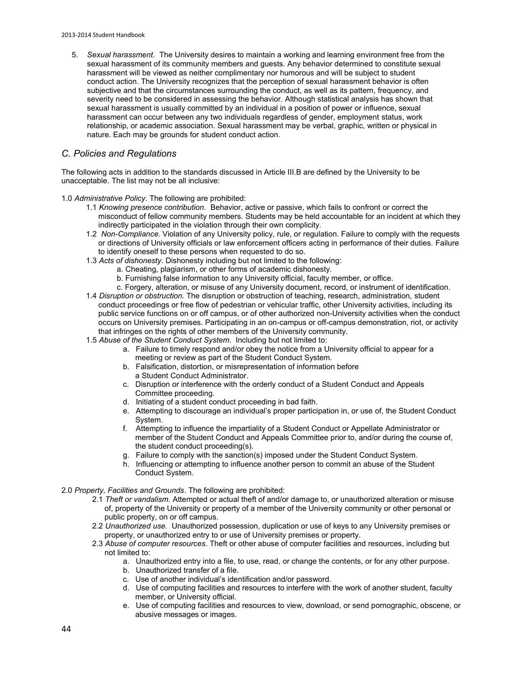5. *Sexual harassment.* The University desires to maintain a working and learning environment free from the sexual harassment of its community members and guests. Any behavior determined to constitute sexual harassment will be viewed as neither complimentary nor humorous and will be subject to student conduct action. The University recognizes that the perception of sexual harassment behavior is often subjective and that the circumstances surrounding the conduct, as well as its pattern, frequency, and severity need to be considered in assessing the behavior. Although statistical analysis has shown that sexual harassment is usually committed by an individual in a position of power or influence, sexual harassment can occur between any two individuals regardless of gender, employment status, work relationship, or academic association. Sexual harassment may be verbal, graphic, written or physical in nature. Each may be grounds for student conduct action.

### *C. Policies and Regulations*

The following acts in addition to the standards discussed in Article III.B are defined by the University to be unacceptable. The list may not be all inclusive:

1.0 *Administrative Policy*. The following are prohibited:

- 1.1 *Knowing presence contribution*. Behavior, active or passive, which fails to confront or correct the misconduct of fellow community members. Students may be held accountable for an incident at which they indirectly participated in the violation through their own complicity.
- 1.2 *Non-Compliance*. Violation of any University policy, rule, or regulation. Failure to comply with the requests or directions of University officials or law enforcement officers acting in performance of their duties. Failure to identify oneself to these persons when requested to do so.
- 1.3 *Acts of dishonesty*. Dishonesty including but not limited to the following:
	- a. Cheating, plagiarism, or other forms of academic dishonesty.
	- b. Furnishing false information to any University official, faculty member, or office.
	- c. Forgery, alteration, or misuse of any University document, record, or instrument of identification.
- 1.4 *Disruption or obstruction.* The disruption or obstruction of teaching, research, administration, student conduct proceedings or free flow of pedestrian or vehicular traffic, other University activities, including its public service functions on or off campus, or of other authorized non-University activities when the conduct occurs on University premises. Participating in an on-campus or off-campus demonstration, riot, or activity that infringes on the rights of other members of the University community.
- 1.5 *Abuse of the Student Conduct System*. Including but not limited to:
	- a. Failure to timely respond and/or obey the notice from a University official to appear for a meeting or review as part of the Student Conduct System.
	- b. Falsification, distortion, or misrepresentation of information before a Student Conduct Administrator.
	- c. Disruption or interference with the orderly conduct of a Student Conduct and Appeals Committee proceeding.
	- d. Initiating of a student conduct proceeding in bad faith.
	- e. Attempting to discourage an individual's proper participation in, or use of, the Student Conduct System.
	- f. Attempting to influence the impartiality of a Student Conduct or Appellate Administrator or member of the Student Conduct and Appeals Committee prior to, and/or during the course of, the student conduct proceeding(s).
	- g. Failure to comply with the sanction(s) imposed under the Student Conduct System.
	- h. Influencing or attempting to influence another person to commit an abuse of the Student Conduct System.
- 2.0 *Property, Facilities and Grounds*. The following are prohibited:
	- 2.1 *Theft or vandalism.* Attempted or actual theft of and/or damage to, or unauthorized alteration or misuse of, property of the University or property of a member of the University community or other personal or public property, on or off campus.
	- 2.2 *Unauthorized use.* Unauthorized possession, duplication or use of keys to any University premises or property, or unauthorized entry to or use of University premises or property.
	- 2.3 *Abuse of computer resources*. Theft or other abuse of computer facilities and resources, including but not limited to:
		- a. Unauthorized entry into a file, to use, read, or change the contents, or for any other purpose.
		- b. Unauthorized transfer of a file.
		- c. Use of another individual's identification and/or password.
		- d. Use of computing facilities and resources to interfere with the work of another student, faculty member, or University official.
		- e. Use of computing facilities and resources to view, download, or send pornographic, obscene, or abusive messages or images.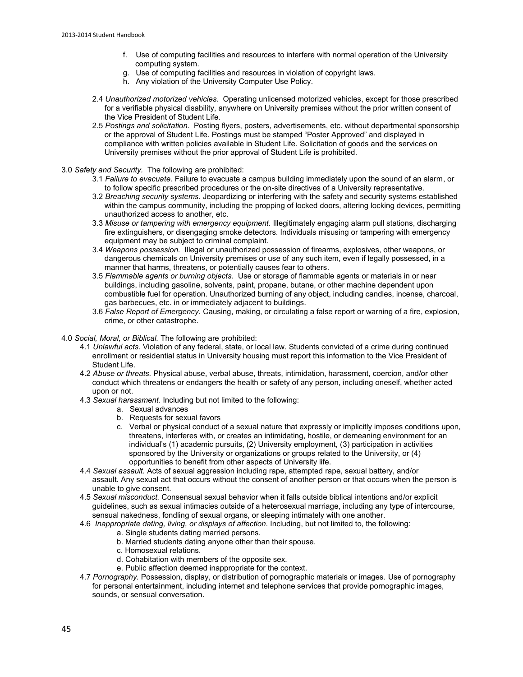- f. Use of computing facilities and resources to interfere with normal operation of the University computing system.
- g. Use of computing facilities and resources in violation of copyright laws.
- h. Any violation of th[e University Computer Use Policy.](http://www.hbu.edu/About-HBU/General-Information/Consumer-Information/Campus-Policies-and-Security/Copyright-Infringement-Policy.aspx)
- 2.4 *Unauthorized motorized vehicles*. Operating unlicensed motorized vehicles, except for those prescribed for a verifiable physical disability, anywhere on University premises without the prior written consent of the Vice President of Student Life.
- 2.5 *Postings and solicitation*. Posting flyers, posters, advertisements, etc. without departmental sponsorship or the approval of Student Life. Postings must be stamped "Poster Approved" and displayed in compliance with written policies available in Student Life. Solicitation of goods and the services on University premises without the prior approval of Student Life is prohibited.
- 3.0 *Safety and Security.* The following are prohibited:
	- 3.1 *Failure to evacuate.* Failure to evacuate a campus building immediately upon the sound of an alarm, or to follow specific prescribed procedures or the on-site directives of a University representative.
	- 3.2 *Breaching security systems*. Jeopardizing or interfering with the safety and security systems established within the campus community, including the propping of locked doors, altering locking devices, permitting unauthorized access to another, etc.
	- 3.3 *Misuse or tampering with emergency equipment.* Illegitimately engaging alarm pull stations, discharging fire extinguishers, or disengaging smoke detectors. Individuals misusing or tampering with emergency equipment may be subject to criminal complaint.
	- 3.4 *Weapons possession.* Illegal or unauthorized possession of firearms, explosives, other weapons, or dangerous chemicals on University premises or use of any such item, even if legally possessed, in a manner that harms, threatens, or potentially causes fear to others.
	- 3.5 *Flammable agents or burning objects.* Use or storage of flammable agents or materials in or near buildings, including gasoline, solvents, paint, propane, butane, or other machine dependent upon combustible fuel for operation. Unauthorized burning of any object, including candles, incense, charcoal, gas barbecues, etc. in or immediately adjacent to buildings.
	- 3.6 *False Report of Emergency.* Causing, making, or circulating a false report or warning of a fire, explosion, crime, or other catastrophe.
- 4.0 *Social, Moral, or Biblical.* The following are prohibited:
	- 4.1 *Unlawful acts.* Violation of any federal, state, or local law. Students convicted of a crime during continued enrollment or residential status in University housing must report this information to the Vice President of Student Life.
	- 4.2 *Abuse or threats.* Physical abuse, verbal abuse, threats, intimidation, harassment, coercion, and/or other conduct which threatens or endangers the health or safety of any person, including oneself, whether acted upon or not.
	- 4.3 *Sexual harassment*. Including but not limited to the following:
		- a. Sexual advances
		- b. Requests for sexual favors
		- c. Verbal or physical conduct of a sexual nature that expressly or implicitly imposes conditions upon, threatens, interferes with, or creates an intimidating, hostile, or demeaning environment for an individual's (1) academic pursuits, (2) University employment, (3) participation in activities sponsored by the University or organizations or groups related to the University, or (4) opportunities to benefit from other aspects of University life.
	- 4.4 *Sexual assault.* Acts of sexual aggression including rape, attempted rape, sexual battery, and/or assault. Any sexual act that occurs without the consent of another person or that occurs when the person is unable to give consent.
	- 4.5 *Sexual misconduct.* Consensual sexual behavior when it falls outside biblical intentions and/or explicit guidelines, such as sexual intimacies outside of a heterosexual marriage, including any type of intercourse, sensual nakedness, fondling of sexual organs, or sleeping intimately with one another.
	- 4.6 *Inappropriate dating, living, or displays of affection.* Including, but not limited to, the following:
		- a. Single students dating married persons.
			- b. Married students dating anyone other than their spouse.
			- c. Homosexual relations.
			- d. Cohabitation with members of the opposite sex.
		- e. Public affection deemed inappropriate for the context.
	- 4.7 *Pornography.* Possession, display, or distribution of pornographic materials or images*.* Use of pornography for personal entertainment, including internet and telephone services that provide pornographic images, sounds, or sensual conversation.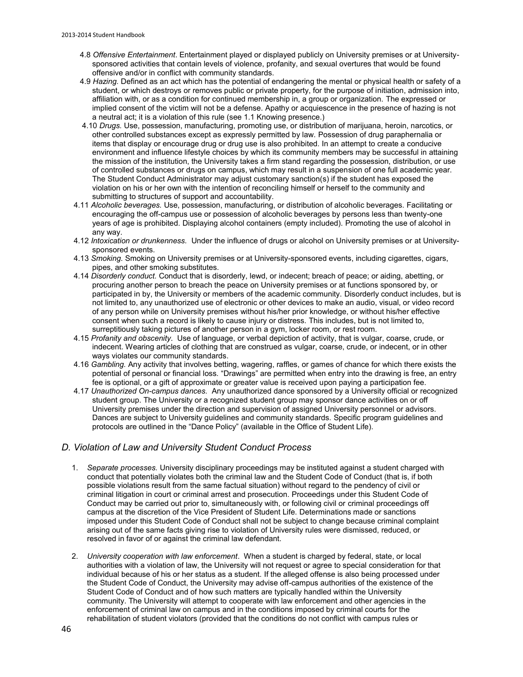- 4.8 *Offensive Entertainment*. Entertainment played or displayed publicly on University premises or at Universitysponsored activities that contain levels of violence, profanity, and sexual overtures that would be found offensive and/or in conflict with community standards.
- 4.9 *Hazing.* Defined as an act which has the potential of endangering the mental or physical health or safety of a student, or which destroys or removes public or private property, for the purpose of initiation, admission into, affiliation with, or as a condition for continued membership in, a group or organization. The expressed or implied consent of the victim will not be a defense. Apathy or acquiescence in the presence of hazing is not a neutral act; it is a violation of this rule (see 1.1 Knowing presence.)
- 4.10 *Drugs.* Use, possession, manufacturing, promoting use, or distribution of marijuana, heroin, narcotics, or other controlled substances except as expressly permitted by law. Possession of drug paraphernalia or items that display or encourage drug or drug use is also prohibited. In an attempt to create a conducive environment and influence lifestyle choices by which its community members may be successful in attaining the mission of the institution, the University takes a firm stand regarding the possession, distribution, or use of controlled substances or drugs on campus, which may result in a suspension of one full academic year. The Student Conduct Administrator may adjust customary sanction(s) if the student has exposed the violation on his or her own with the intention of reconciling himself or herself to the community and submitting to structures of support and accountability.
- 4.11 *Alcoholic beverages.* Use, possession, manufacturing, or distribution of alcoholic beverages. Facilitating or encouraging the off-campus use or possession of alcoholic beverages by persons less than twenty-one years of age is prohibited. Displaying alcohol containers (empty included). Promoting the use of alcohol in any way.
- 4.12 *Intoxication or drunkenness.* Under the influence of drugs or alcohol on University premises or at Universitysponsored events.
- 4.13 *Smoking*. Smoking on University premises or at University-sponsored events, including cigarettes, cigars, pipes, and other smoking substitutes.
- 4.14 *Disorderly conduct.* Conduct that is disorderly, lewd, or indecent; breach of peace; or aiding, abetting, or procuring another person to breach the peace on University premises or at functions sponsored by, or participated in by, the University or members of the academic community. Disorderly conduct includes, but is not limited to, any unauthorized use of electronic or other devices to make an audio, visual, or video record of any person while on University premises without his/her prior knowledge, or without his/her effective consent when such a record is likely to cause injury or distress. This includes, but is not limited to, surreptitiously taking pictures of another person in a gym, locker room, or rest room.
- 4.15 *Profanity and obscenity*. Use of language, or verbal depiction of activity, that is vulgar, coarse, crude, or indecent. Wearing articles of clothing that are construed as vulgar, coarse, crude, or indecent, or in other ways violates our community standards.
- 4.16 *Gambling.* Any activity that involves betting, wagering, raffles, or games of chance for which there exists the potential of personal or financial loss. "Drawings" are permitted when entry into the drawing is free, an entry fee is optional, or a gift of approximate or greater value is received upon paying a participation fee.
- 4.17 *Unauthorized On-campus dances.* Any unauthorized dance sponsored by a University official or recognized student group. The University or a recognized student group may sponsor dance activities on or off University premises under the direction and supervision of assigned University personnel or advisors. Dances are subject to University guidelines and community standards. Specific program guidelines and protocols are outlined in the "Dance Policy" (available in the Office of Student Life).

### *D. Violation of Law and University Student Conduct Process*

- 1. *Separate processes.* University disciplinary proceedings may be instituted against a student charged with conduct that potentially violates both the criminal law and the Student Code of Conduct (that is, if both possible violations result from the same factual situation) without regard to the pendency of civil or criminal litigation in court or criminal arrest and prosecution. Proceedings under this Student Code of Conduct may be carried out prior to, simultaneously with, or following civil or criminal proceedings off campus at the discretion of the Vice President of Student Life. Determinations made or sanctions imposed under this Student Code of Conduct shall not be subject to change because criminal complaint arising out of the same facts giving rise to violation of University rules were dismissed, reduced, or resolved in favor of or against the criminal law defendant.
- 2. *University cooperation with law enforcement*. When a student is charged by federal, state, or local authorities with a violation of law, the University will not request or agree to special consideration for that individual because of his or her status as a student. If the alleged offense is also being processed under the Student Code of Conduct, the University may advise off-campus authorities of the existence of the Student Code of Conduct and of how such matters are typically handled within the University community. The University will attempt to cooperate with law enforcement and other agencies in the enforcement of criminal law on campus and in the conditions imposed by criminal courts for the rehabilitation of student violators (provided that the conditions do not conflict with campus rules or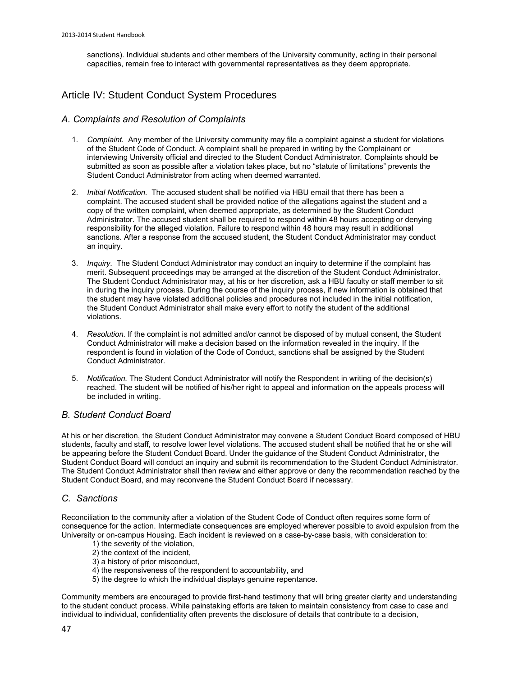sanctions). Individual students and other members of the University community, acting in their personal capacities, remain free to interact with governmental representatives as they deem appropriate.

# Article IV: Student Conduct System Procedures

### *A. Complaints and Resolution of Complaints*

- 1. *Complaint.* Any member of the University community may file a complaint against a student for violations of the Student Code of Conduct. A complaint shall be prepared in writing by the Complainant or interviewing University official and directed to the Student Conduct Administrator. Complaints should be submitted as soon as possible after a violation takes place, but no "statute of limitations" prevents the Student Conduct Administrator from acting when deemed warranted.
- 2. *Initial Notification.* The accused student shall be notified via HBU email that there has been a complaint. The accused student shall be provided notice of the allegations against the student and a copy of the written complaint, when deemed appropriate, as determined by the Student Conduct Administrator. The accused student shall be required to respond within 48 hours accepting or denying responsibility for the alleged violation. Failure to respond within 48 hours may result in additional sanctions. After a response from the accused student, the Student Conduct Administrator may conduct an inquiry.
- 3. *Inquiry.* The Student Conduct Administrator may conduct an inquiry to determine if the complaint has merit. Subsequent proceedings may be arranged at the discretion of the Student Conduct Administrator. The Student Conduct Administrator may, at his or her discretion, ask a HBU faculty or staff member to sit in during the inquiry process. During the course of the inquiry process, if new information is obtained that the student may have violated additional policies and procedures not included in the initial notification, the Student Conduct Administrator shall make every effort to notify the student of the additional violations.
- 4. *Resolution.* If the complaint is not admitted and/or cannot be disposed of by mutual consent, the Student Conduct Administrator will make a decision based on the information revealed in the inquiry. If the respondent is found in violation of the Code of Conduct, sanctions shall be assigned by the Student Conduct Administrator.
- 5. *Notification.* The Student Conduct Administrator will notify the Respondent in writing of the decision(s) reached. The student will be notified of his/her right to appeal and information on the appeals process will be included in writing.

### *B. Student Conduct Board*

At his or her discretion, the Student Conduct Administrator may convene a Student Conduct Board composed of HBU students, faculty and staff, to resolve lower level violations. The accused student shall be notified that he or she will be appearing before the Student Conduct Board. Under the guidance of the Student Conduct Administrator, the Student Conduct Board will conduct an inquiry and submit its recommendation to the Student Conduct Administrator. The Student Conduct Administrator shall then review and either approve or deny the recommendation reached by the Student Conduct Board, and may reconvene the Student Conduct Board if necessary.

### *C. Sanctions*

Reconciliation to the community after a violation of the Student Code of Conduct often requires some form of consequence for the action. Intermediate consequences are employed wherever possible to avoid expulsion from the University or on-campus Housing. Each incident is reviewed on a case-by-case basis, with consideration to:

- 1) the severity of the violation, 2) the context of the incident,
- 3) a history of prior misconduct,
- 4) the responsiveness of the respondent to accountability, and
- 5) the degree to which the individual displays genuine repentance.

Community members are encouraged to provide first-hand testimony that will bring greater clarity and understanding to the student conduct process. While painstaking efforts are taken to maintain consistency from case to case and individual to individual, confidentiality often prevents the disclosure of details that contribute to a decision,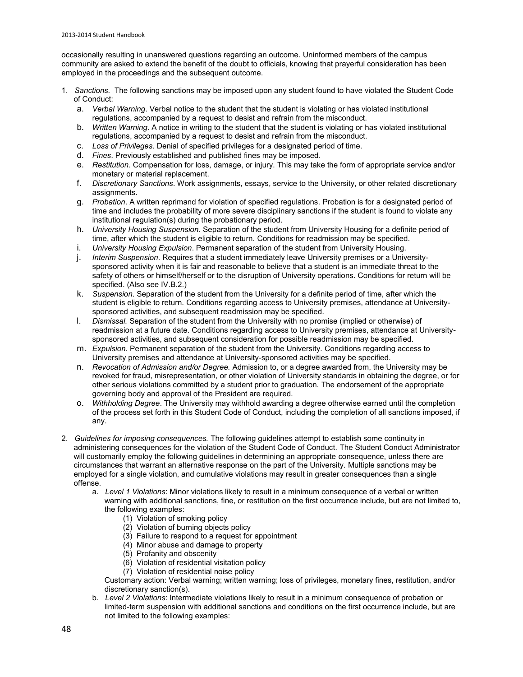occasionally resulting in unanswered questions regarding an outcome. Uninformed members of the campus community are asked to extend the benefit of the doubt to officials, knowing that prayerful consideration has been employed in the proceedings and the subsequent outcome.

- 1. *Sanctions.* The following sanctions may be imposed upon any student found to have violated the Student Code of Conduct:
	- a. *Verbal Warning*. Verbal notice to the student that the student is violating or has violated institutional regulations, accompanied by a request to desist and refrain from the misconduct.
	- b. *Written Warning*. A notice in writing to the student that the student is violating or has violated institutional regulations, accompanied by a request to desist and refrain from the misconduct.
	- c. *Loss of Privileges*. Denial of specified privileges for a designated period of time.
	- d. *Fines*. Previously established and published fines may be imposed.
	- e. *Restitution*. Compensation for loss, damage, or injury. This may take the form of appropriate service and/or monetary or material replacement.
	- f. *Discretionary Sanctions*. Work assignments, essays, service to the University, or other related discretionary assignments.
	- g. *Probation*. A written reprimand for violation of specified regulations. Probation is for a designated period of time and includes the probability of more severe disciplinary sanctions if the student is found to violate any institutional regulation(s) during the probationary period.
	- h. *University Housing Suspension*. Separation of the student from University Housing for a definite period of time, after which the student is eligible to return. Conditions for readmission may be specified.
	- i. *University Housing Expulsion*. Permanent separation of the student from University Housing.
	- j. *Interim Suspension*. Requires that a student immediately leave University premises or a Universitysponsored activity when it is fair and reasonable to believe that a student is an immediate threat to the safety of others or himself/herself or to the disruption of University operations. Conditions for return will be specified. (Also see IV.B.2.)
	- k. *Suspension*. Separation of the student from the University for a definite period of time, after which the student is eligible to return. Conditions regarding access to University premises, attendance at Universitysponsored activities, and subsequent readmission may be specified.
	- l. *Dismissal.* Separation of the student from the University with no promise (implied or otherwise) of readmission at a future date. Conditions regarding access to University premises, attendance at Universitysponsored activities, and subsequent consideration for possible readmission may be specified.
	- m. *Expulsion*. Permanent separation of the student from the University. Conditions regarding access to University premises and attendance at University-sponsored activities may be specified.
	- n. *Revocation of Admission and/or Degree.* Admission to, or a degree awarded from, the University may be revoked for fraud, misrepresentation, or other violation of University standards in obtaining the degree, or for other serious violations committed by a student prior to graduation. The endorsement of the appropriate governing body and approval of the President are required.
	- o. *Withholding Degree*. The University may withhold awarding a degree otherwise earned until the completion of the process set forth in this Student Code of Conduct, including the completion of all sanctions imposed, if any.
- 2. *Guidelines for imposing consequences.* The following guidelines attempt to establish some continuity in administering consequences for the violation of the Student Code of Conduct. The Student Conduct Administrator will customarily employ the following guidelines in determining an appropriate consequence, unless there are circumstances that warrant an alternative response on the part of the University. Multiple sanctions may be employed for a single violation, and cumulative violations may result in greater consequences than a single offense.
	- a. *Level 1 Violations*: Minor violations likely to result in a minimum consequence of a verbal or written warning with additional sanctions, fine, or restitution on the first occurrence include, but are not limited to, the following examples:
		- (1) Violation of smoking policy
		- (2) Violation of burning objects policy
		- (3) Failure to respond to a request for appointment
		- (4) Minor abuse and damage to property
		- (5) Profanity and obscenity
		- (6) Violation of residential visitation policy
		- (7) Violation of residential noise policy

Customary action: Verbal warning; written warning; loss of privileges, monetary fines, restitution, and/or discretionary sanction(s).

b. *Level 2 Violations*: Intermediate violations likely to result in a minimum consequence of probation or limited-term suspension with additional sanctions and conditions on the first occurrence include, but are not limited to the following examples: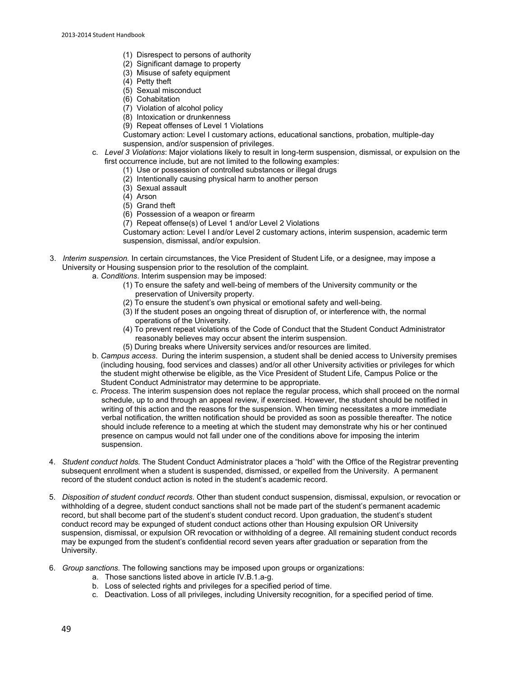- (1) Disrespect to persons of authority
- (2) Significant damage to property
- (3) Misuse of safety equipment
- (4) Petty theft
- (5) Sexual misconduct
- (6) Cohabitation
- (7) Violation of alcohol policy
- (8) Intoxication or drunkenness
- (9) Repeat offenses of Level 1 Violations
- Customary action: Level I customary actions, educational sanctions, probation, multiple-day suspension, and/or suspension of privileges.
- c. *Level 3 Violations*: Major violations likely to result in long-term suspension, dismissal, or expulsion on the first occurrence include, but are not limited to the following examples:
	- (1) Use or possession of controlled substances or illegal drugs
	- (2) Intentionally causing physical harm to another person
	- (3) Sexual assault
	- (4) Arson
	- (5) Grand theft
	- (6) Possession of a weapon or firearm
	- (7) Repeat offense(s) of Level 1 and/or Level 2 Violations

Customary action: Level I and/or Level 2 customary actions, interim suspension, academic term suspension, dismissal, and/or expulsion.

- 3. *Interim suspension.* In certain circumstances, the Vice President of Student Life, or a designee, may impose a University or Housing suspension prior to the resolution of the complaint.
	- a. *Conditions*. Interim suspension may be imposed:
		- (1) To ensure the safety and well-being of members of the University community or the preservation of University property.
		- (2) To ensure the student's own physical or emotional safety and well-being.
		- (3) If the student poses an ongoing threat of disruption of, or interference with, the normal operations of the University.
		- (4) To prevent repeat violations of the Code of Conduct that the Student Conduct Administrator reasonably believes may occur absent the interim suspension.
		- (5) During breaks where University services and/or resources are limited.
	- b. *Campus access*. During the interim suspension, a student shall be denied access to University premises (including housing, food services and classes) and/or all other University activities or privileges for which the student might otherwise be eligible, as the Vice President of Student Life, Campus Police or the Student Conduct Administrator may determine to be appropriate.
	- c. *Process*. The interim suspension does not replace the regular process, which shall proceed on the normal schedule, up to and through an appeal review, if exercised. However, the student should be notified in writing of this action and the reasons for the suspension. When timing necessitates a more immediate verbal notification, the written notification should be provided as soon as possible thereafter. The notice should include reference to a meeting at which the student may demonstrate why his or her continued presence on campus would not fall under one of the conditions above for imposing the interim suspension.
- 4. *Student conduct holds.* The Student Conduct Administrator places a "hold" with the Office of the Registrar preventing subsequent enrollment when a student is suspended, dismissed, or expelled from the University. A permanent record of the student conduct action is noted in the student's academic record.
- 5. *Disposition of student conduct records.* Other than student conduct suspension, dismissal, expulsion, or revocation or withholding of a degree, student conduct sanctions shall not be made part of the student's permanent academic record, but shall become part of the student's student conduct record. Upon graduation, the student's student conduct record may be expunged of student conduct actions other than Housing expulsion OR University suspension, dismissal, or expulsion OR revocation or withholding of a degree. All remaining student conduct records may be expunged from the student's confidential record seven years after graduation or separation from the University.
- 6. *Group sanctions.* The following sanctions may be imposed upon groups or organizations:
	- a. Those sanctions listed above in article IV.B.1.a-g.
	- b. Loss of selected rights and privileges for a specified period of time.
	- c. Deactivation. Loss of all privileges, including University recognition, for a specified period of time.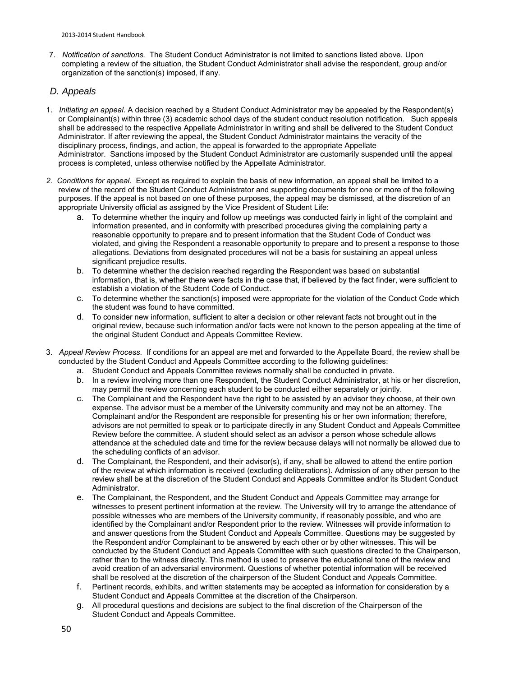7. *Notification of sanctions.* The Student Conduct Administrator is not limited to sanctions listed above. Upon completing a review of the situation, the Student Conduct Administrator shall advise the respondent, group and/or organization of the sanction(s) imposed, if any.

### *D. Appeals*

- 1. *Initiating an appeal.* A decision reached by a Student Conduct Administrator may be appealed by the Respondent(s) or Complainant(s) within three (3) academic school days of the student conduct resolution notification. Such appeals shall be addressed to the respective Appellate Administrator in writing and shall be delivered to the Student Conduct Administrator. If after reviewing the appeal, the Student Conduct Administrator maintains the veracity of the disciplinary process, findings, and action, the appeal is forwarded to the appropriate Appellate Administrator. Sanctions imposed by the Student Conduct Administrator are customarily suspended until the appeal process is completed, unless otherwise notified by the Appellate Administrator.
- *2. Conditions for appeal*. Except as required to explain the basis of new information, an appeal shall be limited to a review of the record of the Student Conduct Administrator and supporting documents for one or more of the following purposes. If the appeal is not based on one of these purposes, the appeal may be dismissed, at the discretion of an appropriate University official as assigned by the Vice President of Student Life:
	- a. To determine whether the inquiry and follow up meetings was conducted fairly in light of the complaint and information presented, and in conformity with prescribed procedures giving the complaining party a reasonable opportunity to prepare and to present information that the Student Code of Conduct was violated, and giving the Respondent a reasonable opportunity to prepare and to present a response to those allegations. Deviations from designated procedures will not be a basis for sustaining an appeal unless significant prejudice results.
	- b. To determine whether the decision reached regarding the Respondent was based on substantial information, that is, whether there were facts in the case that, if believed by the fact finder, were sufficient to establish a violation of the Student Code of Conduct.
	- c. To determine whether the sanction(s) imposed were appropriate for the violation of the Conduct Code which the student was found to have committed.
	- d. To consider new information, sufficient to alter a decision or other relevant facts not brought out in the original review, because such information and/or facts were not known to the person appealing at the time of the original Student Conduct and Appeals Committee Review.
- 3. *Appeal Review Process.* If conditions for an appeal are met and forwarded to the Appellate Board, the review shall be conducted by the Student Conduct and Appeals Committee according to the following guidelines:
	- a. Student Conduct and Appeals Committee reviews normally shall be conducted in private.
	- b. In a review involving more than one Respondent, the Student Conduct Administrator, at his or her discretion, may permit the review concerning each student to be conducted either separately or jointly.
	- c. The Complainant and the Respondent have the right to be assisted by an advisor they choose, at their own expense. The advisor must be a member of the University community and may not be an attorney. The Complainant and/or the Respondent are responsible for presenting his or her own information; therefore, advisors are not permitted to speak or to participate directly in any Student Conduct and Appeals Committee Review before the committee. A student should select as an advisor a person whose schedule allows attendance at the scheduled date and time for the review because delays will not normally be allowed due to the scheduling conflicts of an advisor.
	- d. The Complainant, the Respondent, and their advisor(s), if any, shall be allowed to attend the entire portion of the review at which information is received (excluding deliberations). Admission of any other person to the review shall be at the discretion of the Student Conduct and Appeals Committee and/or its Student Conduct Administrator.
	- e. The Complainant, the Respondent, and the Student Conduct and Appeals Committee may arrange for witnesses to present pertinent information at the review. The University will try to arrange the attendance of possible witnesses who are members of the University community, if reasonably possible, and who are identified by the Complainant and/or Respondent prior to the review. Witnesses will provide information to and answer questions from the Student Conduct and Appeals Committee. Questions may be suggested by the Respondent and/or Complainant to be answered by each other or by other witnesses. This will be conducted by the Student Conduct and Appeals Committee with such questions directed to the Chairperson, rather than to the witness directly. This method is used to preserve the educational tone of the review and avoid creation of an adversarial environment. Questions of whether potential information will be received shall be resolved at the discretion of the chairperson of the Student Conduct and Appeals Committee.
	- f. Pertinent records, exhibits, and written statements may be accepted as information for consideration by a Student Conduct and Appeals Committee at the discretion of the Chairperson.
	- g. All procedural questions and decisions are subject to the final discretion of the Chairperson of the Student Conduct and Appeals Committee.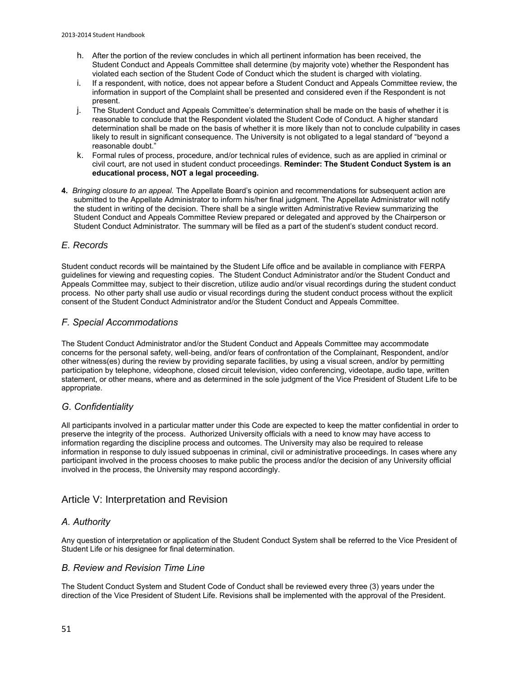- h. After the portion of the review concludes in which all pertinent information has been received, the Student Conduct and Appeals Committee shall determine (by majority vote) whether the Respondent has violated each section of the Student Code of Conduct which the student is charged with violating.
- i. If a respondent, with notice, does not appear before a Student Conduct and Appeals Committee review, the information in support of the Complaint shall be presented and considered even if the Respondent is not present.
- j. The Student Conduct and Appeals Committee's determination shall be made on the basis of whether it is reasonable to conclude that the Respondent violated the Student Code of Conduct. A higher standard determination shall be made on the basis of whether it is more likely than not to conclude culpability in cases likely to result in significant consequence. The University is not obligated to a legal standard of "beyond a reasonable doubt."
- k. Formal rules of process, procedure, and/or technical rules of evidence, such as are applied in criminal or civil court, are not used in student conduct proceedings. **Reminder: The Student Conduct System is an educational process, NOT a legal proceeding.**
- **4.** *Bringing closure to an appeal.* The Appellate Board's opinion and recommendations for subsequent action are submitted to the Appellate Administrator to inform his/her final judgment. The Appellate Administrator will notify the student in writing of the decision. There shall be a single written Administrative Review summarizing the Student Conduct and Appeals Committee Review prepared or delegated and approved by the Chairperson or Student Conduct Administrator. The summary will be filed as a part of the student's student conduct record.

### *E. Records*

Student conduct records will be maintained by the Student Life office and be available in compliance with FERPA guidelines for viewing and requesting copies. The Student Conduct Administrator and/or the Student Conduct and Appeals Committee may, subject to their discretion, utilize audio and/or visual recordings during the student conduct process. No other party shall use audio or visual recordings during the student conduct process without the explicit consent of the Student Conduct Administrator and/or the Student Conduct and Appeals Committee.

### *F. Special Accommodations*

The Student Conduct Administrator and/or the Student Conduct and Appeals Committee may accommodate concerns for the personal safety, well-being, and/or fears of confrontation of the Complainant, Respondent, and/or other witness(es) during the review by providing separate facilities, by using a visual screen, and/or by permitting participation by telephone, videophone, closed circuit television, video conferencing, videotape, audio tape, written statement, or other means, where and as determined in the sole judgment of the Vice President of Student Life to be appropriate.

### *G. Confidentiality*

All participants involved in a particular matter under this Code are expected to keep the matter confidential in order to preserve the integrity of the process. Authorized University officials with a need to know may have access to information regarding the discipline process and outcomes. The University may also be required to release information in response to duly issued subpoenas in criminal, civil or administrative proceedings. In cases where any participant involved in the process chooses to make public the process and/or the decision of any University official involved in the process, the University may respond accordingly.

### Article V: Interpretation and Revision

### *A. Authority*

Any question of interpretation or application of the Student Conduct System shall be referred to the Vice President of Student Life or his designee for final determination.

### *B. Review and Revision Time Line*

The Student Conduct System and Student Code of Conduct shall be reviewed every three (3) years under the direction of the Vice President of Student Life. Revisions shall be implemented with the approval of the President.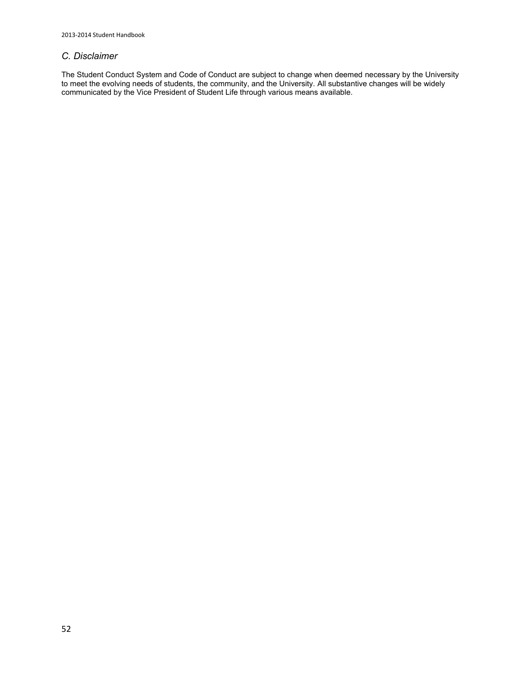### *C. Disclaimer*

The Student Conduct System and Code of Conduct are subject to change when deemed necessary by the University to meet the evolving needs of students, the community, and the University. All substantive changes will be widely communicated by the Vice President of Student Life through various means available.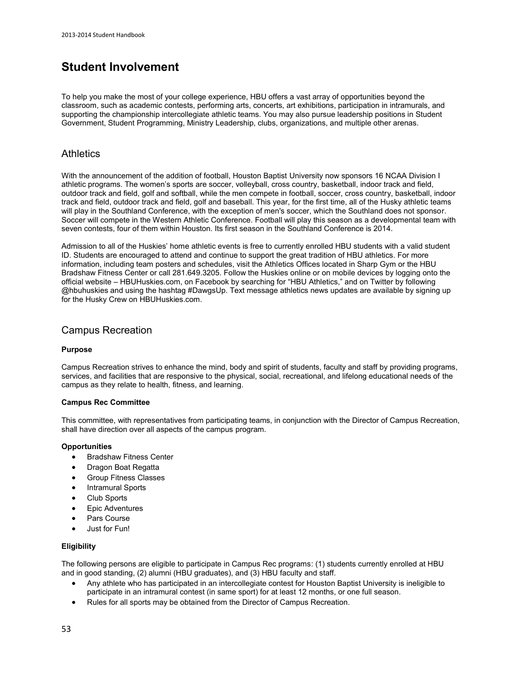# **Student Involvement**

To help you make the most of your college experience, HBU offers a vast array of opportunities beyond the classroom, such as academic contests, performing arts, concerts, art exhibitions, participation in intramurals, and supporting the championship intercollegiate athletic teams. You may also pursue leadership positions in Student Government, Student Programming, Ministry Leadership, clubs, organizations, and multiple other arenas.

### **Athletics**

With the announcement of the addition of football, Houston Baptist University now sponsors 16 NCAA Division I athletic programs. The women's sports are soccer, volleyball, cross country, basketball, indoor track and field, outdoor track and field, golf and softball, while the men compete in football, soccer, cross country, basketball, indoor track and field, outdoor track and field, golf and baseball. This year, for the first time, all of the Husky athletic teams will play in the Southland Conference, with the exception of men's soccer, which the Southland does not sponsor. Soccer will compete in the Western Athletic Conference. Football will play this season as a developmental team with seven contests, four of them within Houston. Its first season in the Southland Conference is 2014.

Admission to all of the Huskies' home athletic events is free to currently enrolled HBU students with a valid student ID. Students are encouraged to attend and continue to support the great tradition of HBU athletics. For more information, including team posters and schedules, visit the Athletics Offices located in Sharp Gym or the HBU Bradshaw Fitness Center or call 281.649.3205. Follow the Huskies online or on mobile devices by logging onto the official website [– HBUHuskies.com,](https://www.hbuhuskies.com/) on Facebook by searching for "HBU Athletics," and on Twitter by following @hbuhuskies and using the hashtag #DawgsUp. Text message athletics news updates are available by signing up for the Husky Crew on [HBUHuskies.com.](https://www.hbuhuskies.com/)

### Campus Recreation

### **Purpose**

Campus Recreation strives to enhance the mind, body and spirit of students, faculty and staff by providing programs, services, and facilities that are responsive to the physical, social, recreational, and lifelong educational needs of the campus as they relate to health, fitness, and learning.

### **Campus Rec Committee**

This committee, with representatives from participating teams, in conjunction with the Director of Campus Recreation, shall have direction over all aspects of the campus program.

### **Opportunities**

- Bradshaw Fitness Center
- Dragon Boat Regatta
- Group Fitness Classes
- Intramural Sports
- Club Sports
- Epic Adventures
- Pars Course
- Just for Fun!

### **Eligibility**

The following persons are eligible to participate in Campus Rec programs: (1) students currently enrolled at HBU and in good standing, (2) alumni (HBU graduates), and (3) HBU faculty and staff.

- Any athlete who has participated in an intercollegiate contest for Houston Baptist University is ineligible to participate in an intramural contest (in same sport) for at least 12 months, or one full season.
- Rules for all sports may be obtained from the [Director of Campus Recreation.](http://staging.hbu.edu/Students-Alumni/Student-Information/Student-Life/Campus-Recreation/Contact.aspx)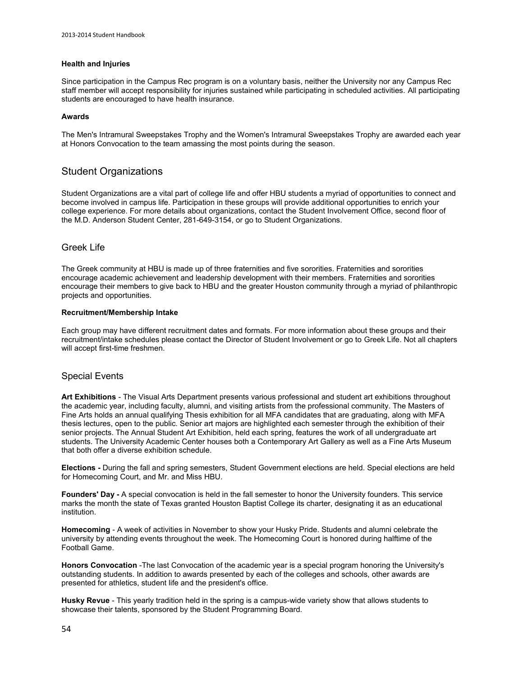### **Health and Injuries**

Since participation in the Campus Rec program is on a voluntary basis, neither the University nor any Campus Rec staff member will accept responsibility for injuries sustained while participating in scheduled activities. All participating students are encouraged to have health insurance.

### **Awards**

The Men's Intramural Sweepstakes Trophy and the Women's Intramural Sweepstakes Trophy are awarded each year at Honors Convocation to the team amassing the most points during the season.

### Student Organizations

Student Organizations are a vital part of college life and offer HBU students a myriad of opportunities to connect and become involved in campus life. Participation in these groups will provide additional opportunities to enrich your college experience. For more details about organizations, contact th[e Student Involvement Office,](http://staging.hbu.edu/Students-Alumni/Student-Information/Student-Life/Student-Involvement.aspx) second floor of the M.D. Anderson Student Center, 281-649-3154, or go to [Student Organizations.](http://staging.hbu.edu/Students-Alumni/Student-Information/Student-Organizations.aspx)

### Greek Life

The Greek community at HBU is made up of three fraternities and five sororities. Fraternities and sororities encourage academic achievement and leadership development with their members. Fraternities and sororities encourage their members to give back to HBU and the greater Houston community through a myriad of philanthropic projects and opportunities.

### **Recruitment/Membership Intake**

Each group may have different recruitment dates and formats. For more information about these groups and their recruitment/intake schedules please contact the Director of Student Involvement or go to [Greek Life.](http://staging.hbu.edu/Students-Alumni/Student-Information/Student-Organizations/Greek.aspx) Not all chapters will accept first-time freshmen.

### Special Events

**Art Exhibitions** - The Visual Arts Department presents various professional and student art exhibitions throughout the academic year, including faculty, alumni, and visiting artists from the professional community. The Masters of Fine Arts holds an annual qualifying Thesis exhibition for all MFA candidates that are graduating, along with MFA thesis lectures, open to the public. Senior art majors are highlighted each semester through the exhibition of their senior projects. The Annual Student Art Exhibition, held each spring, features the work of all undergraduate art students. The University Academic Center houses both a Contemporary Art Gallery as well as a Fine Arts Museum that both offer a diverse exhibition schedule.

**Elections -** During the fall and spring semesters, Student Government elections are held. Special elections are held for Homecoming Court, and Mr. and Miss HBU.

**Founders' Day -** A special convocation is held in the fall semester to honor the University founders. This service marks the month the state of Texas granted Houston Baptist College its charter, designating it as an educational institution.

**Homecoming** - A week of activities in November to show your Husky Pride. Students and alumni celebrate the university by attending events throughout the week. The Homecoming Court is honored during halftime of the Football Game.

**Honors Convocation** -The last Convocation of the academic year is a special program honoring the University's outstanding students. In addition to awards presented by each of the colleges and schools, other awards are presented for athletics, student life and the president's office.

**Husky Revue** - This yearly tradition held in the spring is a campus-wide variety show that allows students to showcase their talents, sponsored by the Student Programming Board.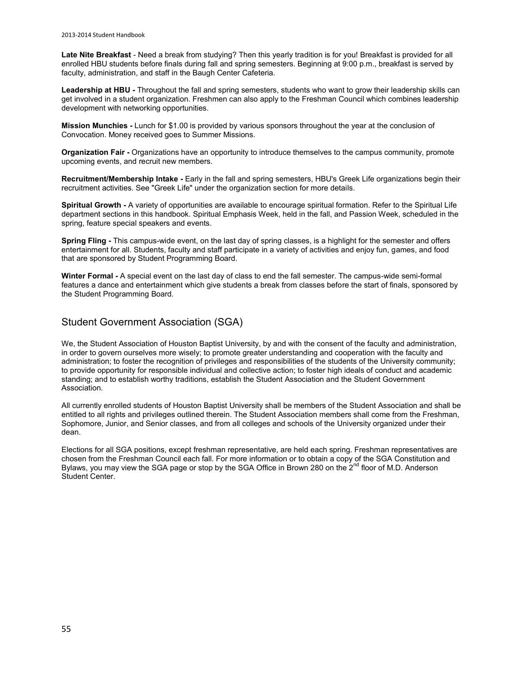Late Nite Breakfast - Need a break from studying? Then this yearly tradition is for you! Breakfast is provided for all enrolled HBU students before finals during fall and spring semesters. Beginning at 9:00 p.m., breakfast is served by faculty, administration, and staff in the Baugh Center Cafeteria.

**Leadership at HBU -** Throughout the fall and spring semesters, students who want to grow their leadership skills can get involved in a student organization. Freshmen can also apply to the Freshman Council which combines leadership development with networking opportunities.

**Mission Munchies -** Lunch for \$1.00 is provided by various sponsors throughout the year at the conclusion of Convocation. Money received goes to Summer Missions.

**Organization Fair -** Organizations have an opportunity to introduce themselves to the campus community, promote upcoming events, and recruit new members.

**Recruitment/Membership Intake -** Early in the fall and spring semesters, HBU's Greek Life organizations begin their recruitment activities. See "Greek Life" under the organization section for more details.

**Spiritual Growth -** A variety of opportunities are available to encourage spiritual formation. Refer to the Spiritual Life department sections in this handbook. Spiritual Emphasis Week, held in the fall, and Passion Week, scheduled in the spring, feature special speakers and events.

**Spring Fling -** This campus-wide event, on the last day of spring classes, is a highlight for the semester and offers entertainment for all. Students, faculty and staff participate in a variety of activities and enjoy fun, games, and food that are sponsored by Student Programming Board.

**Winter Formal -** A special event on the last day of class to end the fall semester. The campus-wide semi-formal features a dance and entertainment which give students a break from classes before the start of finals, sponsored by the Student Programming Board.

### Student Government Association (SGA)

We, the Student Association of Houston Baptist University, by and with the consent of the faculty and administration, in order to govern ourselves more wisely; to promote greater understanding and cooperation with the faculty and administration; to foster the recognition of privileges and responsibilities of the students of the University community; to provide opportunity for responsible individual and collective action; to foster high ideals of conduct and academic standing; and to establish worthy traditions, establish the Student Association and the Student Government Association.

All currently enrolled students of Houston Baptist University shall be members of the Student Association and shall be entitled to all rights and privileges outlined therein. The Student Association members shall come from the Freshman, Sophomore, Junior, and Senior classes, and from all colleges and schools of the University organized under their dean.

Elections for al[l SGA positions,](http://staging.hbu.edu/Students-Alumni/Student-Information/Student-Organizations/Leadership-Governing.aspx) except freshman representative, are held each spring. Freshman representatives are chosen from the Freshman Council each fall. For more information or to obtain a copy of the SGA Constitution and Bylaws, you may view the [SGA page](http://staging.hbu.edu/Students-Alumni/Student-Information/Student-Organizations/Leadership-Governing.aspx) or stop by the SGA Office in Brown 280 on the 2<sup>nd</sup> floor of M.D. Anderson Student Center.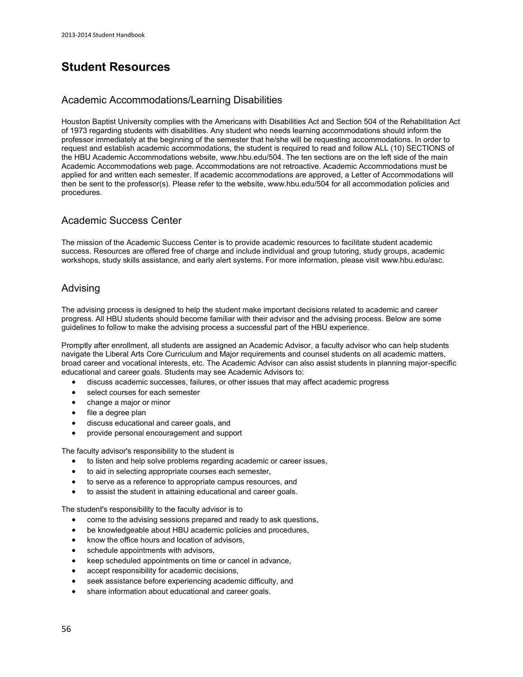# **Student Resources**

### Academic Accommodations/Learning Disabilities

Houston Baptist University complies with the Americans with Disabilities Act and Section 504 of the Rehabilitation Act of 1973 regarding students with disabilities. Any student who needs learning accommodations should inform the professor immediately at the beginning of the semester that he/she will be requesting accommodations. In order to request and establish academic accommodations, the student is required to read and follow ALL (10) SECTIONS of the HBU Academic Accommodations website[, www.hbu.edu/504.](https://hbu.edu/504) The ten sections are on the left side of the main Academic Accommodations web page. Accommodations are not retroactive. Academic Accommodations must be applied for and written each semester. If academic accommodations are approved, a Letter of Accommodations will then be sent to the professor(s). Please refer to the website[, www.hbu.edu/504](http://hbu.edu/504) for all accommodation policies and procedures.

### Academic Success Center

The mission of the Academic Success Center is to provide academic resources to facilitate student academic success. Resources are offered free of charge and include individual and group tutoring, study groups, academic workshops, study skills assistance, and early alert systems. For more information, please visit [www.hbu.edu/asc.](http://www.hbu.edu/asc)

### Advising

The advising process is designed to help the student make important decisions related to academic and career progress. All HBU students should become familiar with their advisor and the advising process. Below are some guidelines to follow to make the advising process a successful part of the HBU experience.

Promptly after enrollment, all students are assigned an Academic Advisor, a faculty advisor who can help students navigate the Liberal Arts Core Curriculum and Major requirements and counsel students on all academic matters, broad career and vocational interests, etc. The Academic Advisor can also assist students in planning major-specific educational and career goals. Students may see Academic Advisors to:

- discuss academic successes, failures, or other issues that may affect academic progress
- select courses for each semester
- change a major or minor
- file a degree plan
- discuss educational and career goals, and
- provide personal encouragement and support

The faculty advisor's responsibility to the student is

- to listen and help solve problems regarding academic or career issues,
- to aid in selecting appropriate courses each semester,
- to serve as a reference to appropriate campus resources, and
- to assist the student in attaining educational and career goals.

The student's responsibility to the faculty advisor is to

- come to the advising sessions prepared and ready to ask questions,
- be knowledgeable about HBU academic policies and procedures,
- know the office hours and location of advisors,
- schedule appointments with advisors,
- keep scheduled appointments on time or cancel in advance,
- accept responsibility for academic decisions,
- seek assistance before experiencing academic difficulty, and
- share information about educational and career goals.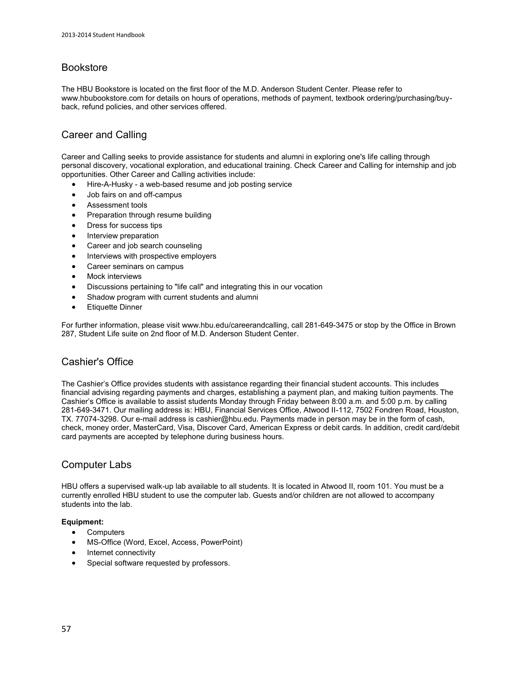# Bookstore

The HBU Bookstore is located on the first floor of the M.D. Anderson Student Center. Please refer to [www.hbubookstore.com](http://www.hbubookstore.com/) for details on hours of operations, methods of payment, textbook ordering/purchasing/buyback, refund policies, and other services offered.

# Career and Calling

Career and Calling seeks to provide assistance for students and alumni in exploring one's life calling through personal discovery, vocational exploration, and educational training. Check [Career and Calling](http://www.hbu.edu/careerandcalling) for internship and job opportunities. Other Career and Calling activities include:

- [Hire-A-Husky](https://www.myinterfase.com/hbu/student/)  a web-based resume and job posting service
- Job fairs on and off-campus
- Assessment tools
- Preparation through resume building
- Dress for success tips
- Interview preparation
- Career and job search counseling
- Interviews with prospective employers
- Career seminars on campus
- Mock interviews
- Discussions pertaining to "life call" and integrating this in our vocation
- Shadow program with current students and alumni
- Etiquette Dinner

For further information, please visit [www.hbu.edu/careerandcalling,](http://www.hbu.edu/careerandcalling) call 281-649-3475 or stop by the Office in Brown 287, Student Life suite on 2nd floor of M.D. Anderson Student Center.

# Cashier's Office

The Cashier's Office provides students with assistance regarding their financial student accounts. This includes financial advising regarding payments and charges, establishing a payment plan, and making tuition payments. The Cashier's Office is available to assist students Monday through Friday between 8:00 a.m. and 5:00 p.m. by calling 281-649-3471. Our mailing address is: HBU, Financial Services Office, Atwood II-112, 7502 Fondren Road, Houston, TX. 77074-3298. Our e-mail address i[s cashier@hbu.edu.](mailto:cashier@hbu.edu) Payments made in person may be in the form of cash, check, money order, MasterCard, Visa, Discover Card, American Express or debit cards. In addition, credit card/debit card payments are accepted by telephone during business hours.

# Computer Labs

HBU offers a supervised walk-up lab available to all students. It is located in Atwood II, room 101. You must be a currently enrolled HBU student to use the computer lab. Guests and/or children are not allowed to accompany students into the lab.

### **Equipment:**

- Computers
- MS-Office (Word, Excel, Access, PowerPoint)
- Internet connectivity
- Special software requested by professors.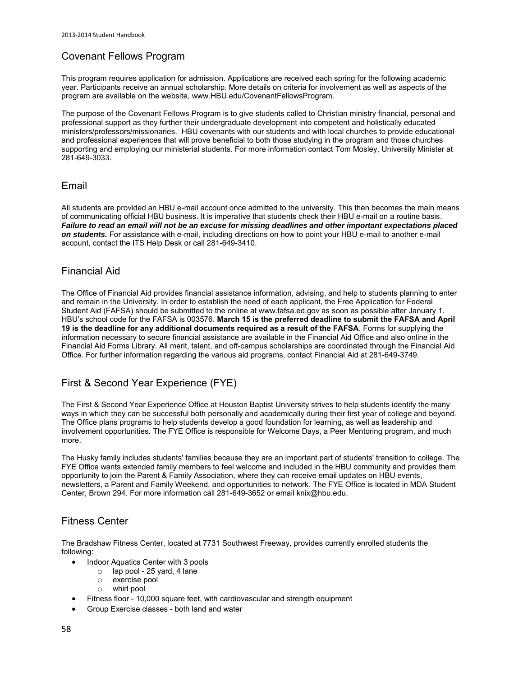# Covenant Fellows Program

This program requires application for admission. Applications are received each spring for the following academic year. Participants receive an annual scholarship. More details on criteria for involvement as well as aspects of the program are available on the website[, www.HBU.edu/CovenantFellowsProgram.](https://www.hbu.edu/CovenantFellowsProgram)

The purpose of the [Covenant Fellows Program](http://www.hbu.edu/Students-Alumni/Student-Information/Spiritual-Life/Covenant-Fellows-Program.aspx) is to give students called to Christian ministry financial, personal and professional support as they further their undergraduate development into competent and holistically educated ministers/professors/missionaries. HBU covenants with our students and with local churches to provide educational and professional experiences that will prove beneficial to both those studying in the program and those churches supporting and employing our ministerial students. For more information contac[t Tom Mosley,](mailto:tkmosley@hbu.edu) University Minister at 281-649-3033.

### Email

All students are provided an HBU e-mail account once admitted to the university. This then becomes the main means of communicating official HBU business. It is imperative that students check their HBU e-mail on a routine basis. *Failure to read an email will not be an excuse for missing deadlines and other important expectations placed on students.* For assistance with e-mail, including directions on how to point your HBU e-mail to another e-mail account, contact the [ITS Help Desk](http://staging.hbu.edu/Students-Alumni/Student-Resources/Information-Technology-Services-(ITS).aspx) or call 281-649-3410.

### Financial Aid

The Office of Financial Aid provides financial assistance information, advising, and help to students planning to enter and remain in the University. In order to establish the need of each applicant, the Free Application for Federal Student Aid (FAFSA) should be submitted to the online at www.fafsa.ed.gov as soon as possible after January 1. HBU's school code for the FAFSA is 003576. **March 15 is the preferred deadline to submit the FAFSA and April 19 is the deadline for any additional documents required as a result of the FAFSA**. Forms for supplying the information necessary to secure financial assistance are available in the Financial Aid Office and also online in the [Financial Aid Forms Library.](http://staging.hbu.edu/Choosing-HBU/Admissions/Financing-Your-Education/Forms.aspx) All merit, talent, and off-campus scholarships are coordinated through the Financial Aid Office. For further information regarding the various aid programs, contact Financial Aid at 281-649-3749.

# First & Second Year Experience (FYE)

The First & Second Year Experience Office at Houston Baptist University strives to help students identify the many ways in which they can be successful both personally and academically during their first year of college and beyond. The Office plans programs to help students develop a good foundation for learning, as well as leadership and involvement opportunities. The FYE Office is responsible for Welcome Days, a Peer Mentoring program, and much more.

The Husky family includes students' families because they are an important part of students' transition to college. The FYE Office wants extended family members to feel welcome and included in the HBU community and provides them opportunity to join the Parent & Family Association, where they can receive email updates on HBU events, newsletters, a Parent and Family Weekend, and opportunities to network. The FYE Office is located in MDA Student Center, Brown 294. For more information call 281-649-3652 or email [knix@hbu.edu.](mailto:knix@hbu.edu)

### Fitness Center

The Bradshaw Fitness Center, located at 7731 Southwest Freeway, provides currently enrolled students the following:

- Indoor Aquatics Center with 3 pools
	- $\circ$  lap pool 25 vard, 4 lane
	- o exercise pool
	- o whirl pool
- Fitness floor 10,000 square feet, with cardiovascular and strength equipment
- Group Exercise classes both land and water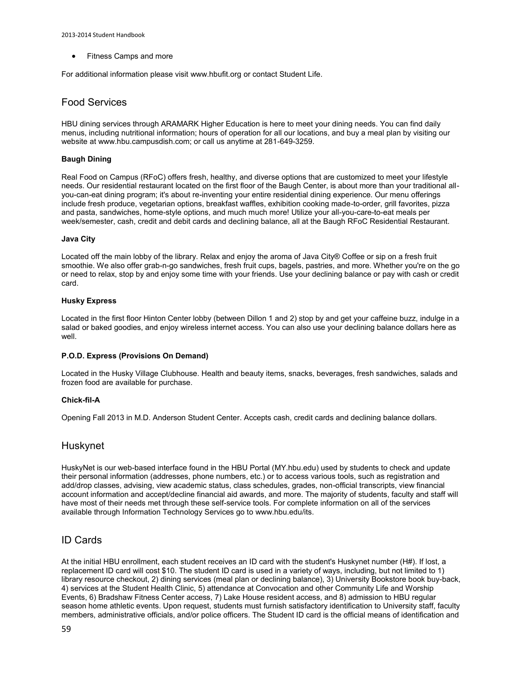Fitness Camps and more

For additional information please visit [www.hbufit.org](http://www.hbufit.org/) or contact [Student Life.](mailto:studentlife@hbu.edu)

### Food Services

HBU dining services through ARAMARK Higher Education is here to meet your dining needs. You can find daily menus, including nutritional information; hours of operation for all our locations, and buy a meal plan by visiting our website at www.hbu.campusdish.com; or call us anytime at 281-649-3259.

### **Baugh Dining**

Real Food on Campus (RFoC) offers fresh, healthy, and diverse options that are customized to meet your lifestyle needs. Our residential restaurant located on the first floor of the Baugh Center, is about more than your traditional allyou-can-eat dining program; it's about re-inventing your entire residential dining experience. Our menu offerings include fresh produce, vegetarian options, breakfast waffles, exhibition cooking made-to-order, grill favorites, pizza and pasta, sandwiches, home-style options, and much much more! Utilize your all-you-care-to-eat meals per week/semester, cash, credit and debit cards and declining balance, all at the Baugh RFoC Residential Restaurant.

#### **Java City**

Located off the main lobby of the library. Relax and enjoy the aroma of Java City® Coffee or sip on a fresh fruit smoothie. We also offer grab-n-go sandwiches, fresh fruit cups, bagels, pastries, and more. Whether you're on the go or need to relax, stop by and enjoy some time with your friends. Use your declining balance or pay with cash or credit card.

#### **Husky Express**

Located in the first floor Hinton Center lobby (between Dillon 1 and 2) stop by and get your caffeine buzz, indulge in a salad or baked goodies, and enjoy wireless internet access. You can also use your declining balance dollars here as well.

### **P.O.D. Express (Provisions On Demand)**

Located in the Husky Village Clubhouse. Health and beauty items, snacks, beverages, fresh sandwiches, salads and frozen food are available for purchase.

### **Chick-fil-A**

Opening Fall 2013 in M.D. Anderson Student Center. Accepts cash, credit cards and declining balance dollars.

### Huskynet

HuskyNet is our web-based interface found in the HBU Portal [\(MY.hbu.edu\)](http://my.hbu.edu/) used by students to check and update their personal information (addresses, phone numbers, etc.) or to access various tools, such as registration and add/drop classes, advising, view academic status, class schedules, grades, non-official transcripts, view financial account information and accept/decline financial aid awards, and more. The majority of students, faculty and staff will have most of their needs met through these self-service tools. For complete information on all of the services available through Information Technology Services go to [www.hbu.edu/its.](http://staging.hbu.edu/Students-Alumni/Student-Resources/Information-Technology-Services-(ITS).aspx)

### ID Cards

At the initial HBU enrollment, each student receives an ID card with the student's Huskynet number (H#). If lost, a replacement ID card will cost \$10. The student ID card is used in a variety of ways, including, but not limited to 1) library resource checkout, 2) dining services (meal plan or declining balance), 3) University Bookstore book buy-back, 4) services at the Student Health Clinic, 5) attendance at Convocation and other Community Life and Worship Events, 6) Bradshaw Fitness Center access, 7) Lake House resident access, and 8) admission to HBU regular season home athletic events. Upon request, students must furnish satisfactory identification to University staff, faculty members, administrative officials, and/or police officers. The Student ID card is the official means of identification and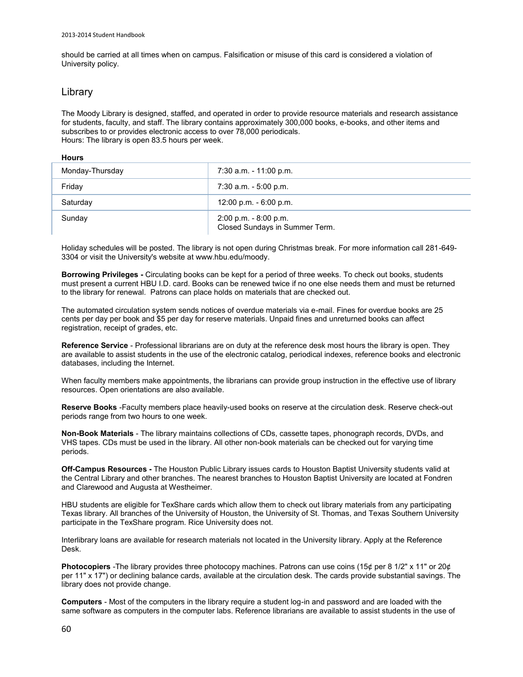should be carried at all times when on campus. Falsification or misuse of this card is considered a violation of University policy.

### Library

The Moody Library is designed, staffed, and operated in order to provide resource materials and research assistance for students, faculty, and staff. The library contains approximately 300,000 books, e-books, and other items and subscribes to or provides electronic access to over 78,000 periodicals. Hours: The library is open 83.5 hours per week.

#### **Hours**

| Monday-Thursday | 7:30 a.m. - 11:00 p.m.                                     |
|-----------------|------------------------------------------------------------|
| Friday          | 7:30 a.m. - 5:00 p.m.                                      |
| Saturday        | $12:00$ p.m. $-6:00$ p.m.                                  |
| Sundav          | $2:00$ p.m. $-8:00$ p.m.<br>Closed Sundays in Summer Term. |

Holiday schedules will be posted. The library is not open during Christmas break. For more information call 281-649- 3304 or visit the University's website at [www.hbu.edu/moody.](http://www.hbu.edu/moodylibrary) 

**Borrowing Privileges -** Circulating books can be kept for a period of three weeks. To check out books, students must present a current HBU I.D. card. Books can be renewed twice if no one else needs them and must be returned to the library for renewal. Patrons can place holds on materials that are checked out.

The automated circulation system sends notices of overdue materials via e-mail. Fines for overdue books are 25 cents per day per book and \$5 per day for reserve materials. Unpaid fines and unreturned books can affect registration, receipt of grades, etc.

**Reference Service** - Professional librarians are on duty at the reference desk most hours the library is open. They are available to assist students in the use of the electronic catalog, periodical indexes, reference books and electronic databases, including the Internet.

When faculty members make appointments, the librarians can provide group instruction in the effective use of library resources. Open orientations are also available.

**Reserve Books** -Faculty members place heavily-used books on reserve at the circulation desk. Reserve check-out periods range from two hours to one week.

**Non-Book Materials** - The library maintains collections of CDs, cassette tapes, phonograph records, DVDs, and VHS tapes. CDs must be used in the library. All other non-book materials can be checked out for varying time periods.

**Off-Campus Resources -** The Houston Public Library issues cards to Houston Baptist University students valid at the Central Library and other branches. The nearest branches to Houston Baptist University are located at Fondren and Clarewood and Augusta at Westheimer.

HBU students are eligible for TexShare cards which allow them to check out library materials from any participating Texas library. All branches of the University of Houston, the University of St. Thomas, and Texas Southern University participate in the TexShare program. Rice University does not.

Interlibrary loans are available for research materials not located in the University library. Apply at the Reference Desk.

**Photocopiers** -The library provides three photocopy machines. Patrons can use coins (15¢ per 8 1/2" x 11" or 20¢ per 11" x 17") or declining balance cards, available at the circulation desk. The cards provide substantial savings. The library does not provide change.

**Computers** - Most of the computers in the library require a student log-in and password and are loaded with the same software as computers in the computer labs. Reference librarians are available to assist students in the use of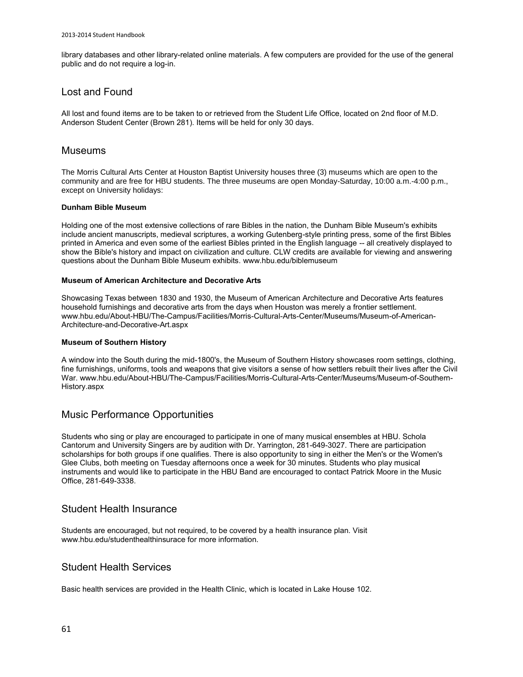library databases and other library-related online materials. A few computers are provided for the use of the general public and do not require a log-in.

### Lost and Found

All lost and found items are to be taken to or retrieved from the Student Life Office, located on 2nd floor of M.D. Anderson Student Center (Brown 281). Items will be held for only 30 days.

### Museums

The Morris Cultural Arts Center at Houston Baptist University houses three (3) museums which are open to the community and are free for HBU students. The three museums are open Monday-Saturday, 10:00 a.m.-4:00 p.m., except on University holidays:

### **Dunham Bible Museum**

Holding one of the most extensive collections of rare Bibles in the nation, the [Dunham Bible Museum's](http://www.hbu.edu/biblemuseum) exhibits include ancient manuscripts, medieval scriptures, a working Gutenberg-style printing press, some of the first Bibles printed in America and even some of the earliest Bibles printed in the English language -- all creatively displayed to show the Bible's history and impact on civilization and culture. CLW credits are available for viewing and answering questions about the Dunham Bible Museum exhibits[. www.hbu.edu/biblemuseum](http://www.hbu.edu/biblemuseum)

### **Museum of American Architecture and Decorative Arts**

Showcasing Texas between 1830 and 1930, th[e Museum of American Architecture and Decorative Arts](http://www.hbu.edu/About-HBU/The-Campus/Facilities/Morris-Cultural-Arts-Center/Museums/Museum-of-American-Architecture-and-Decorative-Art.aspx) features household furnishings and decorative arts from the days when Houston was merely a frontier settlement. [www.hbu.edu/About-HBU/The-Campus/Facilities/Morris-Cultural-Arts-Center/Museums/Museum-of-American-](http://www.hbu.edu/About-HBU/The-Campus/Facilities/Morris-Cultural-Arts-Center/Museums/Museum-of-American-Architecture-and-Decorative-Art.aspx)[Architecture-and-Decorative-Art.aspx](http://www.hbu.edu/About-HBU/The-Campus/Facilities/Morris-Cultural-Arts-Center/Museums/Museum-of-American-Architecture-and-Decorative-Art.aspx)

### **Museum of Southern History**

A window into the South during the mid-1800's, the [Museum of Southern History](http://www.hbu.edu/About-HBU/The-Campus/Facilities/Morris-Cultural-Arts-Center/Museums/Museum-of-Southern-History.aspx) showcases room settings, clothing, fine furnishings, uniforms, tools and weapons that give visitors a sense of how settlers rebuilt their lives after the Civil War[. www.hbu.edu/About-HBU/The-Campus/Facilities/Morris-Cultural-Arts-Center/Museums/Museum-of-Southern-](http://www.hbu.edu/About-HBU/The-Campus/Facilities/Morris-Cultural-Arts-Center/Museums/Museum-of-Southern-History.aspx)[History.aspx](http://www.hbu.edu/About-HBU/The-Campus/Facilities/Morris-Cultural-Arts-Center/Museums/Museum-of-Southern-History.aspx)

### Music Performance Opportunities

Students who sing or play are encouraged to participate in one of many musical ensembles at HBU. Schola Cantorum and University Singers are by audition with Dr. Yarrington, 281-649-3027. There are participation scholarships for both groups if one qualifies. There is also opportunity to sing in either the Men's or the Women's Glee Clubs, both meeting on Tuesday afternoons once a week for 30 minutes. Students who play musical instruments and would like to participate in the HBU Band are encouraged to contact Patrick Moore in the Music Office, 281-649-3338.

### Student Health Insurance

Students are encouraged, but not required, to be covered by a health insurance plan. Visit [www.hbu.edu/studenthealthinsurace](http://www.hbu.edu/studenthealthinsurace) for more information.

### Student Health Services

Basic health services are provided in the Health Clinic, which is located in Lake House 102.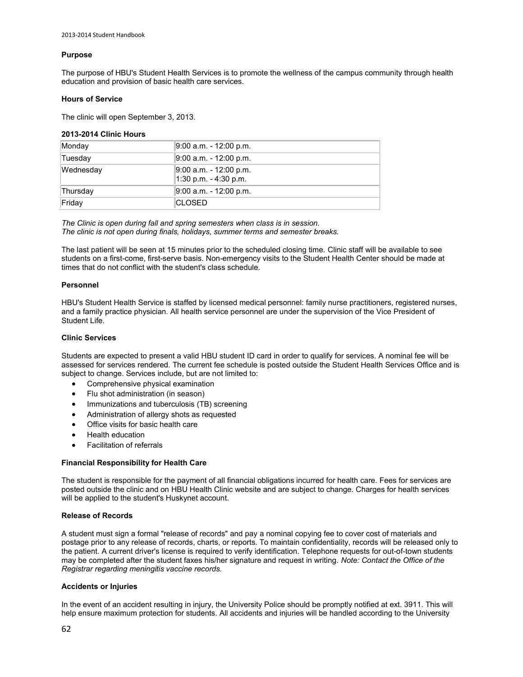### **Purpose**

The purpose of HBU's [Student Health Services](http://www.hbu.edu/studenthealth) is to promote the wellness of the campus community through health education and provision of basic health care services.

#### **Hours of Service**

The clinic will open September 3, 2013.

#### **2013-2014 Clinic Hours**

| Monday    | 9:00 a.m. - 12:00 p.m.                            |
|-----------|---------------------------------------------------|
| Tuesdav   | 9:00 a.m. - 12:00 p.m.                            |
| Wednesday | 9:00 a.m. - 12:00 p.m.<br>$1:30$ p.m. - 4:30 p.m. |
| Thursday  | 9:00 a.m. - 12:00 p.m.                            |
| Friday    | ICLOSED                                           |

*The Clinic is open during fall and spring semesters when class is in session. The clinic is not open during finals, holidays, summer terms and semester breaks.*

The last patient will be seen at 15 minutes prior to the scheduled closing time. Clinic staff will be available to see students on a first-come, first-serve basis. Non-emergency visits to the Student Health Center should be made at times that do not conflict with the student's class schedule.

#### **Personnel**

HBU's Student Health Service is staffed by licensed medical personnel: family nurse practitioners, registered nurses, and a family practice physician. All health service personnel are under the supervision of the Vice President of Student Life.

### **Clinic Services**

Students are expected to present a valid HBU student ID card in order to qualify for services. A nominal fee will be assessed for services rendered. The current fee schedule is posted outside the Student Health Services Office and is subject to change. Services include, but are not limited to:

- Comprehensive physical examination
- Flu shot administration (in season)
- Immunizations and tuberculosis (TB) screening
- Administration of allergy shots as requested
- Office visits for basic health care
- Health education
- Facilitation of referrals

### **Financial Responsibility for Health Care**

The student is responsible for the payment of all financial obligations incurred for health care. Fees for services are posted outside the clinic and on [HBU Health Clinic website](http://www.hbu.edu/Students-Alumni/Student-Resources/Health-Services/Health-Clinic.aspx) and are subject to change. Charges for health services will be applied to the student's Huskynet account.

#### **Release of Records**

A student must sign a formal "release of records" and pay a nominal copying fee to cover cost of materials and postage prior to any release of records, charts, or reports. To maintain confidentiality, records will be released only to the patient. A current driver's license is required to verify identification. Telephone requests for out-of-town students may be completed after the student faxes his/her signature and request in writing. *Note: Contact the Office of the Registrar regarding meningitis vaccine records.*

#### **Accidents or Injuries**

In the event of an accident resulting in injury, the University Police should be promptly notified at ext. 3911. This will help ensure maximum protection for students. All accidents and injuries will be handled according to the University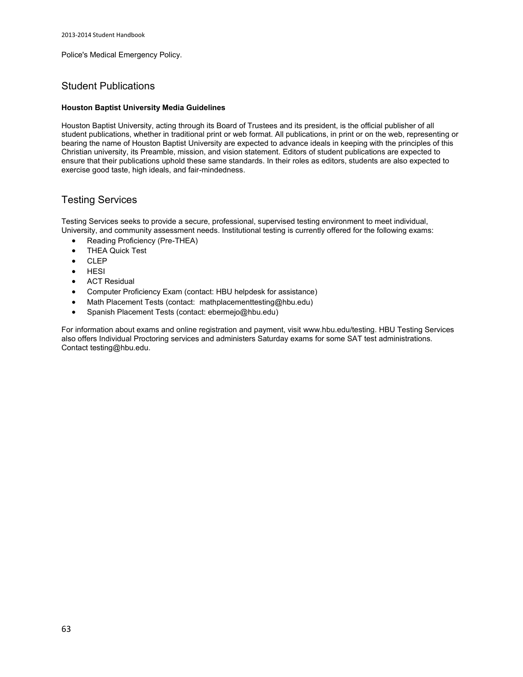Police's Medical Emergency Policy.

### Student Publications

#### **Houston Baptist University Media Guidelines**

Houston Baptist University, acting through its Board of Trustees and its president, is the official publisher of all student publications, whether in traditional print or web format. All publications, in print or on the web, representing or bearing the name of Houston Baptist University are expected to advance ideals in keeping with the principles of this Christian university, its Preamble, mission, and vision statement. Editors of student publications are expected to ensure that their publications uphold these same standards. In their roles as editors, students are also expected to exercise good taste, high ideals, and fair-mindedness.

## Testing Services

Testing Services seeks to provide a secure, professional, supervised testing environment to meet individual, University, and community assessment needs. Institutional testing is currently offered for the following exams:

- Reading Proficiency (Pre-THEA)
- THEA Quick Test
- $\bullet$  CLEP
- HESI
- ACT Residual
- Computer Proficiency Exam (contact: HBU helpdesk for assistance)
- Math Placement Tests (contact: [mathplacementtesting@hbu.edu\)](mailto:mathplacementtesting@hbu.edu)
- Spanish Placement Tests (contact[: ebermejo@hbu.edu\)](mailto:ebermejo@hbu.edu)

For information about exams and online registration and payment, visit [www.hbu.edu/testing.](http://www.hbu.edu/testing) HBU Testing Services also offers Individual Proctoring services and administers Saturday exams for some SAT test administrations. Contac[t testing@hbu.edu.](mailto:testing@hbu.edu)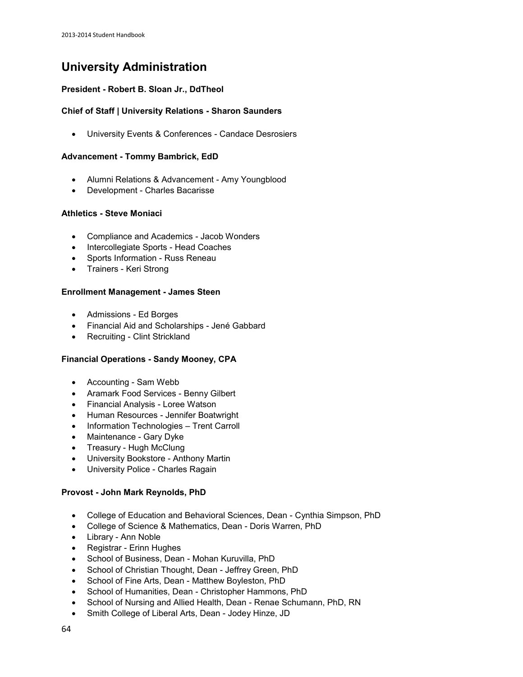# **University Administration**

### **President - [Robert B. Sloan Jr., DdTheol](https://hbu.edu/About-HBU/General-Information/University-Leadership/Presidents-of-HBU/Dr-Robert-B-Sloan,-Jr.aspx)**

### **Chief of Staff | University Relations - [Sharon Saunders](https://hbu.edu/About-HBU/General-Information/University-Leadership/Executive-Council/Sharon-Saunders.aspx)**

University Events & Conferences - [Candace Desrosiers](https://hbu.edu/About-HBU/Resources/University-Events-and-Conferences.aspx)

### **Advancement - [Tommy Bambrick, EdD](https://hbu.edu/About-HBU/General-Information/University-Leadership/Executive-Council/Tommy-Bambrick.aspx)**

- Alumni Relations & Advancement - [Amy Youngblood](https://hbu.edu/About-HBU/General-Information/Giving-to-HBU/Meet-Our-Staff.aspx)
- Development - [Charles Bacarisse](https://hbu.edu/About-HBU/General-Information/Giving-to-HBU/Meet-Our-Staff.aspx)

### **Athletics - [Steve Moniaci](http://www.hbuhuskies.com/staff.aspx?staff=1)**

- Compliance and Academics Jacob Wonders
- Intercollegiate Sports Head Coaches
- Sports Information Russ Reneau
- Trainers Keri Strong

### **Enrollment Management - [James Steen](https://hbu.edu/About-HBU/General-Information/University-Leadership/Executive-Council/James-Steen.aspx)**

- Admissions - [Ed Borges](https://hbu.edu/Choosing-HBU/Admissions/Visit-Campus/Contact-Your-HBU-Team/Meet-HBU-Admissions.aspx)
- Financial Aid and Scholarships - [Jené Gabbard](https://hbu.edu/Choosing-HBU/Admissions/Financing-Your-Education/Contact-Financial-Aid.aspx)
- Recruiting - [Clint Strickland](https://hbu.edu/Choosing-HBU/Admissions/Visit-Campus/Contact-Your-HBU-Team/Meet-HBU-Admissions.aspx)

### **Financial Operations - [Sandy Mooney, CPA](https://hbu.edu/About-HBU/General-Information/University-Leadership/Executive-Council/Sandy-Mooney,-CPA.aspx)**

- Accounting Sam Webb
- Aramark Food Services Benny Gilbert
- Financial Analysis Loree Watson
- Human Resources - [Jennifer Boatwright](https://hbu.edu/About-HBU/Resources/Job-Opportunities.aspx)
- Information Technologies Trent Carroll
- Maintenance Gary Dyke
- Treasury Hugh McClung
- University Bookstore - [Anthony Martin](http://www.hbubookstore.com/site_about_us.asp)
- University Police - [Charles Ragain](https://hbu.edu/About-HBU/The-Campus/Police-Parking/Contact-HBU-Police.aspx)

### **Provost - [John Mark Reynolds, PhD](https://hbu.edu/About-HBU/General-Information/University-Leadership/Executive-Council/John-Mark-N-Reynolds.aspx)**

- College of Education and Behavioral Sciences, Dean - [Cynthia Simpson, PhD](https://hbu.edu/Choosing-HBU/Academics/Colleges-Schools/School-of-Education/Departments/Department-of-Special-Populations/Faculty/Cynthia-Simpson,-Dean.aspx)
- College of Science & Mathematics, Dean - [Doris Warren, PhD](https://hbu.edu/Choosing-HBU/Academics/Colleges-Schools/College-of-Science-and-Mathematics/Departments/Department-of-Chemistry/Faculty/Doris-Warren,-Dean.aspx)
- Library - [Ann Noble](https://hbu.edu/Choosing-HBU/Academics/Colleges-Schools/Moody-Library/Departments/Moody-Library/Faculty/Ann-Noble.aspx)
- Registrar - [Erinn Hughes](https://hbu.edu/Choosing-HBU/Academics/Registrar/Contact-the-Office-of-the-Registrar.aspx)
- School of Business, Dean - [Mohan Kuruvilla, PhD](https://hbu.edu/Choosing-HBU/Academics/Colleges-Schools/School-of-Business/Departments/Department-of-Accounting/Faculty/Mohan-Kuruvilla,-Dean.aspx)
- School of Christian Thought, Dean - [Jeffrey Green, PhD](https://hbu.edu/Choosing-HBU/Academics/Colleges-Schools/School-of-Christian-Thought/Departments/Department-of-Philosophy/Faculty/Jeffrey-Green,-Dean.aspx)
- School of Fine Arts, Dean - [Matthew Boyleston, PhD](https://hbu.edu/Choosing-HBU/Academics/Colleges-Schools/School-of-Fine-Arts/Departments/Department-of-Journalism-Mass-Communications,-Crea/Faculty/Matthew-Boyleston,-Dean.aspx)
- School of Humanities, Dean - [Christopher Hammons, PhD](https://hbu.edu/Choosing-HBU/Academics/Colleges-Schools/School-of-Humanities/Departments/Department-of-Law-and-Society/Faculty/Christopher-Hammons,-Dean.aspx)
- School of Nursing and Allied Health, Dean - [Renae Schumann, PhD, RN](https://hbu.edu/Choosing-HBU/Academics/Colleges-Schools/School-of-Nursing-and-Allied-Health/Departments/Department-of-Nursing/Faculty/Renae-Schumann,-Dean.aspx)
- Smith College of Liberal Arts, Dean Jodey Hinze, JD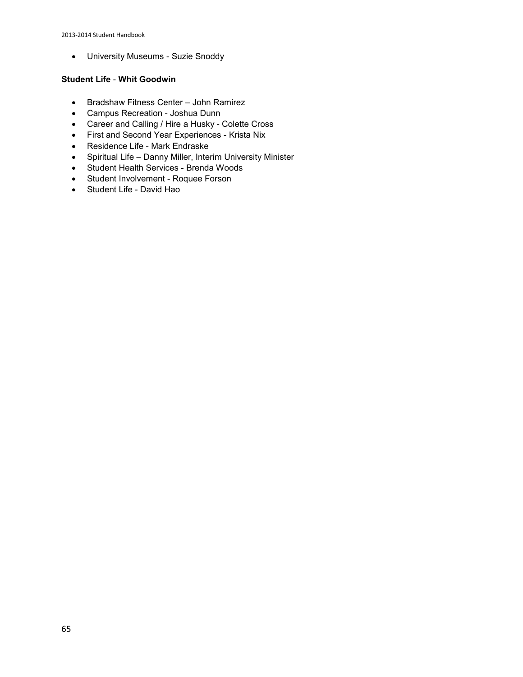University Museums - [Suzie Snoddy](https://hbu.edu/About-HBU/The-Campus/Museums/Museum-of-Southern-History.aspx)

### **Student Life** - **[Whit Goodwin](https://hbu.edu/About-HBU/General-Information/University-Leadership/Executive-Council/Whit-Goodwin.aspx)**

- Bradshaw Fitness Center John Ramirez
- Campus Recreation - [Joshua Dunn](https://hbu.edu/Students-Alumni/Student-Information/Student-Life/Campus-Recreation/Contact.aspx)
- Career and Calling / Hire a Husky - [Colette Cross](https://hbu.edu/Students-Alumni/Student-Resources/The-Career-Center/Contact.aspx)
- First and Second Year Experiences Krista Nix
- Residence Life - [Mark Endraske](https://hbu.edu/Students-Alumni/Student-Information/Residence-Life/Residence-Housing/Contact.aspx)
- Spiritual Life Danny Miller, Interim University Minister
- Student Health Services - [Brenda Woods](https://hbu.edu/About-HBU/Resources/Health-Services/Contact-the-Health-Clinic.aspx)
- Student Involvement - [Roquee Forson](https://hbu.edu/Students-Alumni/Student-Information/Student-Life/Student-Life-Directory.aspx)
- Student Life David Hao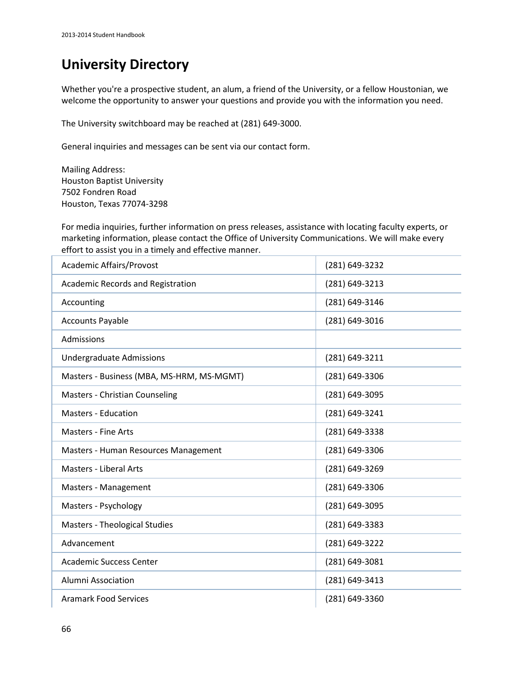# **University Directory**

Whether you're a prospective student, an alum, a friend of the University, or a fellow Houstonian, we welcome the opportunity to answer your questions and provide you with the information you need.

The University switchboard may be reached at (281) 649-3000.

General inquiries and messages can be sent via ou[r contact form.](https://hbu.edu/About-HBU/Resources/Directory/Contact-Form.aspx)

Mailing Address: Houston Baptist University 7502 Fondren Road Houston, Texas 77074-3298

For media inquiries, further information on press releases, assistance with locating faculty experts, or marketing information, pleas[e contact the Office of University Communications.](https://hbu.edu/About-HBU/Resources/Directory/Contact-Form.aspx) We will make every effort to assist you in a timely and effective manner.

| <b>Academic Affairs/Provost</b>           | (281) 649-3232 |
|-------------------------------------------|----------------|
| <b>Academic Records and Registration</b>  | (281) 649-3213 |
| Accounting                                | (281) 649-3146 |
| <b>Accounts Payable</b>                   | (281) 649-3016 |
| Admissions                                |                |
| <b>Undergraduate Admissions</b>           | (281) 649-3211 |
| Masters - Business (MBA, MS-HRM, MS-MGMT) | (281) 649-3306 |
| Masters - Christian Counseling            | (281) 649-3095 |
| <b>Masters - Education</b>                | (281) 649-3241 |
| <b>Masters - Fine Arts</b>                | (281) 649-3338 |
| Masters - Human Resources Management      | (281) 649-3306 |
| <b>Masters - Liberal Arts</b>             | (281) 649-3269 |
| Masters - Management                      | (281) 649-3306 |
| Masters - Psychology                      | (281) 649-3095 |
| <b>Masters - Theological Studies</b>      | (281) 649-3383 |
| Advancement                               | (281) 649-3222 |
| <b>Academic Success Center</b>            | (281) 649-3081 |
| <b>Alumni Association</b>                 | (281) 649-3413 |
| <b>Aramark Food Services</b>              | (281) 649-3360 |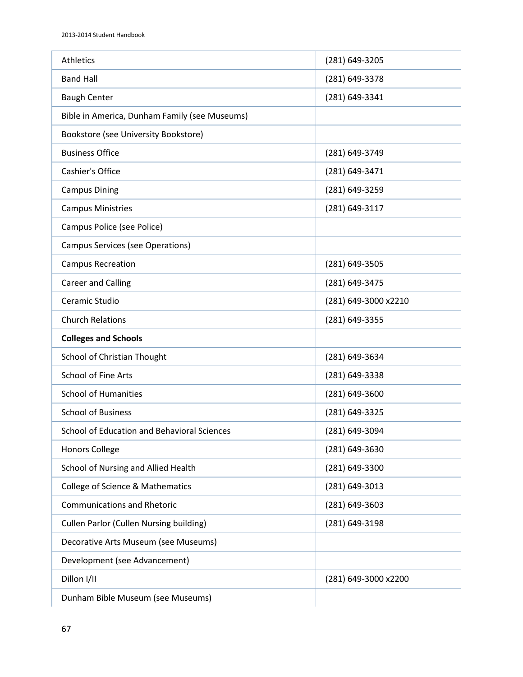| <b>Athletics</b>                               | (281) 649-3205       |
|------------------------------------------------|----------------------|
| <b>Band Hall</b>                               | (281) 649-3378       |
| <b>Baugh Center</b>                            | (281) 649-3341       |
| Bible in America, Dunham Family (see Museums)  |                      |
| Bookstore (see University Bookstore)           |                      |
| <b>Business Office</b>                         | (281) 649-3749       |
| Cashier's Office                               | (281) 649-3471       |
| <b>Campus Dining</b>                           | (281) 649-3259       |
| <b>Campus Ministries</b>                       | (281) 649-3117       |
| Campus Police (see Police)                     |                      |
| <b>Campus Services (see Operations)</b>        |                      |
| <b>Campus Recreation</b>                       | (281) 649-3505       |
| <b>Career and Calling</b>                      | (281) 649-3475       |
| Ceramic Studio                                 | (281) 649-3000 x2210 |
| <b>Church Relations</b>                        | (281) 649-3355       |
|                                                |                      |
| <b>Colleges and Schools</b>                    |                      |
| School of Christian Thought                    | (281) 649-3634       |
| <b>School of Fine Arts</b>                     | (281) 649-3338       |
| <b>School of Humanities</b>                    | (281) 649-3600       |
| <b>School of Business</b>                      | (281) 649-3325       |
| School of Education and Behavioral Sciences    | (281) 649-3094       |
| <b>Honors College</b>                          | (281) 649-3630       |
| School of Nursing and Allied Health            | (281) 649-3300       |
| College of Science & Mathematics               | (281) 649-3013       |
| <b>Communications and Rhetoric</b>             | (281) 649-3603       |
| <b>Cullen Parlor (Cullen Nursing building)</b> | (281) 649-3198       |
| Decorative Arts Museum (see Museums)           |                      |
| Development (see Advancement)                  |                      |
| Dillon I/II                                    | (281) 649-3000 x2200 |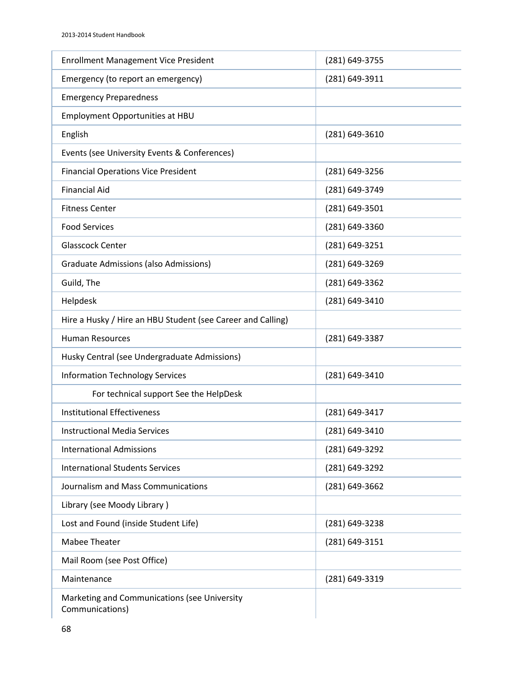| <b>Enrollment Management Vice President</b>                     | (281) 649-3755     |
|-----------------------------------------------------------------|--------------------|
| Emergency (to report an emergency)                              | (281) 649-3911     |
| <b>Emergency Preparedness</b>                                   |                    |
| Employment Opportunities at HBU                                 |                    |
| English                                                         | $(281) 649 - 3610$ |
| Events (see University Events & Conferences)                    |                    |
| <b>Financial Operations Vice President</b>                      | (281) 649-3256     |
| <b>Financial Aid</b>                                            | (281) 649-3749     |
| <b>Fitness Center</b>                                           | (281) 649-3501     |
| <b>Food Services</b>                                            | (281) 649-3360     |
| <b>Glasscock Center</b>                                         | (281) 649-3251     |
| <b>Graduate Admissions (also Admissions)</b>                    | (281) 649-3269     |
| Guild, The                                                      | (281) 649-3362     |
| Helpdesk                                                        | (281) 649-3410     |
| Hire a Husky / Hire an HBU Student (see Career and Calling)     |                    |
| <b>Human Resources</b>                                          | (281) 649-3387     |
| Husky Central (see Undergraduate Admissions)                    |                    |
| <b>Information Technology Services</b>                          | (281) 649-3410     |
| For technical support See the HelpDesk                          |                    |
| <b>Institutional Effectiveness</b>                              | (281) 649-3417     |
| <b>Instructional Media Services</b>                             | (281) 649-3410     |
| <b>International Admissions</b>                                 | (281) 649-3292     |
| <b>International Students Services</b>                          | (281) 649-3292     |
| Journalism and Mass Communications                              | (281) 649-3662     |
| Library (see Moody Library)                                     |                    |
| Lost and Found (inside Student Life)                            | (281) 649-3238     |
| <b>Mabee Theater</b>                                            | (281) 649-3151     |
| Mail Room (see Post Office)                                     |                    |
| Maintenance                                                     | (281) 649-3319     |
| Marketing and Communications (see University<br>Communications) |                    |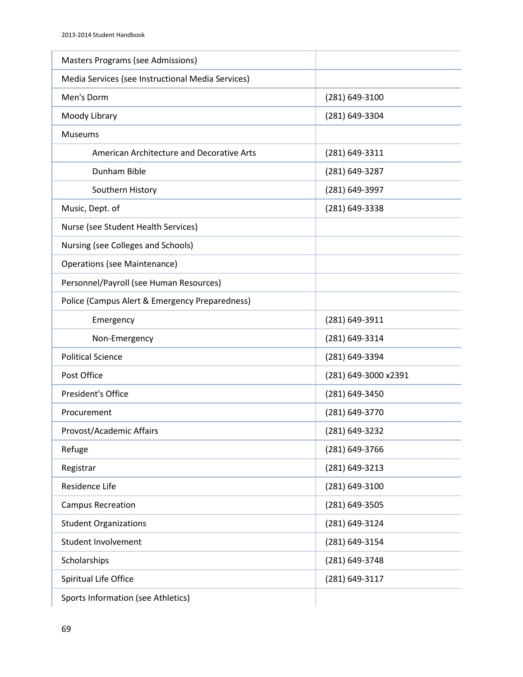| <b>Masters Programs (see Admissions)</b>          |                      |
|---------------------------------------------------|----------------------|
| Media Services (see Instructional Media Services) |                      |
| Men's Dorm                                        | (281) 649-3100       |
| Moody Library                                     | (281) 649-3304       |
| <b>Museums</b>                                    |                      |
| American Architecture and Decorative Arts         | (281) 649-3311       |
| Dunham Bible                                      | (281) 649-3287       |
| Southern History                                  | (281) 649-3997       |
| Music, Dept. of                                   | (281) 649-3338       |
| Nurse (see Student Health Services)               |                      |
| Nursing (see Colleges and Schools)                |                      |
| <b>Operations (see Maintenance)</b>               |                      |
| Personnel/Payroll (see Human Resources)           |                      |
| Police (Campus Alert & Emergency Preparedness)    |                      |
| Emergency                                         | (281) 649-3911       |
| Non-Emergency                                     | (281) 649-3314       |
| <b>Political Science</b>                          | (281) 649-3394       |
| Post Office                                       | (281) 649-3000 x2391 |
| President's Office                                | (281) 649-3450       |
| Procurement                                       | (281) 649-3770       |
| Provost/Academic Affairs                          | (281) 649-3232       |
| Refuge                                            | (281) 649-3766       |
| Registrar                                         | (281) 649-3213       |
| Residence Life                                    | (281) 649-3100       |
| <b>Campus Recreation</b>                          | (281) 649-3505       |
| <b>Student Organizations</b>                      | (281) 649-3124       |
| Student Involvement                               | (281) 649-3154       |
| Scholarships                                      | (281) 649-3748       |
| Spiritual Life Office                             | (281) 649-3117       |
| Sports Information (see Athletics)                |                      |